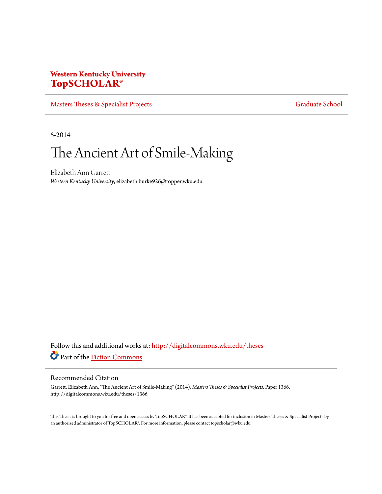# **Western Kentucky University [TopSCHOLAR®](http://digitalcommons.wku.edu?utm_source=digitalcommons.wku.edu%2Ftheses%2F1366&utm_medium=PDF&utm_campaign=PDFCoverPages)**

[Masters Theses & Specialist Projects](http://digitalcommons.wku.edu/theses?utm_source=digitalcommons.wku.edu%2Ftheses%2F1366&utm_medium=PDF&utm_campaign=PDFCoverPages) [Graduate School](http://digitalcommons.wku.edu/Graduate?utm_source=digitalcommons.wku.edu%2Ftheses%2F1366&utm_medium=PDF&utm_campaign=PDFCoverPages) Graduate School

5-2014

# The Ancient Art of Smile-Making

Elizabeth Ann Garrett *Western Kentucky University*, elizabeth.burke926@topper.wku.edu

Follow this and additional works at: [http://digitalcommons.wku.edu/theses](http://digitalcommons.wku.edu/theses?utm_source=digitalcommons.wku.edu%2Ftheses%2F1366&utm_medium=PDF&utm_campaign=PDFCoverPages) Part of the [Fiction Commons](http://network.bepress.com/hgg/discipline/1151?utm_source=digitalcommons.wku.edu%2Ftheses%2F1366&utm_medium=PDF&utm_campaign=PDFCoverPages)

#### Recommended Citation

Garrett, Elizabeth Ann, "The Ancient Art of Smile-Making" (2014). *Masters Theses & Specialist Projects.* Paper 1366. http://digitalcommons.wku.edu/theses/1366

This Thesis is brought to you for free and open access by TopSCHOLAR®. It has been accepted for inclusion in Masters Theses & Specialist Projects by an authorized administrator of TopSCHOLAR®. For more information, please contact topscholar@wku.edu.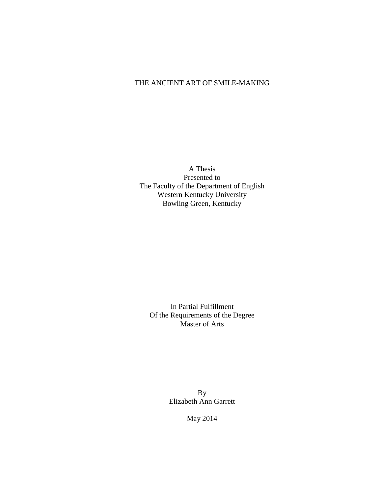### THE ANCIENT ART OF SMILE-MAKING

A Thesis Presented to The Faculty of the Department of English Western Kentucky University Bowling Green, Kentucky

In Partial Fulfillment Of the Requirements of the Degree Master of Arts

> By Elizabeth Ann Garrett

> > May 2014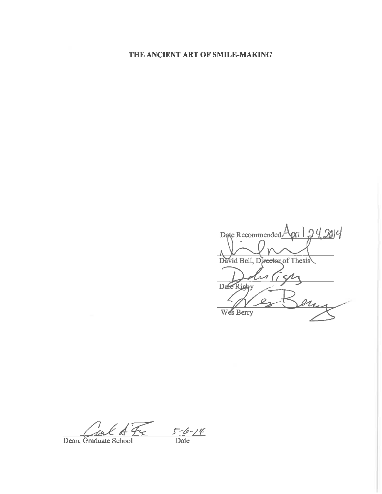# THE ANCIENT ART OF SMILE-MAKING

pri 24,2014 Date Recommended $\angle$ David Bell, Director of Thesis Date Righy Wes Berry

 $\frac{5-6-14}{\text{Date}}$ Dean, Graduate School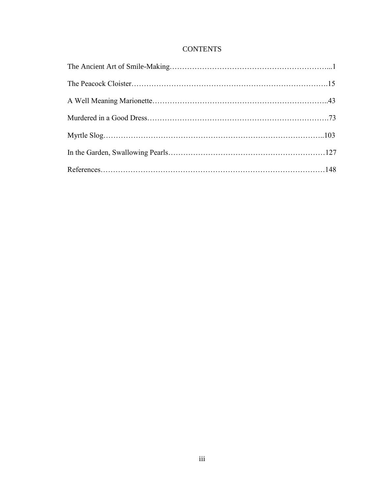## **CONTENTS**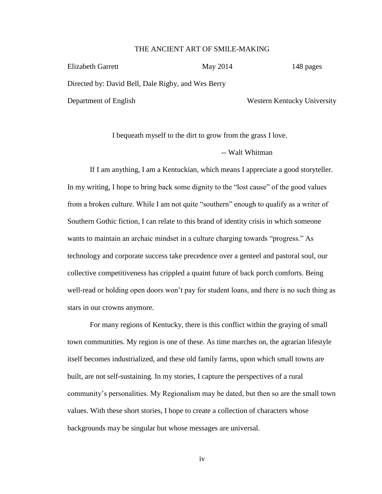#### THE ANCIENT ART OF SMILE-MAKING

| Elizabeth Garrett                                  | May 2014 | 148 pages                   |
|----------------------------------------------------|----------|-----------------------------|
| Directed by: David Bell, Dale Rigby, and Wes Berry |          |                             |
| Department of English                              |          | Western Kentucky University |

I bequeath myself to the dirt to grow from the grass I love.

-- Walt Whitman

If I am anything, I am a Kentuckian, which means I appreciate a good storyteller. In my writing, I hope to bring back some dignity to the "lost cause" of the good values from a broken culture. While I am not quite "southern" enough to qualify as a writer of Southern Gothic fiction, I can relate to this brand of identity crisis in which someone wants to maintain an archaic mindset in a culture charging towards "progress." As technology and corporate success take precedence over a genteel and pastoral soul, our collective competitiveness has crippled a quaint future of back porch comforts. Being well-read or holding open doors won't pay for student loans, and there is no such thing as stars in our crowns anymore.

For many regions of Kentucky, there is this conflict within the graying of small town communities. My region is one of these. As time marches on, the agrarian lifestyle itself becomes industrialized, and these old family farms, upon which small towns are built, are not self-sustaining. In my stories, I capture the perspectives of a rural community's personalities. My Regionalism may be dated, but then so are the small town values. With these short stories, I hope to create a collection of characters whose backgrounds may be singular but whose messages are universal.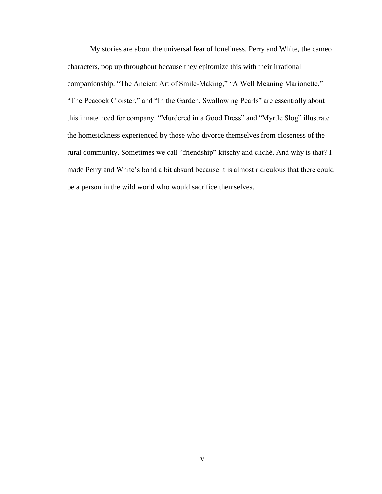My stories are about the universal fear of loneliness. Perry and White, the cameo characters, pop up throughout because they epitomize this with their irrational companionship. "The Ancient Art of Smile-Making," "A Well Meaning Marionette," "The Peacock Cloister," and "In the Garden, Swallowing Pearls" are essentially about this innate need for company. "Murdered in a Good Dress" and "Myrtle Slog" illustrate the homesickness experienced by those who divorce themselves from closeness of the rural community. Sometimes we call "friendship" kitschy and cliché. And why is that? I made Perry and White's bond a bit absurd because it is almost ridiculous that there could be a person in the wild world who would sacrifice themselves.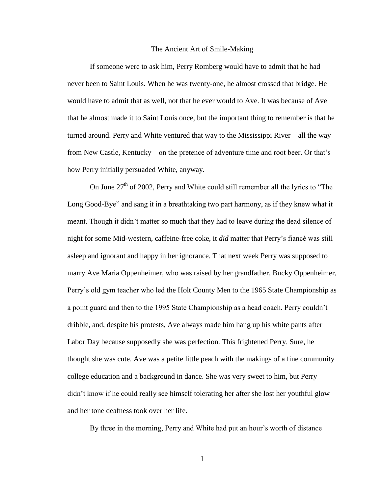#### The Ancient Art of Smile-Making

If someone were to ask him, Perry Romberg would have to admit that he had never been to Saint Louis. When he was twenty-one, he almost crossed that bridge. He would have to admit that as well, not that he ever would to Ave. It was because of Ave that he almost made it to Saint Louis once, but the important thing to remember is that he turned around. Perry and White ventured that way to the Mississippi River—all the way from New Castle, Kentucky—on the pretence of adventure time and root beer. Or that's how Perry initially persuaded White, anyway.

On June  $27<sup>th</sup>$  of 2002, Perry and White could still remember all the lyrics to "The Long Good-Bye" and sang it in a breathtaking two part harmony, as if they knew what it meant. Though it didn't matter so much that they had to leave during the dead silence of night for some Mid-western, caffeine-free coke, it *did* matter that Perry's fiancé was still asleep and ignorant and happy in her ignorance. That next week Perry was supposed to marry Ave Maria Oppenheimer, who was raised by her grandfather, Bucky Oppenheimer, Perry's old gym teacher who led the Holt County Men to the 1965 State Championship as a point guard and then to the 1995 State Championship as a head coach. Perry couldn't dribble, and, despite his protests, Ave always made him hang up his white pants after Labor Day because supposedly she was perfection. This frightened Perry. Sure, he thought she was cute. Ave was a petite little peach with the makings of a fine community college education and a background in dance. She was very sweet to him, but Perry didn't know if he could really see himself tolerating her after she lost her youthful glow and her tone deafness took over her life.

By three in the morning, Perry and White had put an hour's worth of distance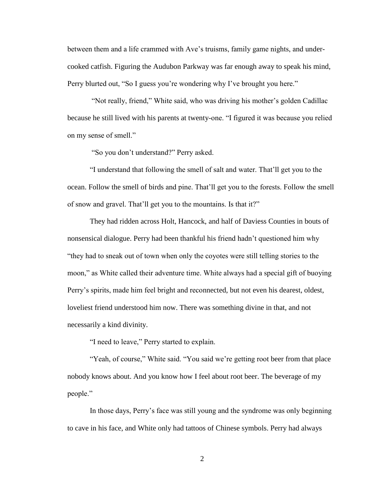between them and a life crammed with Ave's truisms, family game nights, and undercooked catfish. Figuring the Audubon Parkway was far enough away to speak his mind, Perry blurted out, "So I guess you're wondering why I've brought you here."

"Not really, friend," White said, who was driving his mother's golden Cadillac because he still lived with his parents at twenty-one. "I figured it was because you relied on my sense of smell."

"So you don't understand?" Perry asked.

"I understand that following the smell of salt and water. That'll get you to the ocean. Follow the smell of birds and pine. That'll get you to the forests. Follow the smell of snow and gravel. That'll get you to the mountains. Is that it?"

They had ridden across Holt, Hancock, and half of Daviess Counties in bouts of nonsensical dialogue. Perry had been thankful his friend hadn't questioned him why "they had to sneak out of town when only the coyotes were still telling stories to the moon," as White called their adventure time. White always had a special gift of buoying Perry's spirits, made him feel bright and reconnected, but not even his dearest, oldest, loveliest friend understood him now. There was something divine in that, and not necessarily a kind divinity.

"I need to leave," Perry started to explain.

"Yeah, of course," White said. "You said we're getting root beer from that place nobody knows about. And you know how I feel about root beer. The beverage of my people."

In those days, Perry's face was still young and the syndrome was only beginning to cave in his face, and White only had tattoos of Chinese symbols. Perry had always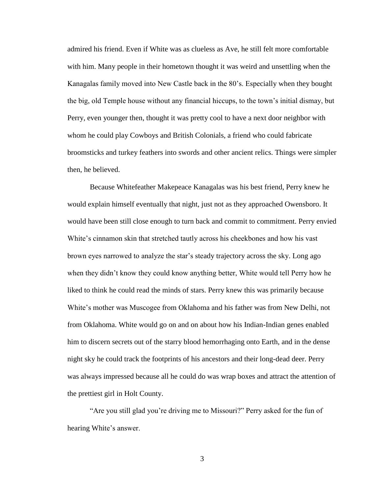admired his friend. Even if White was as clueless as Ave, he still felt more comfortable with him. Many people in their hometown thought it was weird and unsettling when the Kanagalas family moved into New Castle back in the 80's. Especially when they bought the big, old Temple house without any financial hiccups, to the town's initial dismay, but Perry, even younger then, thought it was pretty cool to have a next door neighbor with whom he could play Cowboys and British Colonials, a friend who could fabricate broomsticks and turkey feathers into swords and other ancient relics. Things were simpler then, he believed.

Because Whitefeather Makepeace Kanagalas was his best friend, Perry knew he would explain himself eventually that night, just not as they approached Owensboro. It would have been still close enough to turn back and commit to commitment. Perry envied White's cinnamon skin that stretched tautly across his cheekbones and how his vast brown eyes narrowed to analyze the star's steady trajectory across the sky. Long ago when they didn't know they could know anything better, White would tell Perry how he liked to think he could read the minds of stars. Perry knew this was primarily because White's mother was Muscogee from Oklahoma and his father was from New Delhi, not from Oklahoma. White would go on and on about how his Indian-Indian genes enabled him to discern secrets out of the starry blood hemorrhaging onto Earth, and in the dense night sky he could track the footprints of his ancestors and their long-dead deer. Perry was always impressed because all he could do was wrap boxes and attract the attention of the prettiest girl in Holt County.

"Are you still glad you're driving me to Missouri?" Perry asked for the fun of hearing White's answer.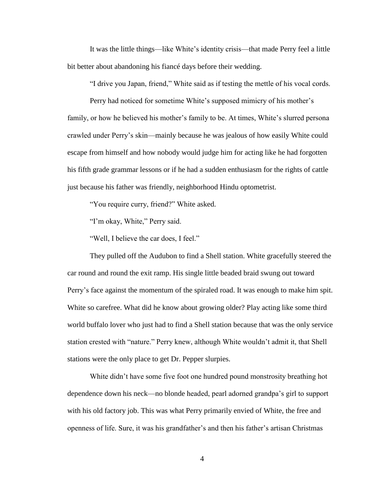It was the little things—like White's identity crisis—that made Perry feel a little bit better about abandoning his fiancé days before their wedding.

"I drive you Japan, friend," White said as if testing the mettle of his vocal cords.

Perry had noticed for sometime White's supposed mimicry of his mother's family, or how he believed his mother's family to be. At times, White's slurred persona crawled under Perry's skin—mainly because he was jealous of how easily White could escape from himself and how nobody would judge him for acting like he had forgotten his fifth grade grammar lessons or if he had a sudden enthusiasm for the rights of cattle just because his father was friendly, neighborhood Hindu optometrist.

"You require curry, friend?" White asked.

"I'm okay, White," Perry said.

"Well, I believe the car does, I feel."

They pulled off the Audubon to find a Shell station. White gracefully steered the car round and round the exit ramp. His single little beaded braid swung out toward Perry's face against the momentum of the spiraled road. It was enough to make him spit. White so carefree. What did he know about growing older? Play acting like some third world buffalo lover who just had to find a Shell station because that was the only service station crested with "nature." Perry knew, although White wouldn't admit it, that Shell stations were the only place to get Dr. Pepper slurpies.

White didn't have some five foot one hundred pound monstrosity breathing hot dependence down his neck—no blonde headed, pearl adorned grandpa's girl to support with his old factory job. This was what Perry primarily envied of White, the free and openness of life. Sure, it was his grandfather's and then his father's artisan Christmas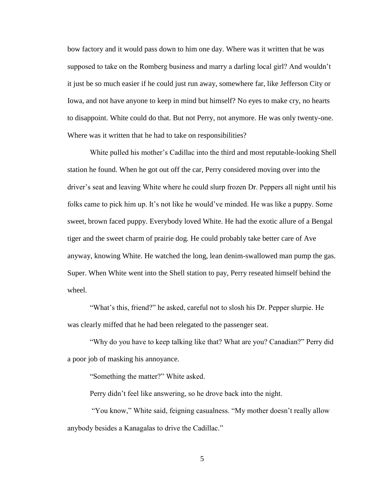bow factory and it would pass down to him one day. Where was it written that he was supposed to take on the Romberg business and marry a darling local girl? And wouldn't it just be so much easier if he could just run away, somewhere far, like Jefferson City or Iowa, and not have anyone to keep in mind but himself? No eyes to make cry, no hearts to disappoint. White could do that. But not Perry, not anymore. He was only twenty-one. Where was it written that he had to take on responsibilities?

White pulled his mother's Cadillac into the third and most reputable-looking Shell station he found. When he got out off the car, Perry considered moving over into the driver's seat and leaving White where he could slurp frozen Dr. Peppers all night until his folks came to pick him up. It's not like he would've minded. He was like a puppy. Some sweet, brown faced puppy. Everybody loved White. He had the exotic allure of a Bengal tiger and the sweet charm of prairie dog. He could probably take better care of Ave anyway, knowing White. He watched the long, lean denim-swallowed man pump the gas. Super. When White went into the Shell station to pay, Perry reseated himself behind the wheel.

"What's this, friend?" he asked, careful not to slosh his Dr. Pepper slurpie. He was clearly miffed that he had been relegated to the passenger seat.

"Why do you have to keep talking like that? What are you? Canadian?" Perry did a poor job of masking his annoyance.

"Something the matter?" White asked.

Perry didn't feel like answering, so he drove back into the night.

"You know," White said, feigning casualness. "My mother doesn't really allow anybody besides a Kanagalas to drive the Cadillac."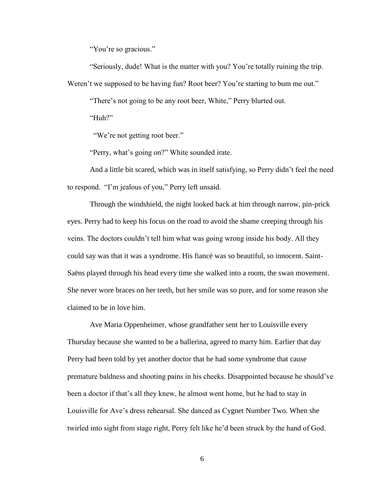"You're so gracious."

"Seriously, dude! What is the matter with you? You're totally ruining the trip. Weren't we supposed to be having fun? Root beer? You're starting to bum me out."

"There's not going to be any root beer, White," Perry blurted out.

"Huh?"

"We're not getting root beer."

"Perry, what's going on?" White sounded irate.

And a little bit scared, which was in itself satisfying, so Perry didn't feel the need to respond. "I'm jealous of you," Perry left unsaid.

Through the windshield, the night looked back at him through narrow, pin-prick eyes. Perry had to keep his focus on the road to avoid the shame creeping through his veins. The doctors couldn't tell him what was going wrong inside his body. All they could say was that it was a syndrome. His fiancé was so beautiful, so innocent. Saint-Saëns played through his head every time she walked into a room, the swan movement. She never wore braces on her teeth, but her smile was so pure, and for some reason she claimed to be in love him.

Ave Maria Oppenheimer, whose grandfather sent her to Louisville every Thursday because she wanted to be a ballerina, agreed to marry him. Earlier that day Perry had been told by yet another doctor that he had some syndrome that cause premature baldness and shooting pains in his cheeks. Disappointed because he should've been a doctor if that's all they knew, he almost went home, but he had to stay in Louisville for Ave's dress rehearsal. She danced as Cygnet Number Two. When she twirled into sight from stage right, Perry felt like he'd been struck by the hand of God.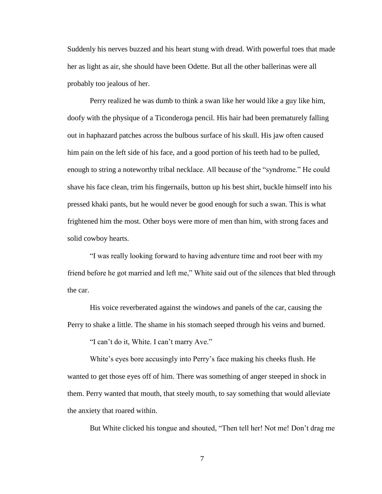Suddenly his nerves buzzed and his heart stung with dread. With powerful toes that made her as light as air, she should have been Odette. But all the other ballerinas were all probably too jealous of her.

Perry realized he was dumb to think a swan like her would like a guy like him, doofy with the physique of a Ticonderoga pencil. His hair had been prematurely falling out in haphazard patches across the bulbous surface of his skull. His jaw often caused him pain on the left side of his face, and a good portion of his teeth had to be pulled, enough to string a noteworthy tribal necklace. All because of the "syndrome." He could shave his face clean, trim his fingernails, button up his best shirt, buckle himself into his pressed khaki pants, but he would never be good enough for such a swan. This is what frightened him the most. Other boys were more of men than him, with strong faces and solid cowboy hearts.

"I was really looking forward to having adventure time and root beer with my friend before he got married and left me," White said out of the silences that bled through the car.

His voice reverberated against the windows and panels of the car, causing the Perry to shake a little. The shame in his stomach seeped through his veins and burned.

"I can't do it, White. I can't marry Ave."

White's eyes bore accusingly into Perry's face making his cheeks flush. He wanted to get those eyes off of him. There was something of anger steeped in shock in them. Perry wanted that mouth, that steely mouth, to say something that would alleviate the anxiety that roared within.

But White clicked his tongue and shouted, "Then tell her! Not me! Don't drag me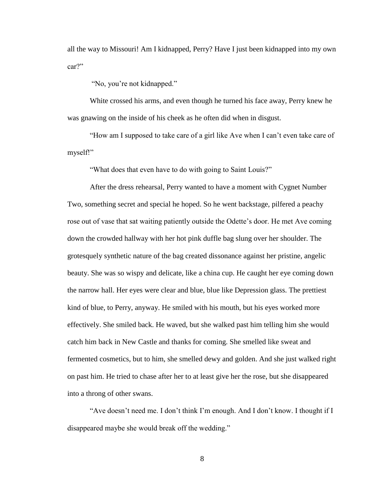all the way to Missouri! Am I kidnapped, Perry? Have I just been kidnapped into my own car?"

"No, you're not kidnapped."

White crossed his arms, and even though he turned his face away, Perry knew he was gnawing on the inside of his cheek as he often did when in disgust.

"How am I supposed to take care of a girl like Ave when I can't even take care of myself!"

"What does that even have to do with going to Saint Louis?"

After the dress rehearsal, Perry wanted to have a moment with Cygnet Number Two, something secret and special he hoped. So he went backstage, pilfered a peachy rose out of vase that sat waiting patiently outside the Odette's door. He met Ave coming down the crowded hallway with her hot pink duffle bag slung over her shoulder. The grotesquely synthetic nature of the bag created dissonance against her pristine, angelic beauty. She was so wispy and delicate, like a china cup. He caught her eye coming down the narrow hall. Her eyes were clear and blue, blue like Depression glass. The prettiest kind of blue, to Perry, anyway. He smiled with his mouth, but his eyes worked more effectively. She smiled back. He waved, but she walked past him telling him she would catch him back in New Castle and thanks for coming. She smelled like sweat and fermented cosmetics, but to him, she smelled dewy and golden. And she just walked right on past him. He tried to chase after her to at least give her the rose, but she disappeared into a throng of other swans.

"Ave doesn't need me. I don't think I'm enough. And I don't know. I thought if I disappeared maybe she would break off the wedding."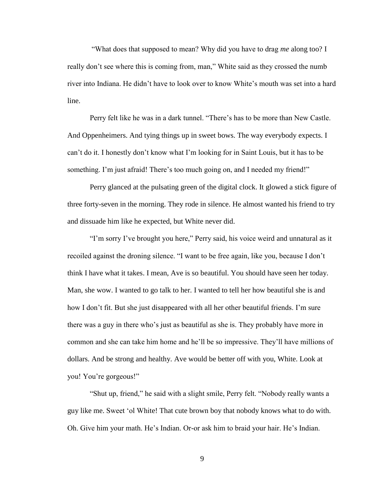"What does that supposed to mean? Why did you have to drag *me* along too? I really don't see where this is coming from, man," White said as they crossed the numb river into Indiana. He didn't have to look over to know White's mouth was set into a hard line.

Perry felt like he was in a dark tunnel. "There's has to be more than New Castle. And Oppenheimers. And tying things up in sweet bows. The way everybody expects. I can't do it. I honestly don't know what I'm looking for in Saint Louis, but it has to be something. I'm just afraid! There's too much going on, and I needed my friend!"

Perry glanced at the pulsating green of the digital clock. It glowed a stick figure of three forty-seven in the morning. They rode in silence. He almost wanted his friend to try and dissuade him like he expected, but White never did.

"I'm sorry I've brought you here," Perry said, his voice weird and unnatural as it recoiled against the droning silence. "I want to be free again, like you, because I don't think I have what it takes. I mean, Ave is so beautiful. You should have seen her today. Man, she wow. I wanted to go talk to her. I wanted to tell her how beautiful she is and how I don't fit. But she just disappeared with all her other beautiful friends. I'm sure there was a guy in there who's just as beautiful as she is. They probably have more in common and she can take him home and he'll be so impressive. They'll have millions of dollars. And be strong and healthy. Ave would be better off with you, White. Look at you! You're gorgeous!"

"Shut up, friend," he said with a slight smile, Perry felt. "Nobody really wants a guy like me. Sweet 'ol White! That cute brown boy that nobody knows what to do with. Oh. Give him your math. He's Indian. Or-or ask him to braid your hair. He's Indian.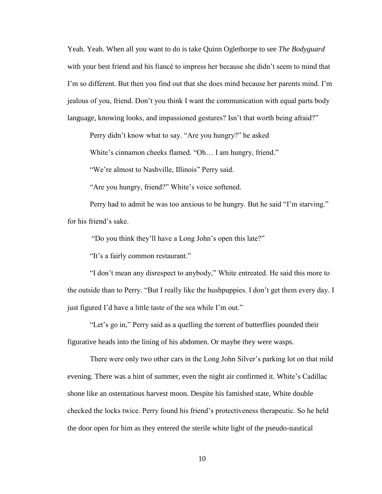Yeah. Yeah. When all you want to do is take Quinn Oglethorpe to see *The Bodyguard* with your best friend and his fiancé to impress her because she didn't seem to mind that I'm so different. But then you find out that she does mind because her parents mind. I'm jealous of you, friend. Don't you think I want the communication with equal parts body language, knowing looks, and impassioned gestures? Isn't that worth being afraid?"

Perry didn't know what to say. "Are you hungry?" he asked

White's cinnamon cheeks flamed. "Oh… I am hungry, friend."

"We're almost to Nashville, Illinois" Perry said.

"Are you hungry, friend?" White's voice softened.

Perry had to admit he was too anxious to be hungry. But he said "I'm starving." for his friend's sake.

"Do you think they'll have a Long John's open this late?"

"It's a fairly common restaurant."

"I don't mean any disrespect to anybody," White entreated. He said this more to the outside than to Perry. "But I really like the hushpuppies. I don't get them every day. I just figured I'd have a little taste of the sea while I'm out."

"Let's go in," Perry said as a quelling the torrent of butterflies pounded their figurative heads into the lining of his abdomen. Or maybe they were wasps.

There were only two other cars in the Long John Silver's parking lot on that mild evening. There was a hint of summer, even the night air confirmed it. White's Cadillac shone like an ostentatious harvest moon. Despite his famished state, White double checked the locks twice. Perry found his friend's protectiveness therapeutic. So he held the door open for him as they entered the sterile white light of the pseudo-nautical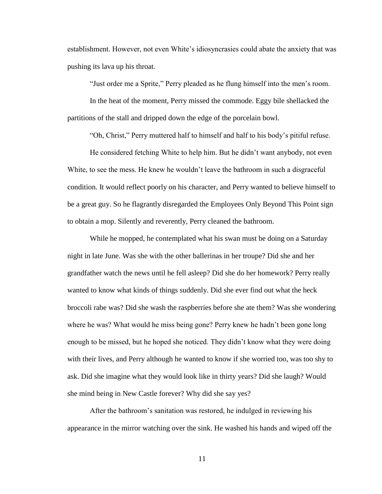establishment. However, not even White's idiosyncrasies could abate the anxiety that was pushing its lava up his throat.

"Just order me a Sprite," Perry pleaded as he flung himself into the men's room.

In the heat of the moment, Perry missed the commode. Eggy bile shellacked the partitions of the stall and dripped down the edge of the porcelain bowl.

"Oh, Christ," Perry muttered half to himself and half to his body's pitiful refuse.

He considered fetching White to help him. But he didn't want anybody, not even White, to see the mess. He knew he wouldn't leave the bathroom in such a disgraceful condition. It would reflect poorly on his character, and Perry wanted to believe himself to be a great guy. So he flagrantly disregarded the Employees Only Beyond This Point sign to obtain a mop. Silently and reverently, Perry cleaned the bathroom.

While he mopped, he contemplated what his swan must be doing on a Saturday night in late June. Was she with the other ballerinas in her troupe? Did she and her grandfather watch the news until he fell asleep? Did she do her homework? Perry really wanted to know what kinds of things suddenly. Did she ever find out what the heck broccoli rabe was? Did she wash the raspberries before she ate them? Was she wondering where he was? What would he miss being gone? Perry knew he hadn't been gone long enough to be missed, but he hoped she noticed. They didn't know what they were doing with their lives, and Perry although he wanted to know if she worried too, was too shy to ask. Did she imagine what they would look like in thirty years? Did she laugh? Would she mind being in New Castle forever? Why did she say yes?

After the bathroom's sanitation was restored, he indulged in reviewing his appearance in the mirror watching over the sink. He washed his hands and wiped off the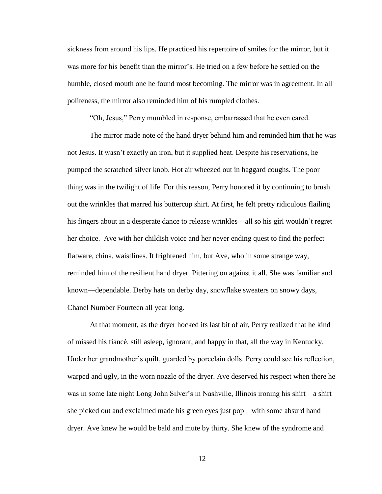sickness from around his lips. He practiced his repertoire of smiles for the mirror, but it was more for his benefit than the mirror's. He tried on a few before he settled on the humble, closed mouth one he found most becoming. The mirror was in agreement. In all politeness, the mirror also reminded him of his rumpled clothes.

"Oh, Jesus," Perry mumbled in response, embarrassed that he even cared.

The mirror made note of the hand dryer behind him and reminded him that he was not Jesus. It wasn't exactly an iron, but it supplied heat. Despite his reservations, he pumped the scratched silver knob. Hot air wheezed out in haggard coughs. The poor thing was in the twilight of life. For this reason, Perry honored it by continuing to brush out the wrinkles that marred his buttercup shirt. At first, he felt pretty ridiculous flailing his fingers about in a desperate dance to release wrinkles—all so his girl wouldn't regret her choice. Ave with her childish voice and her never ending quest to find the perfect flatware, china, waistlines. It frightened him, but Ave, who in some strange way, reminded him of the resilient hand dryer. Pittering on against it all. She was familiar and known—dependable. Derby hats on derby day, snowflake sweaters on snowy days, Chanel Number Fourteen all year long.

At that moment, as the dryer hocked its last bit of air, Perry realized that he kind of missed his fiancé, still asleep, ignorant, and happy in that, all the way in Kentucky. Under her grandmother's quilt, guarded by porcelain dolls. Perry could see his reflection, warped and ugly, in the worn nozzle of the dryer. Ave deserved his respect when there he was in some late night Long John Silver's in Nashville, Illinois ironing his shirt—a shirt she picked out and exclaimed made his green eyes just pop—with some absurd hand dryer. Ave knew he would be bald and mute by thirty. She knew of the syndrome and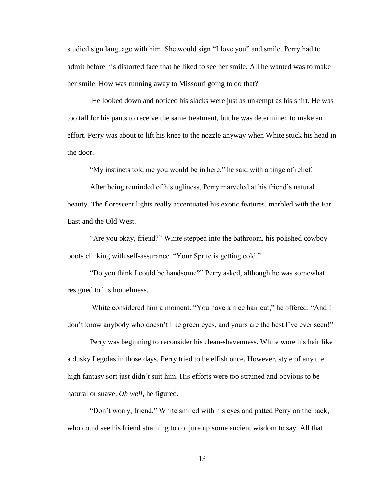studied sign language with him. She would sign "I love you" and smile. Perry had to admit before his distorted face that he liked to see her smile. All he wanted was to make her smile. How was running away to Missouri going to do that?

He looked down and noticed his slacks were just as unkempt as his shirt. He was too tall for his pants to receive the same treatment, but he was determined to make an effort. Perry was about to lift his knee to the nozzle anyway when White stuck his head in the door.

"My instincts told me you would be in here," he said with a tinge of relief.

After being reminded of his ugliness, Perry marveled at his friend's natural beauty. The florescent lights really accentuated his exotic features, marbled with the Far East and the Old West.

"Are you okay, friend?" White stepped into the bathroom, his polished cowboy boots clinking with self-assurance. "Your Sprite is getting cold."

"Do you think I could be handsome?" Perry asked, although he was somewhat resigned to his homeliness.

White considered him a moment. "You have a nice hair cut," he offered. "And I don't know anybody who doesn't like green eyes, and yours are the best I've ever seen!"

Perry was beginning to reconsider his clean-shavenness. White wore his hair like a dusky Legolas in those days. Perry tried to be elfish once. However, style of any the high fantasy sort just didn't suit him. His efforts were too strained and obvious to be natural or suave. *Oh well*, he figured.

"Don't worry, friend." White smiled with his eyes and patted Perry on the back, who could see his friend straining to conjure up some ancient wisdom to say. All that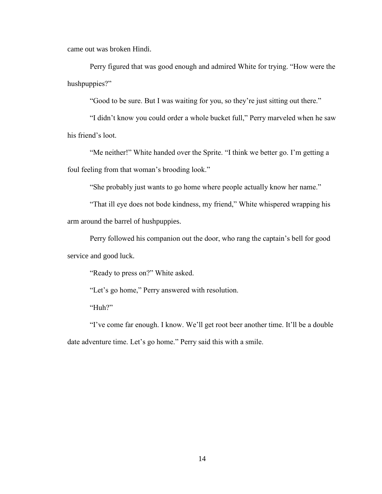came out was broken Hindi.

Perry figured that was good enough and admired White for trying. "How were the hushpuppies?"

"Good to be sure. But I was waiting for you, so they're just sitting out there."

"I didn't know you could order a whole bucket full," Perry marveled when he saw his friend's loot.

"Me neither!" White handed over the Sprite. "I think we better go. I'm getting a foul feeling from that woman's brooding look."

"She probably just wants to go home where people actually know her name."

"That ill eye does not bode kindness, my friend," White whispered wrapping his arm around the barrel of hushpuppies.

Perry followed his companion out the door, who rang the captain's bell for good service and good luck.

"Ready to press on?" White asked.

"Let's go home," Perry answered with resolution.

"Huh?"

"I've come far enough. I know. We'll get root beer another time. It'll be a double date adventure time. Let's go home." Perry said this with a smile.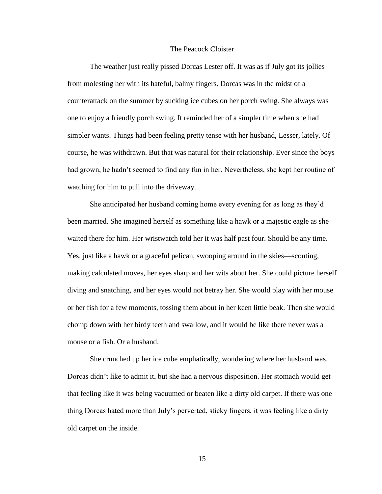#### The Peacock Cloister

The weather just really pissed Dorcas Lester off. It was as if July got its jollies from molesting her with its hateful, balmy fingers. Dorcas was in the midst of a counterattack on the summer by sucking ice cubes on her porch swing. She always was one to enjoy a friendly porch swing. It reminded her of a simpler time when she had simpler wants. Things had been feeling pretty tense with her husband, Lesser, lately. Of course, he was withdrawn. But that was natural for their relationship. Ever since the boys had grown, he hadn't seemed to find any fun in her. Nevertheless, she kept her routine of watching for him to pull into the driveway.

She anticipated her husband coming home every evening for as long as they'd been married. She imagined herself as something like a hawk or a majestic eagle as she waited there for him. Her wristwatch told her it was half past four. Should be any time. Yes, just like a hawk or a graceful pelican, swooping around in the skies—scouting, making calculated moves, her eyes sharp and her wits about her. She could picture herself diving and snatching, and her eyes would not betray her. She would play with her mouse or her fish for a few moments, tossing them about in her keen little beak. Then she would chomp down with her birdy teeth and swallow, and it would be like there never was a mouse or a fish. Or a husband.

She crunched up her ice cube emphatically, wondering where her husband was. Dorcas didn't like to admit it, but she had a nervous disposition. Her stomach would get that feeling like it was being vacuumed or beaten like a dirty old carpet. If there was one thing Dorcas hated more than July's perverted, sticky fingers, it was feeling like a dirty old carpet on the inside.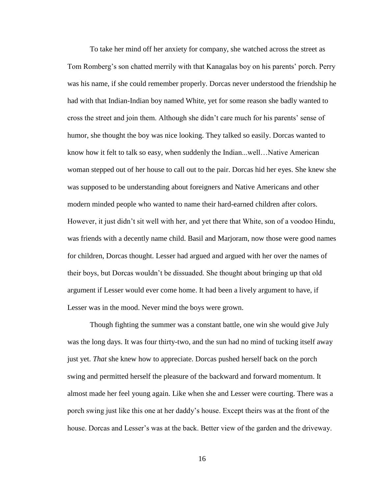To take her mind off her anxiety for company, she watched across the street as Tom Romberg's son chatted merrily with that Kanagalas boy on his parents' porch. Perry was his name, if she could remember properly. Dorcas never understood the friendship he had with that Indian-Indian boy named White, yet for some reason she badly wanted to cross the street and join them. Although she didn't care much for his parents' sense of humor, she thought the boy was nice looking. They talked so easily. Dorcas wanted to know how it felt to talk so easy, when suddenly the Indian...well…Native American woman stepped out of her house to call out to the pair. Dorcas hid her eyes. She knew she was supposed to be understanding about foreigners and Native Americans and other modern minded people who wanted to name their hard-earned children after colors. However, it just didn't sit well with her, and yet there that White, son of a voodoo Hindu, was friends with a decently name child. Basil and Marjoram, now those were good names for children, Dorcas thought. Lesser had argued and argued with her over the names of their boys, but Dorcas wouldn't be dissuaded. She thought about bringing up that old argument if Lesser would ever come home. It had been a lively argument to have, if Lesser was in the mood. Never mind the boys were grown.

Though fighting the summer was a constant battle, one win she would give July was the long days. It was four thirty-two, and the sun had no mind of tucking itself away just yet. *That* she knew how to appreciate. Dorcas pushed herself back on the porch swing and permitted herself the pleasure of the backward and forward momentum. It almost made her feel young again. Like when she and Lesser were courting. There was a porch swing just like this one at her daddy's house. Except theirs was at the front of the house. Dorcas and Lesser's was at the back. Better view of the garden and the driveway.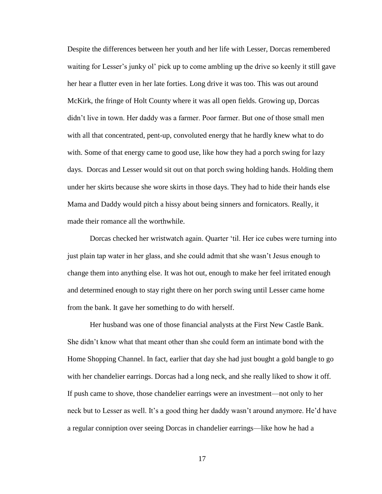Despite the differences between her youth and her life with Lesser, Dorcas remembered waiting for Lesser's junky ol' pick up to come ambling up the drive so keenly it still gave her hear a flutter even in her late forties. Long drive it was too. This was out around McKirk, the fringe of Holt County where it was all open fields. Growing up, Dorcas didn't live in town. Her daddy was a farmer. Poor farmer. But one of those small men with all that concentrated, pent-up, convoluted energy that he hardly knew what to do with. Some of that energy came to good use, like how they had a porch swing for lazy days. Dorcas and Lesser would sit out on that porch swing holding hands. Holding them under her skirts because she wore skirts in those days. They had to hide their hands else Mama and Daddy would pitch a hissy about being sinners and fornicators. Really, it made their romance all the worthwhile.

Dorcas checked her wristwatch again. Quarter 'til. Her ice cubes were turning into just plain tap water in her glass, and she could admit that she wasn't Jesus enough to change them into anything else. It was hot out, enough to make her feel irritated enough and determined enough to stay right there on her porch swing until Lesser came home from the bank. It gave her something to do with herself.

Her husband was one of those financial analysts at the First New Castle Bank. She didn't know what that meant other than she could form an intimate bond with the Home Shopping Channel. In fact, earlier that day she had just bought a gold bangle to go with her chandelier earrings. Dorcas had a long neck, and she really liked to show it off. If push came to shove, those chandelier earrings were an investment—not only to her neck but to Lesser as well. It's a good thing her daddy wasn't around anymore. He'd have a regular conniption over seeing Dorcas in chandelier earrings—like how he had a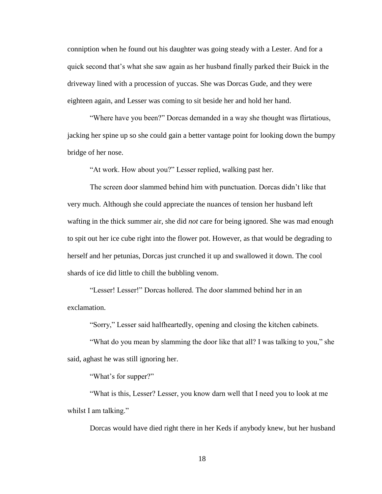conniption when he found out his daughter was going steady with a Lester. And for a quick second that's what she saw again as her husband finally parked their Buick in the driveway lined with a procession of yuccas. She was Dorcas Gude, and they were eighteen again, and Lesser was coming to sit beside her and hold her hand.

"Where have you been?" Dorcas demanded in a way she thought was flirtatious, jacking her spine up so she could gain a better vantage point for looking down the bumpy bridge of her nose.

"At work. How about you?" Lesser replied, walking past her.

The screen door slammed behind him with punctuation. Dorcas didn't like that very much. Although she could appreciate the nuances of tension her husband left wafting in the thick summer air, she did *not* care for being ignored. She was mad enough to spit out her ice cube right into the flower pot. However, as that would be degrading to herself and her petunias, Dorcas just crunched it up and swallowed it down. The cool shards of ice did little to chill the bubbling venom.

"Lesser! Lesser!" Dorcas hollered. The door slammed behind her in an exclamation.

"Sorry," Lesser said halfheartedly, opening and closing the kitchen cabinets.

"What do you mean by slamming the door like that all? I was talking to you," she said, aghast he was still ignoring her.

"What's for supper?"

"What is this, Lesser? Lesser, you know darn well that I need you to look at me whilst I am talking."

Dorcas would have died right there in her Keds if anybody knew, but her husband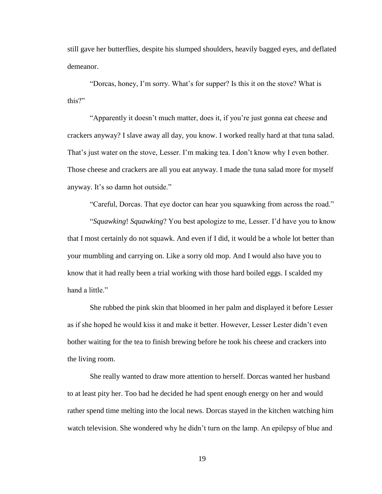still gave her butterflies, despite his slumped shoulders, heavily bagged eyes, and deflated demeanor.

"Dorcas, honey, I'm sorry. What's for supper? Is this it on the stove? What is this?"

"Apparently it doesn't much matter, does it, if you're just gonna eat cheese and crackers anyway? I slave away all day, you know. I worked really hard at that tuna salad. That's just water on the stove, Lesser. I'm making tea. I don't know why I even bother. Those cheese and crackers are all you eat anyway. I made the tuna salad more for myself anyway. It's so damn hot outside."

"Careful, Dorcas. That eye doctor can hear you squawking from across the road."

"*Squawking*! *Squawking*? You best apologize to me, Lesser. I'd have you to know that I most certainly do not squawk. And even if I did, it would be a whole lot better than your mumbling and carrying on. Like a sorry old mop. And I would also have you to know that it had really been a trial working with those hard boiled eggs. I scalded my hand a little."

She rubbed the pink skin that bloomed in her palm and displayed it before Lesser as if she hoped he would kiss it and make it better. However, Lesser Lester didn't even bother waiting for the tea to finish brewing before he took his cheese and crackers into the living room.

She really wanted to draw more attention to herself. Dorcas wanted her husband to at least pity her. Too bad he decided he had spent enough energy on her and would rather spend time melting into the local news. Dorcas stayed in the kitchen watching him watch television. She wondered why he didn't turn on the lamp. An epilepsy of blue and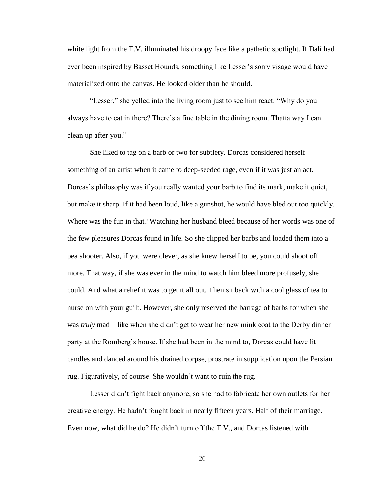white light from the T.V. illuminated his droopy face like a pathetic spotlight. If Dalí had ever been inspired by Basset Hounds, something like Lesser's sorry visage would have materialized onto the canvas. He looked older than he should.

"Lesser," she yelled into the living room just to see him react. "Why do you always have to eat in there? There's a fine table in the dining room. Thatta way I can clean up after you."

She liked to tag on a barb or two for subtlety. Dorcas considered herself something of an artist when it came to deep-seeded rage, even if it was just an act. Dorcas's philosophy was if you really wanted your barb to find its mark, make it quiet, but make it sharp. If it had been loud, like a gunshot, he would have bled out too quickly. Where was the fun in that? Watching her husband bleed because of her words was one of the few pleasures Dorcas found in life. So she clipped her barbs and loaded them into a pea shooter. Also, if you were clever, as she knew herself to be, you could shoot off more. That way, if she was ever in the mind to watch him bleed more profusely, she could. And what a relief it was to get it all out. Then sit back with a cool glass of tea to nurse on with your guilt. However, she only reserved the barrage of barbs for when she was *truly* mad—like when she didn't get to wear her new mink coat to the Derby dinner party at the Romberg's house. If she had been in the mind to, Dorcas could have lit candles and danced around his drained corpse, prostrate in supplication upon the Persian rug. Figuratively, of course. She wouldn't want to ruin the rug.

Lesser didn't fight back anymore, so she had to fabricate her own outlets for her creative energy. He hadn't fought back in nearly fifteen years. Half of their marriage. Even now, what did he do? He didn't turn off the T.V., and Dorcas listened with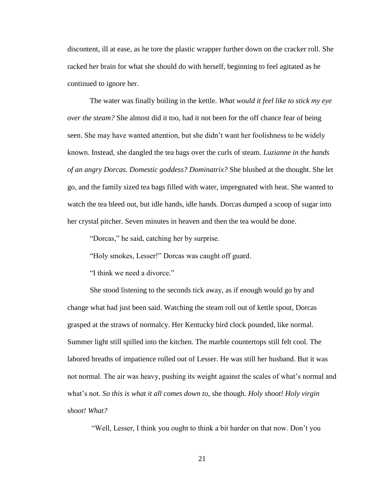discontent, ill at ease, as he tore the plastic wrapper further down on the cracker roll. She racked her brain for what she should do with herself, beginning to feel agitated as he continued to ignore her.

The water was finally boiling in the kettle. *What would it feel like to stick my eye over the steam?* She almost did it too, had it not been for the off chance fear of being seen. She may have wanted attention, but she didn't want her foolishness to be widely known. Instead, she dangled the tea bags over the curls of steam. *Luzianne in the hands of an angry Dorcas. Domestic goddess? Dominatrix?* She blushed at the thought. She let go, and the family sized tea bags filled with water, impregnated with heat. She wanted to watch the tea bleed out, but idle hands, idle hands. Dorcas dumped a scoop of sugar into her crystal pitcher. Seven minutes in heaven and then the tea would be done.

"Dorcas," he said, catching her by surprise.

"Holy smokes, Lesser!" Dorcas was caught off guard.

"I think we need a divorce."

She stood listening to the seconds tick away, as if enough would go by and change what had just been said. Watching the steam roll out of kettle spout, Dorcas grasped at the straws of normalcy. Her Kentucky bird clock pounded, like normal. Summer light still spilled into the kitchen. The marble countertops still felt cool. The labored breaths of impatience rolled out of Lesser. He was still her husband. But it was not normal. The air was heavy, pushing its weight against the scales of what's normal and what's not. *So this is what it all comes down to*, she though. *Holy shoot! Holy virgin shoot! What?*

"Well, Lesser, I think you ought to think a bit harder on that now. Don't you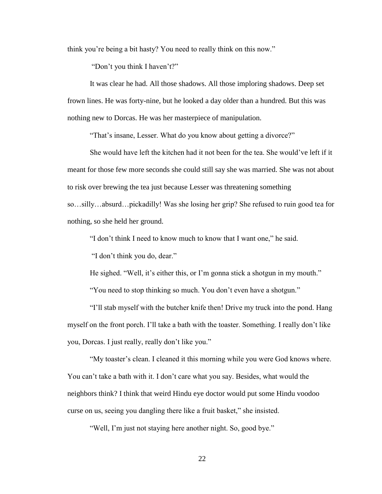think you're being a bit hasty? You need to really think on this now."

"Don't you think I haven't?"

It was clear he had. All those shadows. All those imploring shadows. Deep set frown lines. He was forty-nine, but he looked a day older than a hundred. But this was nothing new to Dorcas. He was her masterpiece of manipulation.

"That's insane, Lesser. What do you know about getting a divorce?"

She would have left the kitchen had it not been for the tea. She would've left if it meant for those few more seconds she could still say she was married. She was not about to risk over brewing the tea just because Lesser was threatening something so…silly…absurd…pickadilly! Was she losing her grip? She refused to ruin good tea for nothing, so she held her ground.

"I don't think I need to know much to know that I want one," he said.

"I don't think you do, dear."

He sighed. "Well, it's either this, or I'm gonna stick a shotgun in my mouth."

"You need to stop thinking so much. You don't even have a shotgun."

"I'll stab myself with the butcher knife then! Drive my truck into the pond. Hang myself on the front porch. I'll take a bath with the toaster. Something. I really don't like you, Dorcas. I just really, really don't like you."

"My toaster's clean. I cleaned it this morning while you were God knows where. You can't take a bath with it. I don't care what you say. Besides, what would the neighbors think? I think that weird Hindu eye doctor would put some Hindu voodoo curse on us, seeing you dangling there like a fruit basket," she insisted.

"Well, I'm just not staying here another night. So, good bye."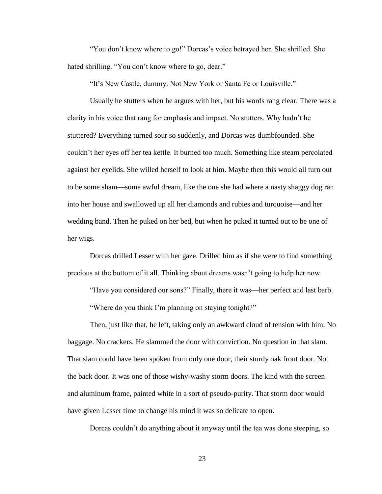"You don't know where to go!" Dorcas's voice betrayed her. She shrilled. She hated shrilling. "You don't know where to go, dear."

"It's New Castle, dummy. Not New York or Santa Fe or Louisville."

Usually he stutters when he argues with her, but his words rang clear. There was a clarity in his voice that rang for emphasis and impact. No stutters. Why hadn't he stuttered? Everything turned sour so suddenly, and Dorcas was dumbfounded. She couldn't her eyes off her tea kettle. It burned too much. Something like steam percolated against her eyelids. She willed herself to look at him. Maybe then this would all turn out to be some sham—some awful dream, like the one she had where a nasty shaggy dog ran into her house and swallowed up all her diamonds and rubies and turquoise—and her wedding band. Then he puked on her bed, but when he puked it turned out to be one of her wigs.

Dorcas drilled Lesser with her gaze. Drilled him as if she were to find something precious at the bottom of it all. Thinking about dreams wasn't going to help her now.

"Have you considered our sons?" Finally, there it was—her perfect and last barb.

"Where do you think I'm planning on staying tonight?"

Then, just like that, he left, taking only an awkward cloud of tension with him. No baggage. No crackers. He slammed the door with conviction. No question in that slam. That slam could have been spoken from only one door, their sturdy oak front door. Not the back door. It was one of those wishy-washy storm doors. The kind with the screen and aluminum frame, painted white in a sort of pseudo-purity. That storm door would have given Lesser time to change his mind it was so delicate to open.

Dorcas couldn't do anything about it anyway until the tea was done steeping, so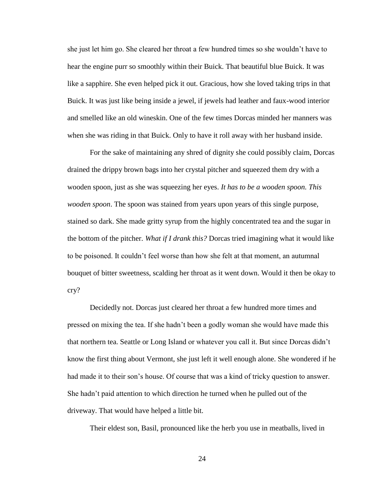she just let him go. She cleared her throat a few hundred times so she wouldn't have to hear the engine purr so smoothly within their Buick. That beautiful blue Buick. It was like a sapphire. She even helped pick it out. Gracious, how she loved taking trips in that Buick. It was just like being inside a jewel, if jewels had leather and faux-wood interior and smelled like an old wineskin. One of the few times Dorcas minded her manners was when she was riding in that Buick. Only to have it roll away with her husband inside.

For the sake of maintaining any shred of dignity she could possibly claim, Dorcas drained the drippy brown bags into her crystal pitcher and squeezed them dry with a wooden spoon, just as she was squeezing her eyes. *It has to be a wooden spoon. This wooden spoon*. The spoon was stained from years upon years of this single purpose, stained so dark. She made gritty syrup from the highly concentrated tea and the sugar in the bottom of the pitcher. *What if I drank this?* Dorcas tried imagining what it would like to be poisoned. It couldn't feel worse than how she felt at that moment, an autumnal bouquet of bitter sweetness, scalding her throat as it went down. Would it then be okay to cry?

Decidedly not. Dorcas just cleared her throat a few hundred more times and pressed on mixing the tea. If she hadn't been a godly woman she would have made this that northern tea. Seattle or Long Island or whatever you call it. But since Dorcas didn't know the first thing about Vermont, she just left it well enough alone. She wondered if he had made it to their son's house. Of course that was a kind of tricky question to answer. She hadn't paid attention to which direction he turned when he pulled out of the driveway. That would have helped a little bit.

Their eldest son, Basil, pronounced like the herb you use in meatballs, lived in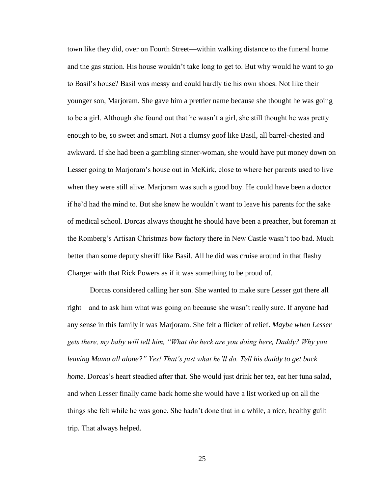town like they did, over on Fourth Street—within walking distance to the funeral home and the gas station. His house wouldn't take long to get to. But why would he want to go to Basil's house? Basil was messy and could hardly tie his own shoes. Not like their younger son, Marjoram. She gave him a prettier name because she thought he was going to be a girl. Although she found out that he wasn't a girl, she still thought he was pretty enough to be, so sweet and smart. Not a clumsy goof like Basil, all barrel-chested and awkward. If she had been a gambling sinner-woman, she would have put money down on Lesser going to Marjoram's house out in McKirk, close to where her parents used to live when they were still alive. Marjoram was such a good boy. He could have been a doctor if he'd had the mind to. But she knew he wouldn't want to leave his parents for the sake of medical school. Dorcas always thought he should have been a preacher, but foreman at the Romberg's Artisan Christmas bow factory there in New Castle wasn't too bad. Much better than some deputy sheriff like Basil. All he did was cruise around in that flashy Charger with that Rick Powers as if it was something to be proud of.

Dorcas considered calling her son. She wanted to make sure Lesser got there all right—and to ask him what was going on because she wasn't really sure. If anyone had any sense in this family it was Marjoram. She felt a flicker of relief. *Maybe when Lesser gets there, my baby will tell him, "What the heck are you doing here, Daddy? Why you leaving Mama all alone?" Yes! That's just what he'll do. Tell his daddy to get back home.* Dorcas's heart steadied after that. She would just drink her tea, eat her tuna salad, and when Lesser finally came back home she would have a list worked up on all the things she felt while he was gone. She hadn't done that in a while, a nice, healthy guilt trip. That always helped.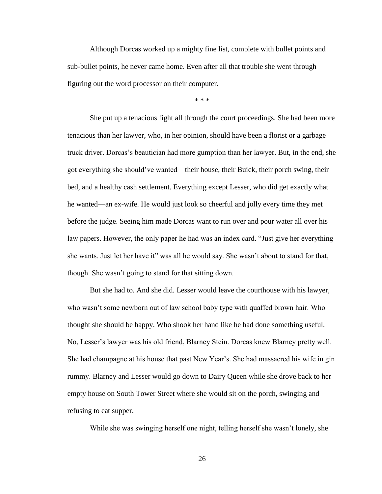Although Dorcas worked up a mighty fine list, complete with bullet points and sub-bullet points, he never came home. Even after all that trouble she went through figuring out the word processor on their computer.

\* \* \*

She put up a tenacious fight all through the court proceedings. She had been more tenacious than her lawyer, who, in her opinion, should have been a florist or a garbage truck driver. Dorcas's beautician had more gumption than her lawyer. But, in the end, she got everything she should've wanted—their house, their Buick, their porch swing, their bed, and a healthy cash settlement. Everything except Lesser, who did get exactly what he wanted—an ex-wife. He would just look so cheerful and jolly every time they met before the judge. Seeing him made Dorcas want to run over and pour water all over his law papers. However, the only paper he had was an index card. "Just give her everything she wants. Just let her have it" was all he would say. She wasn't about to stand for that, though. She wasn't going to stand for that sitting down.

But she had to. And she did. Lesser would leave the courthouse with his lawyer, who wasn't some newborn out of law school baby type with quaffed brown hair. Who thought she should be happy. Who shook her hand like he had done something useful. No, Lesser's lawyer was his old friend, Blarney Stein. Dorcas knew Blarney pretty well. She had champagne at his house that past New Year's. She had massacred his wife in gin rummy. Blarney and Lesser would go down to Dairy Queen while she drove back to her empty house on South Tower Street where she would sit on the porch, swinging and refusing to eat supper.

While she was swinging herself one night, telling herself she wasn't lonely, she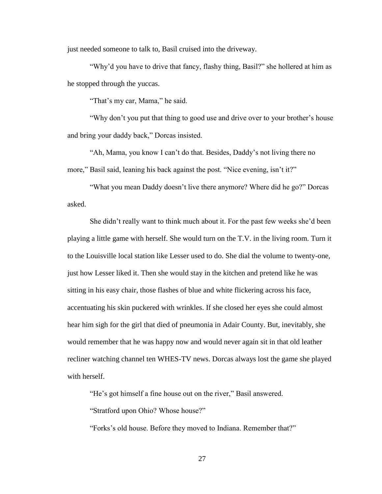just needed someone to talk to, Basil cruised into the driveway.

"Why'd you have to drive that fancy, flashy thing, Basil?" she hollered at him as he stopped through the yuccas.

"That's my car, Mama," he said.

"Why don't you put that thing to good use and drive over to your brother's house and bring your daddy back," Dorcas insisted.

"Ah, Mama, you know I can't do that. Besides, Daddy's not living there no more," Basil said, leaning his back against the post. "Nice evening, isn't it?"

"What you mean Daddy doesn't live there anymore? Where did he go?" Dorcas asked.

She didn't really want to think much about it. For the past few weeks she'd been playing a little game with herself. She would turn on the T.V. in the living room. Turn it to the Louisville local station like Lesser used to do. She dial the volume to twenty-one, just how Lesser liked it. Then she would stay in the kitchen and pretend like he was sitting in his easy chair, those flashes of blue and white flickering across his face, accentuating his skin puckered with wrinkles. If she closed her eyes she could almost hear him sigh for the girl that died of pneumonia in Adair County. But, inevitably, she would remember that he was happy now and would never again sit in that old leather recliner watching channel ten WHES-TV news. Dorcas always lost the game she played with herself.

"He's got himself a fine house out on the river," Basil answered.

"Stratford upon Ohio? Whose house?"

"Forks's old house. Before they moved to Indiana. Remember that?"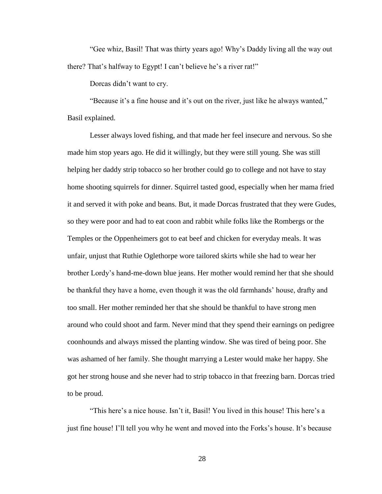"Gee whiz, Basil! That was thirty years ago! Why's Daddy living all the way out there? That's halfway to Egypt! I can't believe he's a river rat!"

Dorcas didn't want to cry.

"Because it's a fine house and it's out on the river, just like he always wanted," Basil explained.

Lesser always loved fishing, and that made her feel insecure and nervous. So she made him stop years ago. He did it willingly, but they were still young. She was still helping her daddy strip tobacco so her brother could go to college and not have to stay home shooting squirrels for dinner. Squirrel tasted good, especially when her mama fried it and served it with poke and beans. But, it made Dorcas frustrated that they were Gudes, so they were poor and had to eat coon and rabbit while folks like the Rombergs or the Temples or the Oppenheimers got to eat beef and chicken for everyday meals. It was unfair, unjust that Ruthie Oglethorpe wore tailored skirts while she had to wear her brother Lordy's hand-me-down blue jeans. Her mother would remind her that she should be thankful they have a home, even though it was the old farmhands' house, drafty and too small. Her mother reminded her that she should be thankful to have strong men around who could shoot and farm. Never mind that they spend their earnings on pedigree coonhounds and always missed the planting window. She was tired of being poor. She was ashamed of her family. She thought marrying a Lester would make her happy. She got her strong house and she never had to strip tobacco in that freezing barn. Dorcas tried to be proud.

"This here's a nice house. Isn't it, Basil! You lived in this house! This here's a just fine house! I'll tell you why he went and moved into the Forks's house. It's because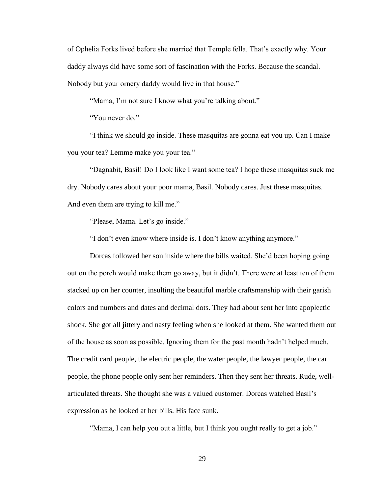of Ophelia Forks lived before she married that Temple fella. That's exactly why. Your daddy always did have some sort of fascination with the Forks. Because the scandal. Nobody but your ornery daddy would live in that house."

"Mama, I'm not sure I know what you're talking about."

"You never do."

"I think we should go inside. These masquitas are gonna eat you up. Can I make you your tea? Lemme make you your tea."

"Dagnabit, Basil! Do I look like I want some tea? I hope these masquitas suck me dry. Nobody cares about your poor mama, Basil. Nobody cares. Just these masquitas. And even them are trying to kill me."

"Please, Mama. Let's go inside."

"I don't even know where inside is. I don't know anything anymore."

Dorcas followed her son inside where the bills waited. She'd been hoping going out on the porch would make them go away, but it didn't. There were at least ten of them stacked up on her counter, insulting the beautiful marble craftsmanship with their garish colors and numbers and dates and decimal dots. They had about sent her into apoplectic shock. She got all jittery and nasty feeling when she looked at them. She wanted them out of the house as soon as possible. Ignoring them for the past month hadn't helped much. The credit card people, the electric people, the water people, the lawyer people, the car people, the phone people only sent her reminders. Then they sent her threats. Rude, wellarticulated threats. She thought she was a valued customer. Dorcas watched Basil's expression as he looked at her bills. His face sunk.

"Mama, I can help you out a little, but I think you ought really to get a job."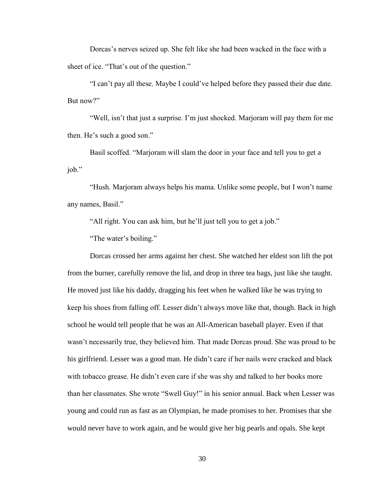Dorcas's nerves seized up. She felt like she had been wacked in the face with a sheet of ice. "That's out of the question."

"I can't pay all these. Maybe I could've helped before they passed their due date. But now?"

"Well, isn't that just a surprise. I'm just shocked. Marjoram will pay them for me then. He's such a good son."

Basil scoffed. "Marjoram will slam the door in your face and tell you to get a job."

"Hush. Marjoram always helps his mama. Unlike some people, but I won't name any names, Basil."

"All right. You can ask him, but he'll just tell you to get a job."

"The water's boiling."

Dorcas crossed her arms against her chest. She watched her eldest son lift the pot from the burner, carefully remove the lid, and drop in three tea bags, just like she taught. He moved just like his daddy, dragging his feet when he walked like he was trying to keep his shoes from falling off. Lesser didn't always move like that, though. Back in high school he would tell people that he was an All-American baseball player. Even if that wasn't necessarily true, they believed him. That made Dorcas proud. She was proud to be his girlfriend. Lesser was a good man. He didn't care if her nails were cracked and black with tobacco grease. He didn't even care if she was shy and talked to her books more than her classmates. She wrote "Swell Guy!" in his senior annual. Back when Lesser was young and could run as fast as an Olympian, he made promises to her. Promises that she would never have to work again, and he would give her big pearls and opals. She kept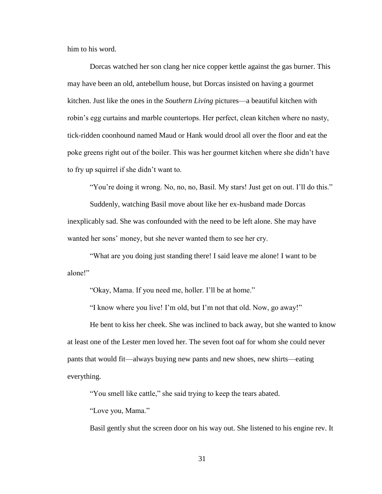him to his word.

Dorcas watched her son clang her nice copper kettle against the gas burner. This may have been an old, antebellum house, but Dorcas insisted on having a gourmet kitchen. Just like the ones in the *Southern Living* pictures—a beautiful kitchen with robin's egg curtains and marble countertops. Her perfect, clean kitchen where no nasty, tick-ridden coonhound named Maud or Hank would drool all over the floor and eat the poke greens right out of the boiler. This was her gourmet kitchen where she didn't have to fry up squirrel if she didn't want to.

"You're doing it wrong. No, no, no, Basil. My stars! Just get on out. I'll do this."

Suddenly, watching Basil move about like her ex-husband made Dorcas inexplicably sad. She was confounded with the need to be left alone. She may have wanted her sons' money, but she never wanted them to see her cry.

"What are you doing just standing there! I said leave me alone! I want to be alone!"

"Okay, Mama. If you need me, holler. I'll be at home."

"I know where you live! I'm old, but I'm not that old. Now, go away!"

He bent to kiss her cheek. She was inclined to back away, but she wanted to know at least one of the Lester men loved her. The seven foot oaf for whom she could never pants that would fit—always buying new pants and new shoes, new shirts—eating everything.

"You smell like cattle," she said trying to keep the tears abated.

"Love you, Mama."

Basil gently shut the screen door on his way out. She listened to his engine rev. It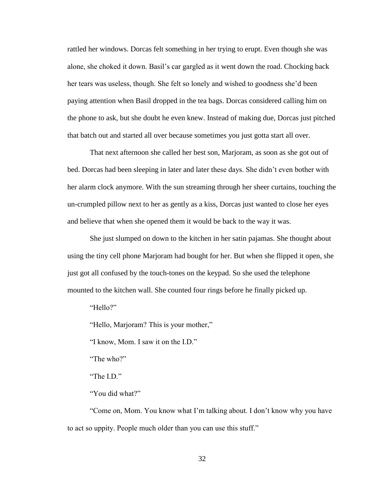rattled her windows. Dorcas felt something in her trying to erupt. Even though she was alone, she choked it down. Basil's car gargled as it went down the road. Chocking back her tears was useless, though. She felt so lonely and wished to goodness she'd been paying attention when Basil dropped in the tea bags. Dorcas considered calling him on the phone to ask, but she doubt he even knew. Instead of making due, Dorcas just pitched that batch out and started all over because sometimes you just gotta start all over.

That next afternoon she called her best son, Marjoram, as soon as she got out of bed. Dorcas had been sleeping in later and later these days. She didn't even bother with her alarm clock anymore. With the sun streaming through her sheer curtains, touching the un-crumpled pillow next to her as gently as a kiss, Dorcas just wanted to close her eyes and believe that when she opened them it would be back to the way it was.

She just slumped on down to the kitchen in her satin pajamas. She thought about using the tiny cell phone Marjoram had bought for her. But when she flipped it open, she just got all confused by the touch-tones on the keypad. So she used the telephone mounted to the kitchen wall. She counted four rings before he finally picked up.

"Hello?"

"Hello, Marjoram? This is your mother,"

"I know, Mom. I saw it on the I.D."

"The who?"

"The I.D."

"You did what?"

"Come on, Mom. You know what I'm talking about. I don't know why you have to act so uppity. People much older than you can use this stuff."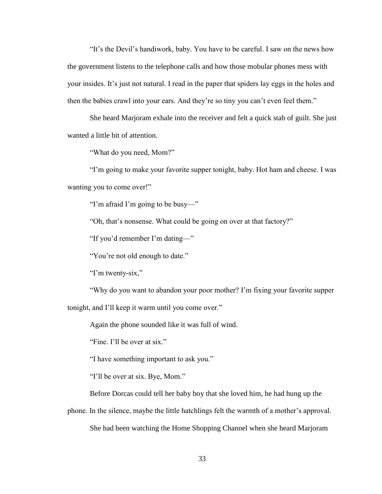"It's the Devil's handiwork, baby. You have to be careful. I saw on the news how the government listens to the telephone calls and how those mobular phones mess with your insides. It's just not natural. I read in the paper that spiders lay eggs in the holes and then the babies crawl into your ears. And they're so tiny you can't even feel them."

She heard Marjoram exhale into the receiver and felt a quick stab of guilt. She just wanted a little bit of attention.

"What do you need, Mom?"

"I'm going to make your favorite supper tonight, baby. Hot ham and cheese. I was wanting you to come over!"

"I'm afraid I'm going to be busy—"

"Oh, that's nonsense. What could be going on over at that factory?"

"If you'd remember I'm dating—"

"You're not old enough to date."

"I'm twenty-six,"

"Why do you want to abandon your poor mother? I'm fixing your favorite supper tonight, and I'll keep it warm until you come over."

Again the phone sounded like it was full of wind.

"Fine. I'll be over at six."

"I have something important to ask you."

"I'll be over at six. Bye, Mom."

Before Dorcas could tell her baby boy that she loved him, he had hung up the

phone. In the silence, maybe the little hatchlings felt the warmth of a mother's approval. She had been watching the Home Shopping Channel when she heard Marjoram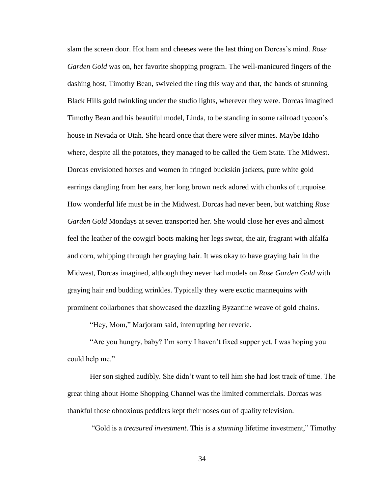slam the screen door. Hot ham and cheeses were the last thing on Dorcas's mind. *Rose Garden Gold* was on, her favorite shopping program. The well-manicured fingers of the dashing host, Timothy Bean, swiveled the ring this way and that, the bands of stunning Black Hills gold twinkling under the studio lights, wherever they were. Dorcas imagined Timothy Bean and his beautiful model, Linda, to be standing in some railroad tycoon's house in Nevada or Utah. She heard once that there were silver mines. Maybe Idaho where, despite all the potatoes, they managed to be called the Gem State. The Midwest. Dorcas envisioned horses and women in fringed buckskin jackets, pure white gold earrings dangling from her ears, her long brown neck adored with chunks of turquoise. How wonderful life must be in the Midwest. Dorcas had never been, but watching *Rose Garden Gold* Mondays at seven transported her. She would close her eyes and almost feel the leather of the cowgirl boots making her legs sweat, the air, fragrant with alfalfa and corn, whipping through her graying hair. It was okay to have graying hair in the Midwest, Dorcas imagined, although they never had models on *Rose Garden Gold* with graying hair and budding wrinkles. Typically they were exotic mannequins with prominent collarbones that showcased the dazzling Byzantine weave of gold chains.

"Hey, Mom," Marjoram said, interrupting her reverie.

"Are you hungry, baby? I'm sorry I haven't fixed supper yet. I was hoping you could help me."

Her son sighed audibly. She didn't want to tell him she had lost track of time. The great thing about Home Shopping Channel was the limited commercials. Dorcas was thankful those obnoxious peddlers kept their noses out of quality television.

"Gold is a *treasured investment*. This is a *stunning* lifetime investment," Timothy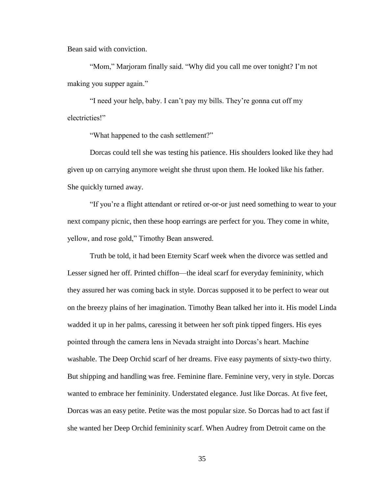Bean said with conviction.

"Mom," Marjoram finally said. "Why did you call me over tonight? I'm not making you supper again."

"I need your help, baby. I can't pay my bills. They're gonna cut off my electricties!"

"What happened to the cash settlement?"

Dorcas could tell she was testing his patience. His shoulders looked like they had given up on carrying anymore weight she thrust upon them. He looked like his father. She quickly turned away.

"If you're a flight attendant or retired or-or-or just need something to wear to your next company picnic, then these hoop earrings are perfect for you. They come in white, yellow, and rose gold," Timothy Bean answered.

Truth be told, it had been Eternity Scarf week when the divorce was settled and Lesser signed her off. Printed chiffon—the ideal scarf for everyday femininity, which they assured her was coming back in style. Dorcas supposed it to be perfect to wear out on the breezy plains of her imagination. Timothy Bean talked her into it. His model Linda wadded it up in her palms, caressing it between her soft pink tipped fingers. His eyes pointed through the camera lens in Nevada straight into Dorcas's heart. Machine washable. The Deep Orchid scarf of her dreams. Five easy payments of sixty-two thirty. But shipping and handling was free. Feminine flare. Feminine very, very in style. Dorcas wanted to embrace her femininity. Understated elegance. Just like Dorcas. At five feet, Dorcas was an easy petite. Petite was the most popular size. So Dorcas had to act fast if she wanted her Deep Orchid femininity scarf. When Audrey from Detroit came on the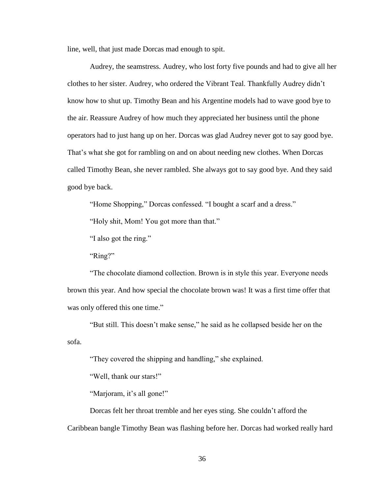line, well, that just made Dorcas mad enough to spit.

Audrey, the seamstress. Audrey, who lost forty five pounds and had to give all her clothes to her sister. Audrey, who ordered the Vibrant Teal. Thankfully Audrey didn't know how to shut up. Timothy Bean and his Argentine models had to wave good bye to the air. Reassure Audrey of how much they appreciated her business until the phone operators had to just hang up on her. Dorcas was glad Audrey never got to say good bye. That's what she got for rambling on and on about needing new clothes. When Dorcas called Timothy Bean, she never rambled. She always got to say good bye. And they said good bye back.

"Home Shopping," Dorcas confessed. "I bought a scarf and a dress."

"Holy shit, Mom! You got more than that."

"I also got the ring."

"Ring?"

"The chocolate diamond collection. Brown is in style this year. Everyone needs brown this year. And how special the chocolate brown was! It was a first time offer that was only offered this one time."

"But still. This doesn't make sense," he said as he collapsed beside her on the sofa.

"They covered the shipping and handling," she explained.

"Well, thank our stars!"

"Marjoram, it's all gone!"

Dorcas felt her throat tremble and her eyes sting. She couldn't afford the

Caribbean bangle Timothy Bean was flashing before her. Dorcas had worked really hard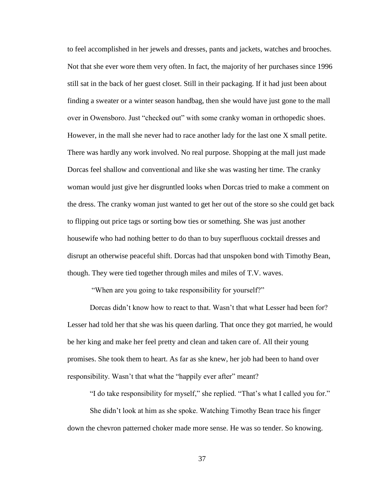to feel accomplished in her jewels and dresses, pants and jackets, watches and brooches. Not that she ever wore them very often. In fact, the majority of her purchases since 1996 still sat in the back of her guest closet. Still in their packaging. If it had just been about finding a sweater or a winter season handbag, then she would have just gone to the mall over in Owensboro. Just "checked out" with some cranky woman in orthopedic shoes. However, in the mall she never had to race another lady for the last one X small petite. There was hardly any work involved. No real purpose. Shopping at the mall just made Dorcas feel shallow and conventional and like she was wasting her time. The cranky woman would just give her disgruntled looks when Dorcas tried to make a comment on the dress. The cranky woman just wanted to get her out of the store so she could get back to flipping out price tags or sorting bow ties or something. She was just another housewife who had nothing better to do than to buy superfluous cocktail dresses and disrupt an otherwise peaceful shift. Dorcas had that unspoken bond with Timothy Bean, though. They were tied together through miles and miles of T.V. waves.

"When are you going to take responsibility for yourself?"

Dorcas didn't know how to react to that. Wasn't that what Lesser had been for? Lesser had told her that she was his queen darling. That once they got married, he would be her king and make her feel pretty and clean and taken care of. All their young promises. She took them to heart. As far as she knew, her job had been to hand over responsibility. Wasn't that what the "happily ever after" meant?

"I do take responsibility for myself," she replied. "That's what I called you for."

She didn't look at him as she spoke. Watching Timothy Bean trace his finger down the chevron patterned choker made more sense. He was so tender. So knowing.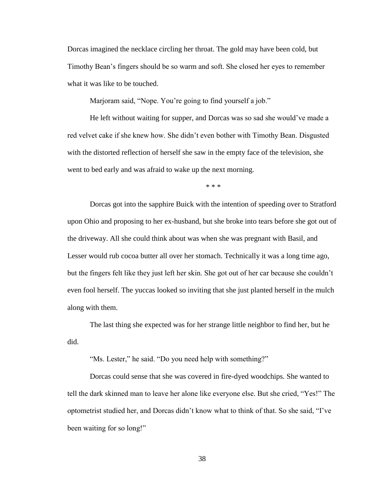Dorcas imagined the necklace circling her throat. The gold may have been cold, but Timothy Bean's fingers should be so warm and soft. She closed her eyes to remember what it was like to be touched.

Marjoram said, "Nope. You're going to find yourself a job."

He left without waiting for supper, and Dorcas was so sad she would've made a red velvet cake if she knew how. She didn't even bother with Timothy Bean. Disgusted with the distorted reflection of herself she saw in the empty face of the television, she went to bed early and was afraid to wake up the next morning.

\* \* \*

Dorcas got into the sapphire Buick with the intention of speeding over to Stratford upon Ohio and proposing to her ex-husband, but she broke into tears before she got out of the driveway. All she could think about was when she was pregnant with Basil, and Lesser would rub cocoa butter all over her stomach. Technically it was a long time ago, but the fingers felt like they just left her skin. She got out of her car because she couldn't even fool herself. The yuccas looked so inviting that she just planted herself in the mulch along with them.

The last thing she expected was for her strange little neighbor to find her, but he did.

"Ms. Lester," he said. "Do you need help with something?"

Dorcas could sense that she was covered in fire-dyed woodchips. She wanted to tell the dark skinned man to leave her alone like everyone else. But she cried, "Yes!" The optometrist studied her, and Dorcas didn't know what to think of that. So she said, "I've been waiting for so long!"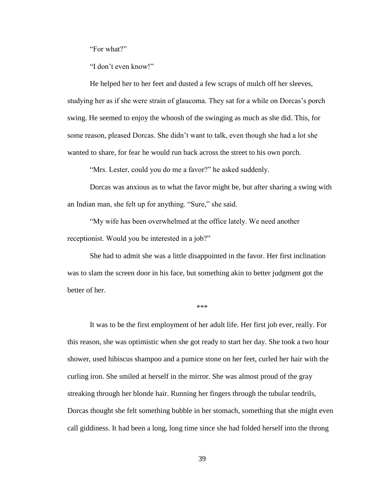"For what?"

"I don't even know!"

He helped her to her feet and dusted a few scraps of mulch off her sleeves, studying her as if she were strain of glaucoma. They sat for a while on Dorcas's porch swing. He seemed to enjoy the whoosh of the swinging as much as she did. This, for some reason, pleased Dorcas. She didn't want to talk, even though she had a lot she wanted to share, for fear he would run back across the street to his own porch.

"Mrs. Lester, could you do me a favor?" he asked suddenly.

Dorcas was anxious as to what the favor might be, but after sharing a swing with an Indian man, she felt up for anything. "Sure," she said.

"My wife has been overwhelmed at the office lately. We need another receptionist. Would you be interested in a job?"

She had to admit she was a little disappointed in the favor. Her first inclination was to slam the screen door in his face, but something akin to better judgment got the better of her.

\*\*\*

It was to be the first employment of her adult life. Her first job ever, really. For this reason, she was optimistic when she got ready to start her day. She took a two hour shower, used hibiscus shampoo and a pumice stone on her feet, curled her hair with the curling iron. She smiled at herself in the mirror. She was almost proud of the gray streaking through her blonde hair. Running her fingers through the tubular tendrils, Dorcas thought she felt something bubble in her stomach, something that she might even call giddiness. It had been a long, long time since she had folded herself into the throng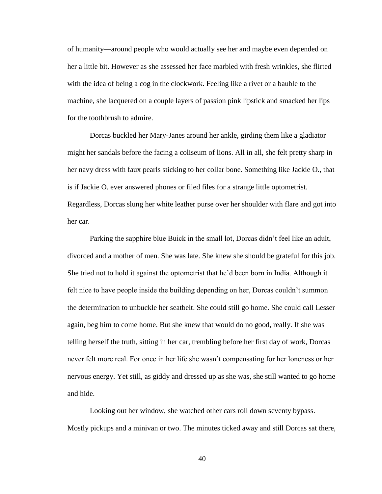of humanity—around people who would actually see her and maybe even depended on her a little bit. However as she assessed her face marbled with fresh wrinkles, she flirted with the idea of being a cog in the clockwork. Feeling like a rivet or a bauble to the machine, she lacquered on a couple layers of passion pink lipstick and smacked her lips for the toothbrush to admire.

Dorcas buckled her Mary-Janes around her ankle, girding them like a gladiator might her sandals before the facing a coliseum of lions. All in all, she felt pretty sharp in her navy dress with faux pearls sticking to her collar bone. Something like Jackie O., that is if Jackie O. ever answered phones or filed files for a strange little optometrist. Regardless, Dorcas slung her white leather purse over her shoulder with flare and got into her car.

Parking the sapphire blue Buick in the small lot, Dorcas didn't feel like an adult, divorced and a mother of men. She was late. She knew she should be grateful for this job. She tried not to hold it against the optometrist that he'd been born in India. Although it felt nice to have people inside the building depending on her, Dorcas couldn't summon the determination to unbuckle her seatbelt. She could still go home. She could call Lesser again, beg him to come home. But she knew that would do no good, really. If she was telling herself the truth, sitting in her car, trembling before her first day of work, Dorcas never felt more real. For once in her life she wasn't compensating for her loneness or her nervous energy. Yet still, as giddy and dressed up as she was, she still wanted to go home and hide.

Looking out her window, she watched other cars roll down seventy bypass. Mostly pickups and a minivan or two. The minutes ticked away and still Dorcas sat there,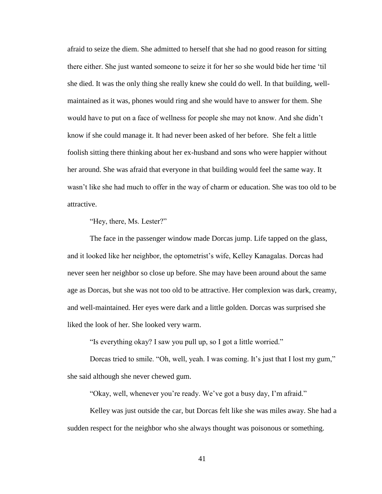afraid to seize the diem. She admitted to herself that she had no good reason for sitting there either. She just wanted someone to seize it for her so she would bide her time 'til she died. It was the only thing she really knew she could do well. In that building, wellmaintained as it was, phones would ring and she would have to answer for them. She would have to put on a face of wellness for people she may not know. And she didn't know if she could manage it. It had never been asked of her before. She felt a little foolish sitting there thinking about her ex-husband and sons who were happier without her around. She was afraid that everyone in that building would feel the same way. It wasn't like she had much to offer in the way of charm or education. She was too old to be attractive.

"Hey, there, Ms. Lester?"

The face in the passenger window made Dorcas jump. Life tapped on the glass, and it looked like her neighbor, the optometrist's wife, Kelley Kanagalas. Dorcas had never seen her neighbor so close up before. She may have been around about the same age as Dorcas, but she was not too old to be attractive. Her complexion was dark, creamy, and well-maintained. Her eyes were dark and a little golden. Dorcas was surprised she liked the look of her. She looked very warm.

"Is everything okay? I saw you pull up, so I got a little worried."

Dorcas tried to smile. "Oh, well, yeah. I was coming. It's just that I lost my gum," she said although she never chewed gum.

"Okay, well, whenever you're ready. We've got a busy day, I'm afraid."

Kelley was just outside the car, but Dorcas felt like she was miles away. She had a sudden respect for the neighbor who she always thought was poisonous or something.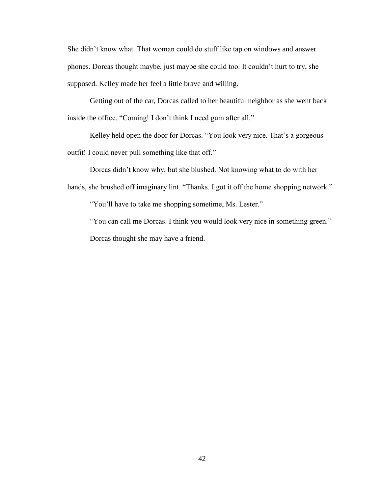She didn't know what. That woman could do stuff like tap on windows and answer phones. Dorcas thought maybe, just maybe she could too. It couldn't hurt to try, she supposed. Kelley made her feel a little brave and willing.

Getting out of the car, Dorcas called to her beautiful neighbor as she went back inside the office. "Coming! I don't think I need gum after all."

Kelley held open the door for Dorcas. "You look very nice. That's a gorgeous outfit! I could never pull something like that off."

Dorcas didn't know why, but she blushed. Not knowing what to do with her hands, she brushed off imaginary lint. "Thanks. I got it off the home shopping network."

"You'll have to take me shopping sometime, Ms. Lester."

"You can call me Dorcas. I think you would look very nice in something green." Dorcas thought she may have a friend.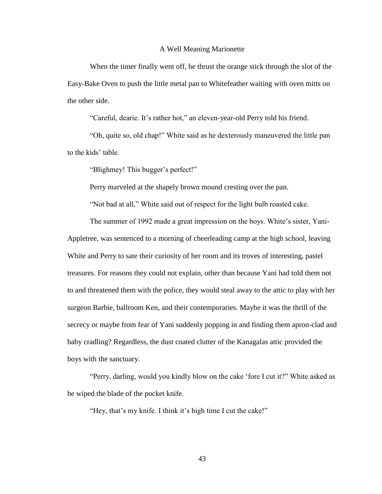## A Well Meaning Marionette

When the timer finally went off, he thrust the orange stick through the slot of the Easy-Bake Oven to push the little metal pan to Whitefeather waiting with oven mitts on the other side.

"Careful, dearie. It's rather hot," an eleven-year-old Perry told his friend.

"Oh, quite so, old chap!" White said as he dexterously maneuvered the little pan to the kids' table.

"Blighmey! This bugger's perfect!"

Perry marveled at the shapely brown mound cresting over the pan.

"Not bad at all," White said out of respect for the light bulb roasted cake.

The summer of 1992 made a great impression on the boys. White's sister, Yani-Appletree, was sentenced to a morning of cheerleading camp at the high school, leaving White and Perry to sate their curiosity of her room and its troves of interesting, pastel treasures. For reasons they could not explain, other than because Yani had told them not to and threatened them with the police, they would steal away to the attic to play with her surgeon Barbie, ballroom Ken, and their contemporaries. Maybe it was the thrill of the secrecy or maybe from fear of Yani suddenly popping in and finding them apron-clad and baby cradling? Regardless, the dust coated clutter of the Kanagalas attic provided the boys with the sanctuary.

"Perry, darling, would you kindly blow on the cake 'fore I cut it?" White asked as he wiped the blade of the pocket knife.

"Hey, that's my knife. I think it's high time I cut the cake!"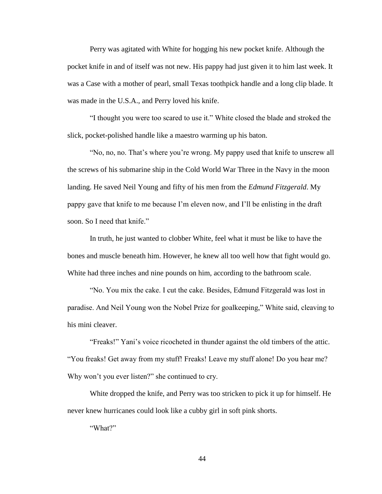Perry was agitated with White for hogging his new pocket knife. Although the pocket knife in and of itself was not new. His pappy had just given it to him last week. It was a Case with a mother of pearl, small Texas toothpick handle and a long clip blade. It was made in the U.S.A., and Perry loved his knife.

"I thought you were too scared to use it." White closed the blade and stroked the slick, pocket-polished handle like a maestro warming up his baton.

"No, no, no. That's where you're wrong. My pappy used that knife to unscrew all the screws of his submarine ship in the Cold World War Three in the Navy in the moon landing. He saved Neil Young and fifty of his men from the *Edmund Fitzgerald*. My pappy gave that knife to me because I'm eleven now, and I'll be enlisting in the draft soon. So I need that knife."

In truth, he just wanted to clobber White, feel what it must be like to have the bones and muscle beneath him. However, he knew all too well how that fight would go. White had three inches and nine pounds on him, according to the bathroom scale.

"No. You mix the cake. I cut the cake. Besides, Edmund Fitzgerald was lost in paradise. And Neil Young won the Nobel Prize for goalkeeping," White said, cleaving to his mini cleaver.

"Freaks!" Yani's voice ricocheted in thunder against the old timbers of the attic. "You freaks! Get away from my stuff! Freaks! Leave my stuff alone! Do you hear me? Why won't you ever listen?" she continued to cry.

White dropped the knife, and Perry was too stricken to pick it up for himself. He never knew hurricanes could look like a cubby girl in soft pink shorts.

"What?"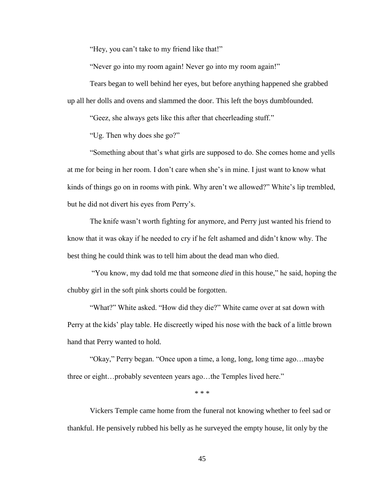"Hey, you can't take to my friend like that!"

"Never go into my room again! Never go into my room again!"

Tears began to well behind her eyes, but before anything happened she grabbed up all her dolls and ovens and slammed the door. This left the boys dumbfounded.

"Geez, she always gets like this after that cheerleading stuff."

"Ug. Then why does she go?"

"Something about that's what girls are supposed to do. She comes home and yells at me for being in her room. I don't care when she's in mine. I just want to know what kinds of things go on in rooms with pink. Why aren't we allowed?" White's lip trembled, but he did not divert his eyes from Perry's.

The knife wasn't worth fighting for anymore, and Perry just wanted his friend to know that it was okay if he needed to cry if he felt ashamed and didn't know why. The best thing he could think was to tell him about the dead man who died.

"You know, my dad told me that someone *died* in this house," he said, hoping the chubby girl in the soft pink shorts could be forgotten.

"What?" White asked. "How did they die?" White came over at sat down with Perry at the kids' play table. He discreetly wiped his nose with the back of a little brown hand that Perry wanted to hold.

"Okay," Perry began. "Once upon a time, a long, long, long time ago…maybe three or eight…probably seventeen years ago…the Temples lived here."

\* \* \*

Vickers Temple came home from the funeral not knowing whether to feel sad or thankful. He pensively rubbed his belly as he surveyed the empty house, lit only by the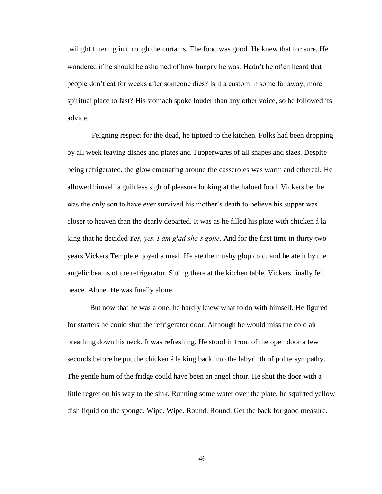twilight filtering in through the curtains. The food was good. He knew that for sure. He wondered if he should be ashamed of how hungry he was. Hadn't he often heard that people don't eat for weeks after someone dies? Is it a custom in some far away, more spiritual place to fast? His stomach spoke louder than any other voice, so he followed its advice.

Feigning respect for the dead, he tiptoed to the kitchen. Folks had been dropping by all week leaving dishes and plates and Tupperwares of all shapes and sizes. Despite being refrigerated, the glow emanating around the casseroles was warm and ethereal. He allowed himself a guiltless sigh of pleasure looking at the haloed food. Vickers bet he was the only son to have ever survived his mother's death to believe his supper was closer to heaven than the dearly departed. It was as he filled his plate with chicken á la king that he decided *Yes, yes. I am glad she's gone*. And for the first time in thirty-two years Vickers Temple enjoyed a meal. He ate the mushy glop cold, and he ate it by the angelic beams of the refrigerator. Sitting there at the kitchen table, Vickers finally felt peace. Alone. He was finally alone.

But now that he was alone, he hardly knew what to do with himself. He figured for starters he could shut the refrigerator door. Although he would miss the cold air breathing down his neck. It was refreshing. He stood in front of the open door a few seconds before he put the chicken á la king back into the labyrinth of polite sympathy. The gentle hum of the fridge could have been an angel choir. He shut the door with a little regret on his way to the sink. Running some water over the plate, he squirted yellow dish liquid on the sponge. Wipe. Wipe. Round. Round. Get the back for good measure.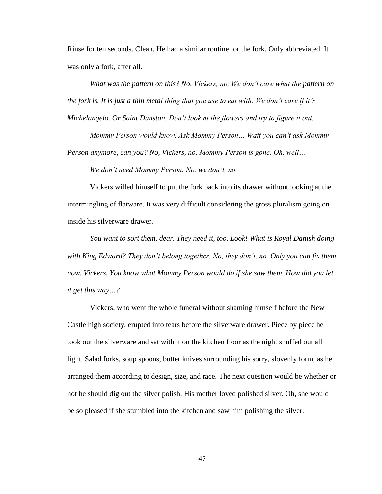Rinse for ten seconds. Clean. He had a similar routine for the fork. Only abbreviated. It was only a fork, after all.

*What was the pattern on this? No, Vickers, no. We don't care what the pattern on the fork is. It is just a thin metal thing that you use to eat with. We don't care if it's Michelangelo. Or Saint Dunstan. Don't look at the flowers and try to figure it out.*

*Mommy Person would know. Ask Mommy Person… Wait you can't ask Mommy Person anymore, can you? No, Vickers, no. Mommy Person is gone. Oh, well…*

*We don't need Mommy Person. No, we don't, no.*

Vickers willed himself to put the fork back into its drawer without looking at the intermingling of flatware. It was very difficult considering the gross pluralism going on inside his silverware drawer.

*You want to sort them, dear. They need it, too. Look! What is Royal Danish doing with King Edward? They don't belong together. No, they don't, no. Only you can fix them now, Vickers. You know what Mommy Person would do if she saw them. How did you let it get this way…?*

Vickers, who went the whole funeral without shaming himself before the New Castle high society, erupted into tears before the silverware drawer. Piece by piece he took out the silverware and sat with it on the kitchen floor as the night snuffed out all light. Salad forks, soup spoons, butter knives surrounding his sorry, slovenly form, as he arranged them according to design, size, and race. The next question would be whether or not he should dig out the silver polish. His mother loved polished silver. Oh, she would be so pleased if she stumbled into the kitchen and saw him polishing the silver.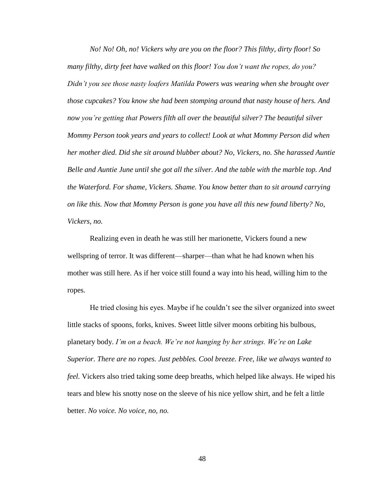*No! No! Oh, no! Vickers why are you on the floor? This filthy, dirty floor! So many filthy, dirty feet have walked on this floor! You don't want the ropes, do you? Didn't you see those nasty loafers Matilda Powers was wearing when she brought over those cupcakes? You know she had been stomping around that nasty house of hers. And now you're getting that Powers filth all over the beautiful silver? The beautiful silver Mommy Person took years and years to collect! Look at what Mommy Person did when her mother died. Did she sit around blubber about? No, Vickers, no. She harassed Auntie Belle and Auntie June until she got all the silver. And the table with the marble top. And the Waterford. For shame, Vickers. Shame. You know better than to sit around carrying on like this. Now that Mommy Person is gone you have all this new found liberty? No, Vickers, no.*

Realizing even in death he was still her marionette, Vickers found a new wellspring of terror. It was different—sharper—than what he had known when his mother was still here. As if her voice still found a way into his head, willing him to the ropes.

He tried closing his eyes. Maybe if he couldn't see the silver organized into sweet little stacks of spoons, forks, knives. Sweet little silver moons orbiting his bulbous, planetary body. *I'm on a beach. We're not hanging by her strings. We're on Lake Superior. There are no ropes. Just pebbles. Cool breeze. Free, like we always wanted to feel.* Vickers also tried taking some deep breaths, which helped like always. He wiped his tears and blew his snotty nose on the sleeve of his nice yellow shirt, and he felt a little better. *No voice. No voice, no, no.*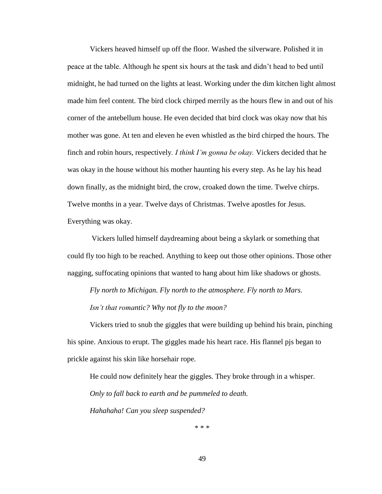Vickers heaved himself up off the floor. Washed the silverware. Polished it in peace at the table. Although he spent six hours at the task and didn't head to bed until midnight, he had turned on the lights at least. Working under the dim kitchen light almost made him feel content. The bird clock chirped merrily as the hours flew in and out of his corner of the antebellum house. He even decided that bird clock was okay now that his mother was gone. At ten and eleven he even whistled as the bird chirped the hours. The finch and robin hours, respectively*. I think I'm gonna be okay.* Vickers decided that he was okay in the house without his mother haunting his every step. As he lay his head down finally, as the midnight bird, the crow, croaked down the time. Twelve chirps. Twelve months in a year. Twelve days of Christmas. Twelve apostles for Jesus. Everything was okay.

Vickers lulled himself daydreaming about being a skylark or something that could fly too high to be reached. Anything to keep out those other opinions. Those other nagging, suffocating opinions that wanted to hang about him like shadows or ghosts.

*Fly north to Michigan. Fly north to the atmosphere. Fly north to Mars. Isn't that romantic? Why not fly to the moon?*

Vickers tried to snub the giggles that were building up behind his brain, pinching his spine. Anxious to erupt. The giggles made his heart race. His flannel pjs began to prickle against his skin like horsehair rope.

He could now definitely hear the giggles. They broke through in a whisper. *Only to fall back to earth and be pummeled to death. Hahahaha! Can you sleep suspended?*

\* \* \*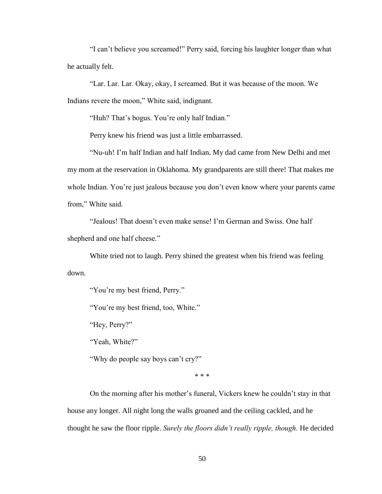"I can't believe you screamed!" Perry said, forcing his laughter longer than what he actually felt.

"Lar. Lar. Lar. Okay, okay, I screamed. But it was because of the moon. We Indians revere the moon," White said, indignant.

"Huh? That's bogus. You're only half Indian."

Perry knew his friend was just a little embarrassed.

"Nu-uh! I'm half Indian and half Indian. My dad came from New Delhi and met my mom at the reservation in Oklahoma. My grandparents are still there! That makes me whole Indian. You're just jealous because you don't even know where your parents came from," White said.

"Jealous! That doesn't even make sense! I'm German and Swiss. One half shepherd and one half cheese."

White tried not to laugh. Perry shined the greatest when his friend was feeling down.

"You're my best friend, Perry."

"You're my best friend, too, White."

"Hey, Perry?"

"Yeah, White?"

"Why do people say boys can't cry?"

\* \* \*

On the morning after his mother's funeral, Vickers knew he couldn't stay in that house any longer. All night long the walls groaned and the ceiling cackled, and he thought he saw the floor ripple. *Surely the floors didn't really ripple, though.* He decided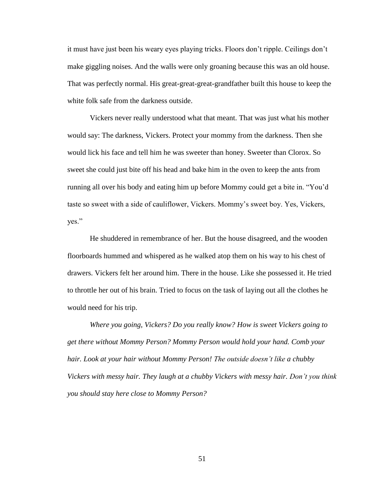it must have just been his weary eyes playing tricks. Floors don't ripple. Ceilings don't make giggling noises. And the walls were only groaning because this was an old house. That was perfectly normal. His great-great-great-grandfather built this house to keep the white folk safe from the darkness outside.

Vickers never really understood what that meant. That was just what his mother would say: The darkness, Vickers. Protect your mommy from the darkness. Then she would lick his face and tell him he was sweeter than honey. Sweeter than Clorox. So sweet she could just bite off his head and bake him in the oven to keep the ants from running all over his body and eating him up before Mommy could get a bite in. "You'd taste so sweet with a side of cauliflower, Vickers. Mommy's sweet boy. Yes, Vickers, yes."

He shuddered in remembrance of her. But the house disagreed, and the wooden floorboards hummed and whispered as he walked atop them on his way to his chest of drawers. Vickers felt her around him. There in the house. Like she possessed it. He tried to throttle her out of his brain. Tried to focus on the task of laying out all the clothes he would need for his trip.

*Where you going, Vickers? Do you really know? How is sweet Vickers going to get there without Mommy Person? Mommy Person would hold your hand. Comb your hair. Look at your hair without Mommy Person! The outside doesn't like a chubby Vickers with messy hair. They laugh at a chubby Vickers with messy hair. Don't you think you should stay here close to Mommy Person?*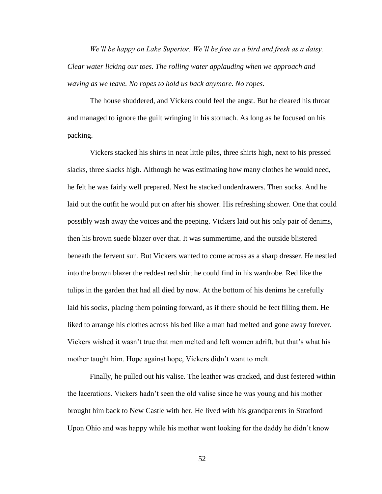*We'll be happy on Lake Superior. We'll be free as a bird and fresh as a daisy. Clear water licking our toes. The rolling water applauding when we approach and waving as we leave. No ropes to hold us back anymore. No ropes.* 

The house shuddered, and Vickers could feel the angst. But he cleared his throat and managed to ignore the guilt wringing in his stomach. As long as he focused on his packing.

Vickers stacked his shirts in neat little piles, three shirts high, next to his pressed slacks, three slacks high. Although he was estimating how many clothes he would need, he felt he was fairly well prepared. Next he stacked underdrawers. Then socks. And he laid out the outfit he would put on after his shower. His refreshing shower. One that could possibly wash away the voices and the peeping. Vickers laid out his only pair of denims, then his brown suede blazer over that. It was summertime, and the outside blistered beneath the fervent sun. But Vickers wanted to come across as a sharp dresser. He nestled into the brown blazer the reddest red shirt he could find in his wardrobe. Red like the tulips in the garden that had all died by now. At the bottom of his denims he carefully laid his socks, placing them pointing forward, as if there should be feet filling them. He liked to arrange his clothes across his bed like a man had melted and gone away forever. Vickers wished it wasn't true that men melted and left women adrift, but that's what his mother taught him. Hope against hope, Vickers didn't want to melt.

Finally, he pulled out his valise. The leather was cracked, and dust festered within the lacerations. Vickers hadn't seen the old valise since he was young and his mother brought him back to New Castle with her. He lived with his grandparents in Stratford Upon Ohio and was happy while his mother went looking for the daddy he didn't know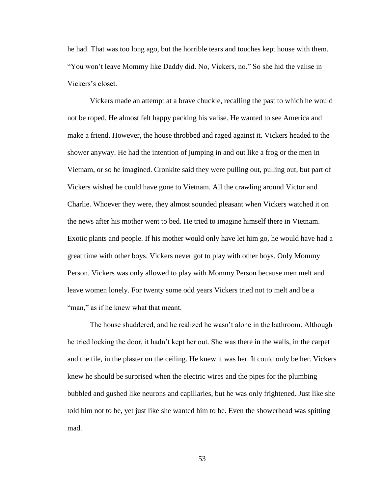he had. That was too long ago, but the horrible tears and touches kept house with them. "You won't leave Mommy like Daddy did. No, Vickers, no." So she hid the valise in Vickers's closet.

Vickers made an attempt at a brave chuckle, recalling the past to which he would not be roped. He almost felt happy packing his valise. He wanted to see America and make a friend. However, the house throbbed and raged against it. Vickers headed to the shower anyway. He had the intention of jumping in and out like a frog or the men in Vietnam, or so he imagined. Cronkite said they were pulling out, pulling out, but part of Vickers wished he could have gone to Vietnam. All the crawling around Victor and Charlie. Whoever they were, they almost sounded pleasant when Vickers watched it on the news after his mother went to bed. He tried to imagine himself there in Vietnam. Exotic plants and people. If his mother would only have let him go, he would have had a great time with other boys. Vickers never got to play with other boys. Only Mommy Person. Vickers was only allowed to play with Mommy Person because men melt and leave women lonely. For twenty some odd years Vickers tried not to melt and be a "man," as if he knew what that meant.

The house shuddered, and he realized he wasn't alone in the bathroom. Although he tried locking the door, it hadn't kept her out. She was there in the walls, in the carpet and the tile, in the plaster on the ceiling. He knew it was her. It could only be her. Vickers knew he should be surprised when the electric wires and the pipes for the plumbing bubbled and gushed like neurons and capillaries, but he was only frightened. Just like she told him not to be, yet just like she wanted him to be. Even the showerhead was spitting mad.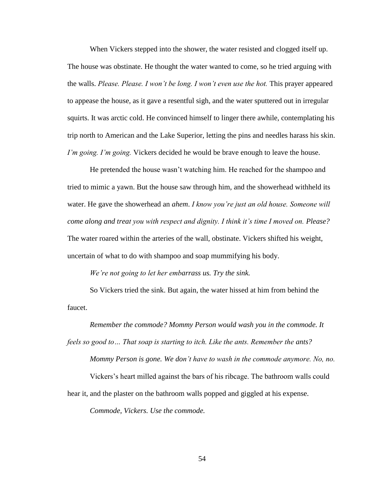When Vickers stepped into the shower, the water resisted and clogged itself up. The house was obstinate. He thought the water wanted to come, so he tried arguing with the walls. *Please. Please. I won't be long. I won't even use the hot.* This prayer appeared to appease the house, as it gave a resentful sigh, and the water sputtered out in irregular squirts. It was arctic cold. He convinced himself to linger there awhile, contemplating his trip north to American and the Lake Superior, letting the pins and needles harass his skin. *I'm going. I'm going.* Vickers decided he would be brave enough to leave the house.

He pretended the house wasn't watching him. He reached for the shampoo and tried to mimic a yawn. But the house saw through him, and the showerhead withheld its water. He gave the showerhead an *ahem*. *I know you're just an old house. Someone will come along and treat you with respect and dignity. I think it's time I moved on. Please?* The water roared within the arteries of the wall, obstinate. Vickers shifted his weight, uncertain of what to do with shampoo and soap mummifying his body.

*We're not going to let her embarrass us. Try the sink.*

So Vickers tried the sink. But again, the water hissed at him from behind the faucet.

*Remember the commode? Mommy Person would wash you in the commode. It feels so good to… That soap is starting to itch. Like the ants. Remember the ants? Mommy Person is gone. We don't have to wash in the commode anymore. No, no.*

Vickers's heart milled against the bars of his ribcage. The bathroom walls could

hear it, and the plaster on the bathroom walls popped and giggled at his expense.

*Commode, Vickers. Use the commode.*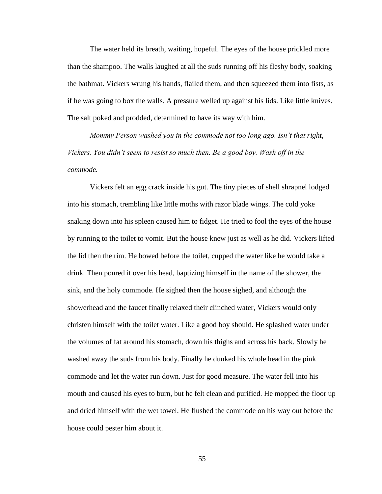The water held its breath, waiting, hopeful. The eyes of the house prickled more than the shampoo. The walls laughed at all the suds running off his fleshy body, soaking the bathmat. Vickers wrung his hands, flailed them, and then squeezed them into fists, as if he was going to box the walls. A pressure welled up against his lids. Like little knives. The salt poked and prodded, determined to have its way with him.

*Mommy Person washed you in the commode not too long ago. Isn't that right, Vickers. You didn't seem to resist so much then. Be a good boy. Wash off in the commode.*

Vickers felt an egg crack inside his gut. The tiny pieces of shell shrapnel lodged into his stomach, trembling like little moths with razor blade wings. The cold yoke snaking down into his spleen caused him to fidget. He tried to fool the eyes of the house by running to the toilet to vomit. But the house knew just as well as he did. Vickers lifted the lid then the rim. He bowed before the toilet, cupped the water like he would take a drink. Then poured it over his head, baptizing himself in the name of the shower, the sink, and the holy commode. He sighed then the house sighed, and although the showerhead and the faucet finally relaxed their clinched water, Vickers would only christen himself with the toilet water. Like a good boy should. He splashed water under the volumes of fat around his stomach, down his thighs and across his back. Slowly he washed away the suds from his body. Finally he dunked his whole head in the pink commode and let the water run down. Just for good measure. The water fell into his mouth and caused his eyes to burn, but he felt clean and purified. He mopped the floor up and dried himself with the wet towel. He flushed the commode on his way out before the house could pester him about it.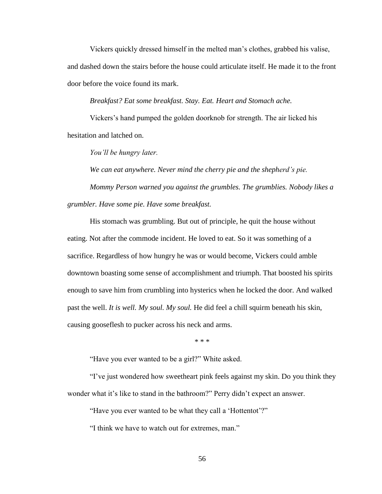Vickers quickly dressed himself in the melted man's clothes, grabbed his valise, and dashed down the stairs before the house could articulate itself. He made it to the front door before the voice found its mark.

## *Breakfast? Eat some breakfast. Stay. Eat. Heart and Stomach ache.*

Vickers's hand pumped the golden doorknob for strength. The air licked his hesitation and latched on.

*You'll be hungry later.*

*We can eat anywhere. Never mind the cherry pie and the shepherd's pie.*

*Mommy Person warned you against the grumbles. The grumblies. Nobody likes a grumbler. Have some pie. Have some breakfast.* 

His stomach was grumbling. But out of principle, he quit the house without eating. Not after the commode incident. He loved to eat. So it was something of a sacrifice. Regardless of how hungry he was or would become, Vickers could amble downtown boasting some sense of accomplishment and triumph. That boosted his spirits enough to save him from crumbling into hysterics when he locked the door. And walked past the well. *It is well. My soul. My soul.* He did feel a chill squirm beneath his skin, causing gooseflesh to pucker across his neck and arms.

\* \* \*

"Have you ever wanted to be a girl?" White asked.

"I've just wondered how sweetheart pink feels against my skin. Do you think they wonder what it's like to stand in the bathroom?" Perry didn't expect an answer.

"Have you ever wanted to be what they call a 'Hottentot'?"

"I think we have to watch out for extremes, man."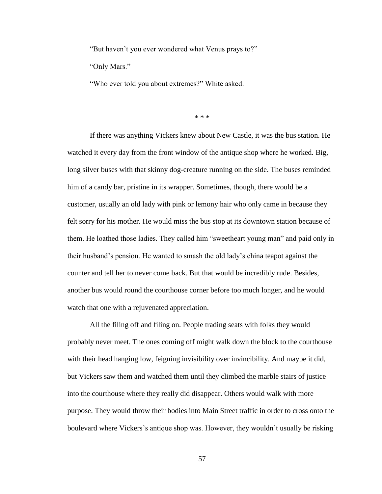"But haven't you ever wondered what Venus prays to?"

"Only Mars."

"Who ever told you about extremes?" White asked.

\* \* \*

If there was anything Vickers knew about New Castle, it was the bus station. He watched it every day from the front window of the antique shop where he worked. Big, long silver buses with that skinny dog-creature running on the side. The buses reminded him of a candy bar, pristine in its wrapper. Sometimes, though, there would be a customer, usually an old lady with pink or lemony hair who only came in because they felt sorry for his mother. He would miss the bus stop at its downtown station because of them. He loathed those ladies. They called him "sweetheart young man" and paid only in their husband's pension. He wanted to smash the old lady's china teapot against the counter and tell her to never come back. But that would be incredibly rude. Besides, another bus would round the courthouse corner before too much longer, and he would watch that one with a rejuvenated appreciation.

All the filing off and filing on. People trading seats with folks they would probably never meet. The ones coming off might walk down the block to the courthouse with their head hanging low, feigning invisibility over invincibility. And maybe it did, but Vickers saw them and watched them until they climbed the marble stairs of justice into the courthouse where they really did disappear. Others would walk with more purpose. They would throw their bodies into Main Street traffic in order to cross onto the boulevard where Vickers's antique shop was. However, they wouldn't usually be risking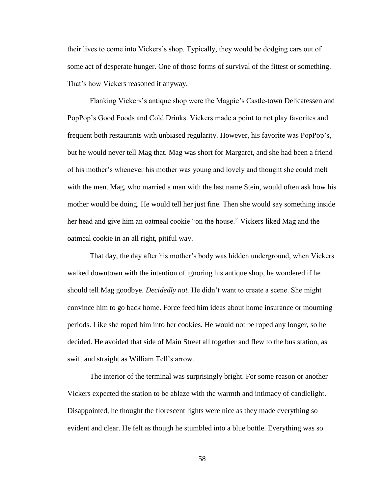their lives to come into Vickers's shop. Typically, they would be dodging cars out of some act of desperate hunger. One of those forms of survival of the fittest or something. That's how Vickers reasoned it anyway.

Flanking Vickers's antique shop were the Magpie's Castle-town Delicatessen and PopPop's Good Foods and Cold Drinks. Vickers made a point to not play favorites and frequent both restaurants with unbiased regularity. However, his favorite was PopPop's, but he would never tell Mag that. Mag was short for Margaret, and she had been a friend of his mother's whenever his mother was young and lovely and thought she could melt with the men. Mag, who married a man with the last name Stein, would often ask how his mother would be doing. He would tell her just fine. Then she would say something inside her head and give him an oatmeal cookie "on the house." Vickers liked Mag and the oatmeal cookie in an all right, pitiful way.

That day, the day after his mother's body was hidden underground, when Vickers walked downtown with the intention of ignoring his antique shop, he wondered if he should tell Mag goodbye. *Decidedly not.* He didn't want to create a scene. She might convince him to go back home. Force feed him ideas about home insurance or mourning periods. Like she roped him into her cookies. He would not be roped any longer, so he decided. He avoided that side of Main Street all together and flew to the bus station, as swift and straight as William Tell's arrow.

The interior of the terminal was surprisingly bright. For some reason or another Vickers expected the station to be ablaze with the warmth and intimacy of candlelight. Disappointed, he thought the florescent lights were nice as they made everything so evident and clear. He felt as though he stumbled into a blue bottle. Everything was so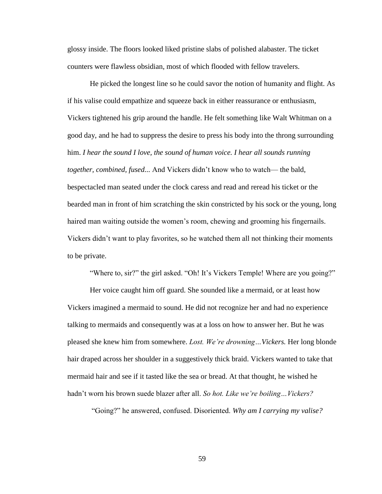glossy inside. The floors looked liked pristine slabs of polished alabaster. The ticket counters were flawless obsidian, most of which flooded with fellow travelers.

He picked the longest line so he could savor the notion of humanity and flight. As if his valise could empathize and squeeze back in either reassurance or enthusiasm, Vickers tightened his grip around the handle. He felt something like Walt Whitman on a good day, and he had to suppress the desire to press his body into the throng surrounding him. *I hear the sound I love, the sound of human voice. I hear all sounds running together, combined, fused...* And Vickers didn't know who to watch— the bald, bespectacled man seated under the clock caress and read and reread his ticket or the bearded man in front of him scratching the skin constricted by his sock or the young, long haired man waiting outside the women's room, chewing and grooming his fingernails. Vickers didn't want to play favorites, so he watched them all not thinking their moments to be private.

"Where to, sir?" the girl asked. "Oh! It's Vickers Temple! Where are you going?"

Her voice caught him off guard. She sounded like a mermaid, or at least how Vickers imagined a mermaid to sound. He did not recognize her and had no experience talking to mermaids and consequently was at a loss on how to answer her. But he was pleased she knew him from somewhere. *Lost. We're drowning…Vickers.* Her long blonde hair draped across her shoulder in a suggestively thick braid. Vickers wanted to take that mermaid hair and see if it tasted like the sea or bread. At that thought, he wished he hadn't worn his brown suede blazer after all. *So hot. Like we're boiling…Vickers?*

"Going?" he answered, confused. Disoriented. *Why am I carrying my valise?*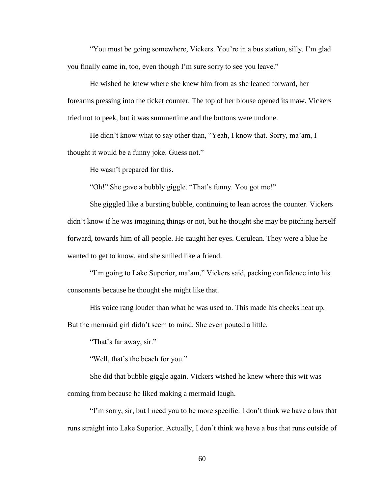"You must be going somewhere, Vickers. You're in a bus station, silly. I'm glad you finally came in, too, even though I'm sure sorry to see you leave."

He wished he knew where she knew him from as she leaned forward, her forearms pressing into the ticket counter. The top of her blouse opened its maw. Vickers tried not to peek, but it was summertime and the buttons were undone.

He didn't know what to say other than, "Yeah, I know that. Sorry, ma'am, I thought it would be a funny joke. Guess not."

He wasn't prepared for this.

"Oh!" She gave a bubbly giggle. "That's funny. You got me!"

She giggled like a bursting bubble, continuing to lean across the counter. Vickers didn't know if he was imagining things or not, but he thought she may be pitching herself forward, towards him of all people. He caught her eyes. Cerulean. They were a blue he wanted to get to know, and she smiled like a friend.

"I'm going to Lake Superior, ma'am," Vickers said, packing confidence into his consonants because he thought she might like that.

His voice rang louder than what he was used to. This made his cheeks heat up. But the mermaid girl didn't seem to mind. She even pouted a little.

"That's far away, sir."

"Well, that's the beach for you."

She did that bubble giggle again. Vickers wished he knew where this wit was coming from because he liked making a mermaid laugh.

"I'm sorry, sir, but I need you to be more specific. I don't think we have a bus that runs straight into Lake Superior. Actually, I don't think we have a bus that runs outside of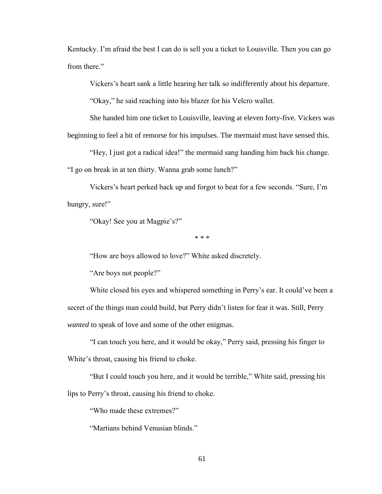Kentucky. I'm afraid the best I can do is sell you a ticket to Louisville. Then you can go from there."

Vickers's heart sank a little hearing her talk so indifferently about his departure.

"Okay," he said reaching into his blazer for his Velcro wallet.

She handed him one ticket to Louisville, leaving at eleven forty-five. Vickers was

beginning to feel a bit of remorse for his impulses. The mermaid must have sensed this.

"Hey, I just got a radical idea!" the mermaid sang handing him back his change.

"I go on break in at ten thirty. Wanna grab some lunch?"

Vickers's heart perked back up and forgot to beat for a few seconds. "Sure, I'm hungry, sure!"

"Okay! See you at Magpie's?"

\* \* \*

"How are boys allowed to love?" White asked discretely.

"Are boys not people?"

White closed his eyes and whispered something in Perry's ear. It could've been a secret of the things man could build, but Perry didn't listen for fear it was. Still, Perry *wanted* to speak of love and some of the other enigmas.

"I can touch you here, and it would be okay," Perry said, pressing his finger to White's throat, causing his friend to choke.

"But I could touch you here, and it would be terrible," White said, pressing his lips to Perry's throat, causing his friend to choke.

"Who made these extremes?"

"Martians behind Venusian blinds."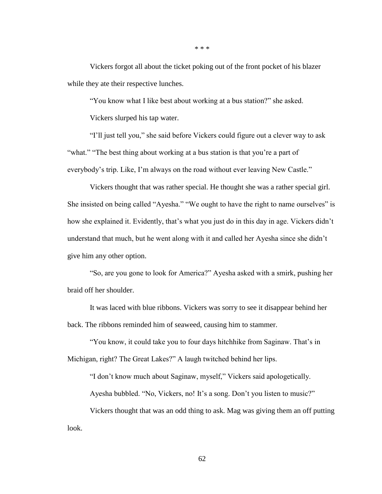\* \* \*

Vickers forgot all about the ticket poking out of the front pocket of his blazer while they ate their respective lunches.

"You know what I like best about working at a bus station?" she asked.

Vickers slurped his tap water.

"I'll just tell you," she said before Vickers could figure out a clever way to ask "what." "The best thing about working at a bus station is that you're a part of everybody's trip. Like, I'm always on the road without ever leaving New Castle."

Vickers thought that was rather special. He thought she was a rather special girl. She insisted on being called "Ayesha." "We ought to have the right to name ourselves" is how she explained it. Evidently, that's what you just do in this day in age. Vickers didn't understand that much, but he went along with it and called her Ayesha since she didn't give him any other option.

"So, are you gone to look for America?" Ayesha asked with a smirk, pushing her braid off her shoulder.

It was laced with blue ribbons. Vickers was sorry to see it disappear behind her back. The ribbons reminded him of seaweed, causing him to stammer.

"You know, it could take you to four days hitchhike from Saginaw. That's in Michigan, right? The Great Lakes?" A laugh twitched behind her lips.

"I don't know much about Saginaw, myself," Vickers said apologetically.

Ayesha bubbled. "No, Vickers, no! It's a song. Don't you listen to music?"

Vickers thought that was an odd thing to ask. Mag was giving them an off putting look.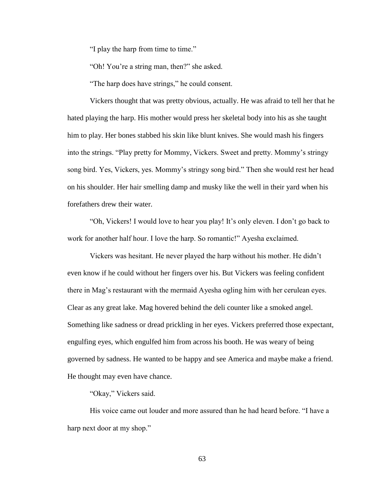"I play the harp from time to time."

"Oh! You're a string man, then?" she asked.

"The harp does have strings," he could consent.

Vickers thought that was pretty obvious, actually. He was afraid to tell her that he hated playing the harp. His mother would press her skeletal body into his as she taught him to play. Her bones stabbed his skin like blunt knives. She would mash his fingers into the strings. "Play pretty for Mommy, Vickers. Sweet and pretty. Mommy's stringy song bird. Yes, Vickers, yes. Mommy's stringy song bird." Then she would rest her head on his shoulder. Her hair smelling damp and musky like the well in their yard when his forefathers drew their water.

"Oh, Vickers! I would love to hear you play! It's only eleven. I don't go back to work for another half hour. I love the harp. So romantic!" Ayesha exclaimed.

Vickers was hesitant. He never played the harp without his mother. He didn't even know if he could without her fingers over his. But Vickers was feeling confident there in Mag's restaurant with the mermaid Ayesha ogling him with her cerulean eyes. Clear as any great lake. Mag hovered behind the deli counter like a smoked angel. Something like sadness or dread prickling in her eyes. Vickers preferred those expectant, engulfing eyes, which engulfed him from across his booth. He was weary of being governed by sadness. He wanted to be happy and see America and maybe make a friend. He thought may even have chance.

## "Okay," Vickers said.

His voice came out louder and more assured than he had heard before. "I have a harp next door at my shop."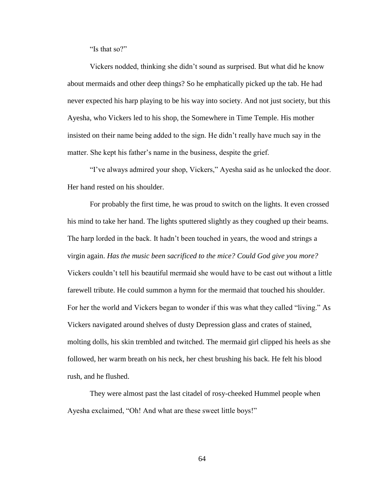"Is that so?"

Vickers nodded, thinking she didn't sound as surprised. But what did he know about mermaids and other deep things? So he emphatically picked up the tab. He had never expected his harp playing to be his way into society. And not just society, but this Ayesha, who Vickers led to his shop, the Somewhere in Time Temple. His mother insisted on their name being added to the sign. He didn't really have much say in the matter. She kept his father's name in the business, despite the grief.

"I've always admired your shop, Vickers," Ayesha said as he unlocked the door. Her hand rested on his shoulder.

For probably the first time, he was proud to switch on the lights. It even crossed his mind to take her hand. The lights sputtered slightly as they coughed up their beams. The harp lorded in the back. It hadn't been touched in years, the wood and strings a virgin again. *Has the music been sacrificed to the mice? Could God give you more?* Vickers couldn't tell his beautiful mermaid she would have to be cast out without a little farewell tribute. He could summon a hymn for the mermaid that touched his shoulder. For her the world and Vickers began to wonder if this was what they called "living." As Vickers navigated around shelves of dusty Depression glass and crates of stained, molting dolls, his skin trembled and twitched. The mermaid girl clipped his heels as she followed, her warm breath on his neck, her chest brushing his back. He felt his blood rush, and he flushed.

They were almost past the last citadel of rosy-cheeked Hummel people when Ayesha exclaimed, "Oh! And what are these sweet little boys!"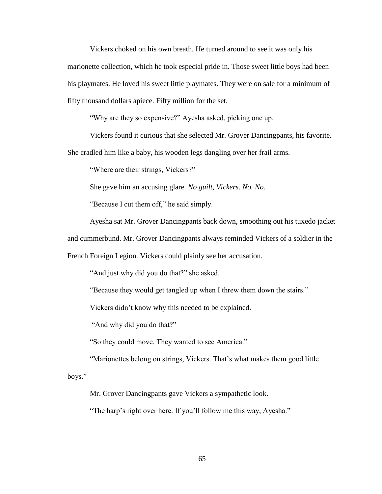Vickers choked on his own breath. He turned around to see it was only his marionette collection, which he took especial pride in. Those sweet little boys had been his playmates. He loved his sweet little playmates. They were on sale for a minimum of fifty thousand dollars apiece. Fifty million for the set.

"Why are they so expensive?" Ayesha asked, picking one up.

Vickers found it curious that she selected Mr. Grover Dancingpants, his favorite.

She cradled him like a baby, his wooden legs dangling over her frail arms.

"Where are their strings, Vickers?"

She gave him an accusing glare. *No guilt, Vickers. No. No.*

"Because I cut them off," he said simply.

Ayesha sat Mr. Grover Dancingpants back down, smoothing out his tuxedo jacket

and cummerbund. Mr. Grover Dancingpants always reminded Vickers of a soldier in the

French Foreign Legion. Vickers could plainly see her accusation.

"And just why did you do that?" she asked.

"Because they would get tangled up when I threw them down the stairs."

Vickers didn't know why this needed to be explained.

"And why did you do that?"

"So they could move. They wanted to see America."

"Marionettes belong on strings, Vickers. That's what makes them good little

boys."

Mr. Grover Dancingpants gave Vickers a sympathetic look.

"The harp's right over here. If you'll follow me this way, Ayesha."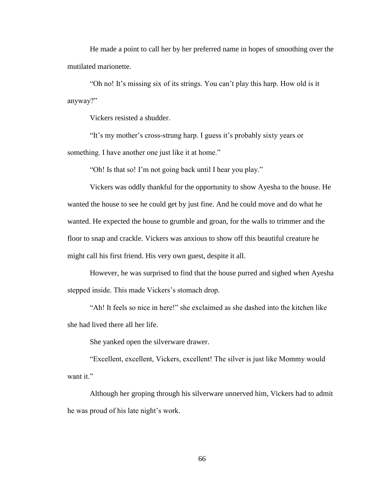He made a point to call her by her preferred name in hopes of smoothing over the mutilated marionette.

"Oh no! It's missing six of its strings. You can't play this harp. How old is it anyway?"

Vickers resisted a shudder.

"It's my mother's cross-strung harp. I guess it's probably sixty years or something. I have another one just like it at home."

"Oh! Is that so! I'm not going back until I hear you play."

Vickers was oddly thankful for the opportunity to show Ayesha to the house. He wanted the house to see he could get by just fine. And he could move and do what he wanted. He expected the house to grumble and groan, for the walls to trimmer and the floor to snap and crackle. Vickers was anxious to show off this beautiful creature he might call his first friend. His very own guest, despite it all.

However, he was surprised to find that the house purred and sighed when Ayesha stepped inside. This made Vickers's stomach drop.

"Ah! It feels so nice in here!" she exclaimed as she dashed into the kitchen like she had lived there all her life.

She yanked open the silverware drawer.

"Excellent, excellent, Vickers, excellent! The silver is just like Mommy would want it."

Although her groping through his silverware unnerved him, Vickers had to admit he was proud of his late night's work.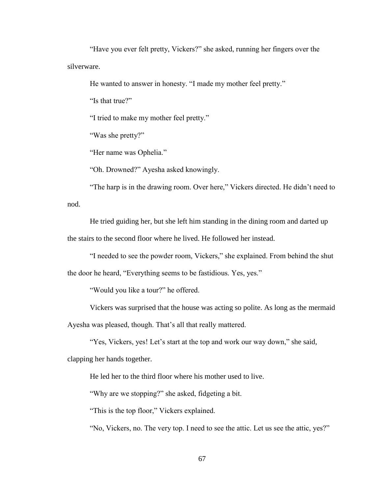"Have you ever felt pretty, Vickers?" she asked, running her fingers over the silverware.

He wanted to answer in honesty. "I made my mother feel pretty."

"Is that true?"

"I tried to make my mother feel pretty."

"Was she pretty?"

"Her name was Ophelia."

"Oh. Drowned?" Ayesha asked knowingly.

"The harp is in the drawing room. Over here," Vickers directed. He didn't need to nod.

He tried guiding her, but she left him standing in the dining room and darted up the stairs to the second floor where he lived. He followed her instead.

"I needed to see the powder room, Vickers," she explained. From behind the shut the door he heard, "Everything seems to be fastidious. Yes, yes."

"Would you like a tour?" he offered.

Vickers was surprised that the house was acting so polite. As long as the mermaid

Ayesha was pleased, though. That's all that really mattered.

"Yes, Vickers, yes! Let's start at the top and work our way down," she said,

clapping her hands together.

He led her to the third floor where his mother used to live.

"Why are we stopping?" she asked, fidgeting a bit.

"This is the top floor," Vickers explained.

"No, Vickers, no. The very top. I need to see the attic. Let us see the attic, yes?"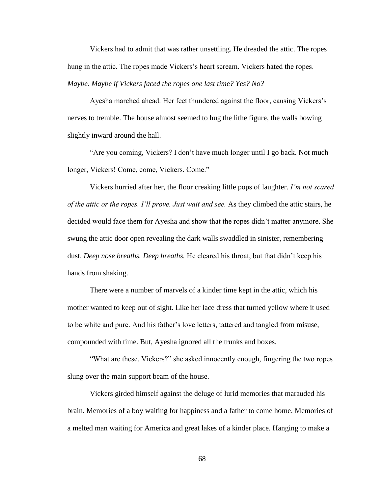Vickers had to admit that was rather unsettling. He dreaded the attic. The ropes hung in the attic. The ropes made Vickers's heart scream. Vickers hated the ropes. *Maybe. Maybe if Vickers faced the ropes one last time? Yes? No?* 

Ayesha marched ahead. Her feet thundered against the floor, causing Vickers's nerves to tremble. The house almost seemed to hug the lithe figure, the walls bowing slightly inward around the hall.

"Are you coming, Vickers? I don't have much longer until I go back. Not much longer, Vickers! Come, come, Vickers. Come."

Vickers hurried after her, the floor creaking little pops of laughter. *I'm not scared of the attic or the ropes. I'll prove. Just wait and see.* As they climbed the attic stairs, he decided would face them for Ayesha and show that the ropes didn't matter anymore. She swung the attic door open revealing the dark walls swaddled in sinister, remembering dust. *Deep nose breaths. Deep breaths.* He cleared his throat, but that didn't keep his hands from shaking.

There were a number of marvels of a kinder time kept in the attic, which his mother wanted to keep out of sight. Like her lace dress that turned yellow where it used to be white and pure. And his father's love letters, tattered and tangled from misuse, compounded with time. But, Ayesha ignored all the trunks and boxes.

"What are these, Vickers?" she asked innocently enough, fingering the two ropes slung over the main support beam of the house.

Vickers girded himself against the deluge of lurid memories that marauded his brain. Memories of a boy waiting for happiness and a father to come home. Memories of a melted man waiting for America and great lakes of a kinder place. Hanging to make a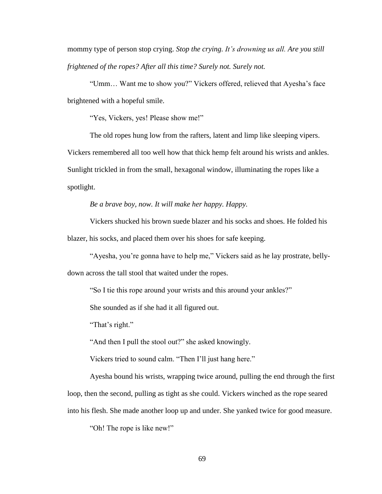mommy type of person stop crying. *Stop the crying. It's drowning us all. Are you still frightened of the ropes? After all this time? Surely not. Surely not.*

"Umm… Want me to show you?" Vickers offered, relieved that Ayesha's face brightened with a hopeful smile.

"Yes, Vickers, yes! Please show me!"

The old ropes hung low from the rafters, latent and limp like sleeping vipers. Vickers remembered all too well how that thick hemp felt around his wrists and ankles. Sunlight trickled in from the small, hexagonal window, illuminating the ropes like a spotlight.

*Be a brave boy, now. It will make her happy. Happy.*

Vickers shucked his brown suede blazer and his socks and shoes. He folded his blazer, his socks, and placed them over his shoes for safe keeping.

"Ayesha, you're gonna have to help me," Vickers said as he lay prostrate, bellydown across the tall stool that waited under the ropes.

"So I tie this rope around your wrists and this around your ankles?"

She sounded as if she had it all figured out.

"That's right."

"And then I pull the stool out?" she asked knowingly.

Vickers tried to sound calm. "Then I'll just hang here."

Ayesha bound his wrists, wrapping twice around, pulling the end through the first loop, then the second, pulling as tight as she could. Vickers winched as the rope seared into his flesh. She made another loop up and under. She yanked twice for good measure.

"Oh! The rope is like new!"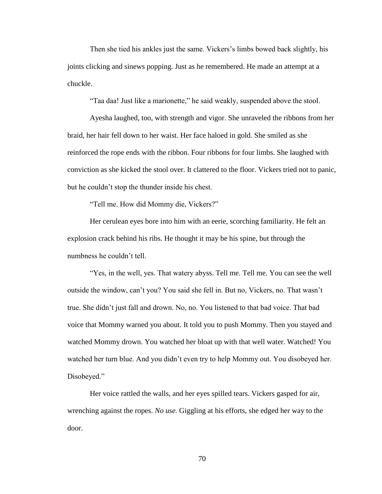Then she tied his ankles just the same. Vickers's limbs bowed back slightly, his joints clicking and sinews popping. Just as he remembered. He made an attempt at a chuckle.

"Taa daa! Just like a marionette," he said weakly, suspended above the stool.

Ayesha laughed, too, with strength and vigor. She unraveled the ribbons from her braid, her hair fell down to her waist. Her face haloed in gold. She smiled as she reinforced the rope ends with the ribbon. Four ribbons for four limbs. She laughed with conviction as she kicked the stool over. It clattered to the floor. Vickers tried not to panic, but he couldn't stop the thunder inside his chest.

"Tell me. How did Mommy die, Vickers?"

Her cerulean eyes bore into him with an eerie, scorching familiarity. He felt an explosion crack behind his ribs. He thought it may be his spine, but through the numbness he couldn't tell.

"Yes, in the well, yes. That watery abyss. Tell me. Tell me. You can see the well outside the window, can't you? You said she fell in. But no, Vickers, no. That wasn't true. She didn't just fall and drown. No, no. You listened to that bad voice. That bad voice that Mommy warned you about. It told you to push Mommy. Then you stayed and watched Mommy drown. You watched her bloat up with that well water. Watched! You watched her turn blue. And you didn't even try to help Mommy out. You disobeyed her. Disobeyed."

Her voice rattled the walls, and her eyes spilled tears. Vickers gasped for air, wrenching against the ropes. *No use.* Giggling at his efforts, she edged her way to the door.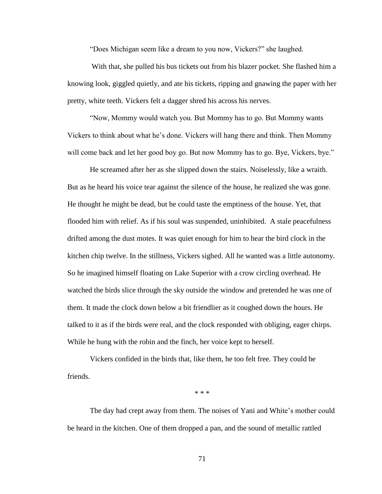"Does Michigan seem like a dream to you now, Vickers?" she laughed.

With that, she pulled his bus tickets out from his blazer pocket. She flashed him a knowing look, giggled quietly, and ate his tickets, ripping and gnawing the paper with her pretty, white teeth. Vickers felt a dagger shred his across his nerves.

"Now, Mommy would watch you. But Mommy has to go. But Mommy wants Vickers to think about what he's done. Vickers will hang there and think. Then Mommy will come back and let her good boy go. But now Mommy has to go. Bye, Vickers, bye."

He screamed after her as she slipped down the stairs. Noiselessly, like a wraith. But as he heard his voice tear against the silence of the house, he realized she was gone. He thought he might be dead, but he could taste the emptiness of the house. Yet, that flooded him with relief. As if his soul was suspended, uninhibited. A stale peacefulness drifted among the dust motes. It was quiet enough for him to hear the bird clock in the kitchen chip twelve. In the stillness, Vickers sighed. All he wanted was a little autonomy. So he imagined himself floating on Lake Superior with a crow circling overhead. He watched the birds slice through the sky outside the window and pretended he was one of them. It made the clock down below a bit friendlier as it coughed down the hours. He talked to it as if the birds were real, and the clock responded with obliging, eager chirps. While he hung with the robin and the finch, her voice kept to herself.

Vickers confided in the birds that, like them, he too felt free. They could be friends.

\* \* \*

The day had crept away from them. The noises of Yani and White's mother could be heard in the kitchen. One of them dropped a pan, and the sound of metallic rattled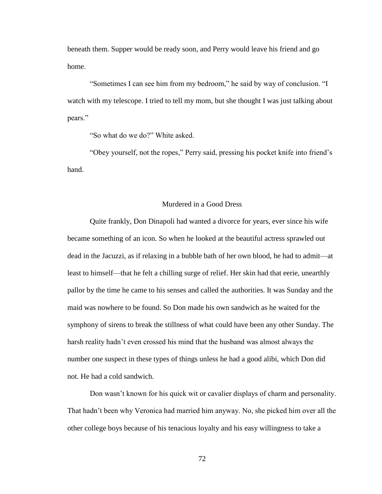beneath them. Supper would be ready soon, and Perry would leave his friend and go home.

"Sometimes I can see him from my bedroom," he said by way of conclusion. "I watch with my telescope. I tried to tell my mom, but she thought I was just talking about pears."

"So what do we do?" White asked.

"Obey yourself, not the ropes," Perry said, pressing his pocket knife into friend's hand.

## Murdered in a Good Dress

Quite frankly, Don Dinapoli had wanted a divorce for years, ever since his wife became something of an icon. So when he looked at the beautiful actress sprawled out dead in the Jacuzzi, as if relaxing in a bubble bath of her own blood, he had to admit—at least to himself—that he felt a chilling surge of relief. Her skin had that eerie, unearthly pallor by the time he came to his senses and called the authorities. It was Sunday and the maid was nowhere to be found. So Don made his own sandwich as he waited for the symphony of sirens to break the stillness of what could have been any other Sunday. The harsh reality hadn't even crossed his mind that the husband was almost always the number one suspect in these types of things unless he had a good alibi, which Don did not. He had a cold sandwich.

Don wasn't known for his quick wit or cavalier displays of charm and personality. That hadn't been why Veronica had married him anyway. No, she picked him over all the other college boys because of his tenacious loyalty and his easy willingness to take a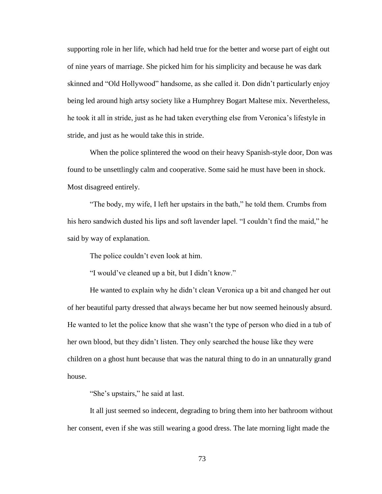supporting role in her life, which had held true for the better and worse part of eight out of nine years of marriage. She picked him for his simplicity and because he was dark skinned and "Old Hollywood" handsome, as she called it. Don didn't particularly enjoy being led around high artsy society like a Humphrey Bogart Maltese mix. Nevertheless, he took it all in stride, just as he had taken everything else from Veronica's lifestyle in stride, and just as he would take this in stride.

When the police splintered the wood on their heavy Spanish-style door, Don was found to be unsettlingly calm and cooperative. Some said he must have been in shock. Most disagreed entirely.

"The body, my wife, I left her upstairs in the bath," he told them. Crumbs from his hero sandwich dusted his lips and soft lavender lapel. "I couldn't find the maid," he said by way of explanation.

The police couldn't even look at him.

"I would've cleaned up a bit, but I didn't know."

He wanted to explain why he didn't clean Veronica up a bit and changed her out of her beautiful party dressed that always became her but now seemed heinously absurd. He wanted to let the police know that she wasn't the type of person who died in a tub of her own blood, but they didn't listen. They only searched the house like they were children on a ghost hunt because that was the natural thing to do in an unnaturally grand house.

"She's upstairs," he said at last.

It all just seemed so indecent, degrading to bring them into her bathroom without her consent, even if she was still wearing a good dress. The late morning light made the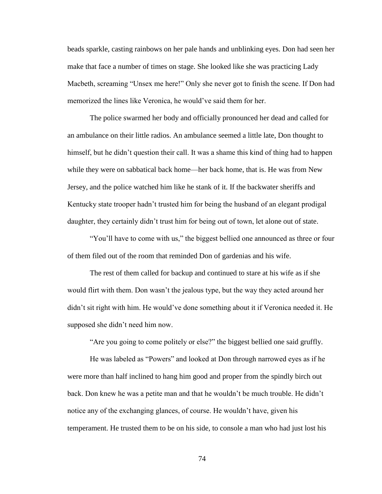beads sparkle, casting rainbows on her pale hands and unblinking eyes. Don had seen her make that face a number of times on stage. She looked like she was practicing Lady Macbeth, screaming "Unsex me here!" Only she never got to finish the scene. If Don had memorized the lines like Veronica, he would've said them for her.

The police swarmed her body and officially pronounced her dead and called for an ambulance on their little radios. An ambulance seemed a little late, Don thought to himself, but he didn't question their call. It was a shame this kind of thing had to happen while they were on sabbatical back home—her back home, that is. He was from New Jersey, and the police watched him like he stank of it. If the backwater sheriffs and Kentucky state trooper hadn't trusted him for being the husband of an elegant prodigal daughter, they certainly didn't trust him for being out of town, let alone out of state.

"You'll have to come with us," the biggest bellied one announced as three or four of them filed out of the room that reminded Don of gardenias and his wife.

The rest of them called for backup and continued to stare at his wife as if she would flirt with them. Don wasn't the jealous type, but the way they acted around her didn't sit right with him. He would've done something about it if Veronica needed it. He supposed she didn't need him now.

"Are you going to come politely or else?" the biggest bellied one said gruffly.

He was labeled as "Powers" and looked at Don through narrowed eyes as if he were more than half inclined to hang him good and proper from the spindly birch out back. Don knew he was a petite man and that he wouldn't be much trouble. He didn't notice any of the exchanging glances, of course. He wouldn't have, given his temperament. He trusted them to be on his side, to console a man who had just lost his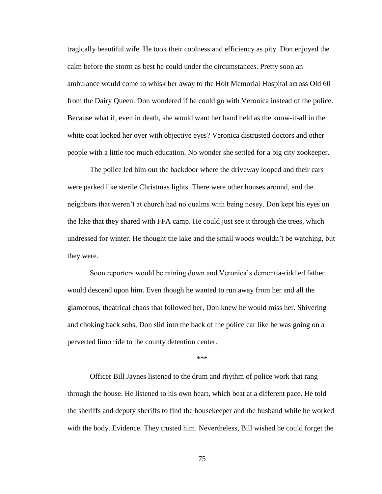tragically beautiful wife. He took their coolness and efficiency as pity. Don enjoyed the calm before the storm as best he could under the circumstances. Pretty soon an ambulance would come to whisk her away to the Holt Memorial Hospital across Old 60 from the Dairy Queen. Don wondered if he could go with Veronica instead of the police. Because what if, even in death, she would want her hand held as the know-it-all in the white coat looked her over with objective eyes? Veronica distrusted doctors and other people with a little too much education. No wonder she settled for a big city zookeeper.

The police led him out the backdoor where the driveway looped and their cars were parked like sterile Christmas lights. There were other houses around, and the neighbors that weren't at church had no qualms with being nosey. Don kept his eyes on the lake that they shared with FFA camp. He could just see it through the trees, which undressed for winter. He thought the lake and the small woods wouldn't be watching, but they were.

Soon reporters would be raining down and Veronica's dementia-riddled father would descend upon him. Even though he wanted to run away from her and all the glamorous, theatrical chaos that followed her, Don knew he would miss her. Shivering and choking back sobs, Don slid into the back of the police car like he was going on a perverted limo ride to the county detention center.

\*\*\*

Officer Bill Jaynes listened to the drum and rhythm of police work that rang through the house. He listened to his own heart, which beat at a different pace. He told the sheriffs and deputy sheriffs to find the housekeeper and the husband while he worked with the body. Evidence. They trusted him. Nevertheless, Bill wished he could forget the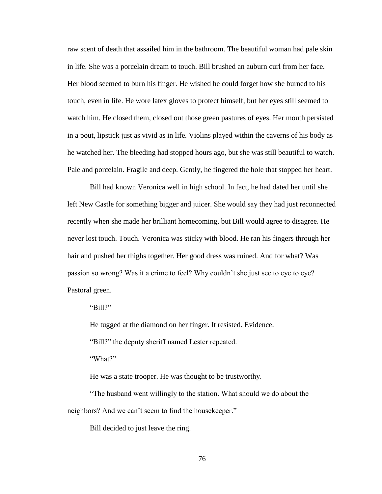raw scent of death that assailed him in the bathroom. The beautiful woman had pale skin in life. She was a porcelain dream to touch. Bill brushed an auburn curl from her face. Her blood seemed to burn his finger. He wished he could forget how she burned to his touch, even in life. He wore latex gloves to protect himself, but her eyes still seemed to watch him. He closed them, closed out those green pastures of eyes. Her mouth persisted in a pout, lipstick just as vivid as in life. Violins played within the caverns of his body as he watched her. The bleeding had stopped hours ago, but she was still beautiful to watch. Pale and porcelain. Fragile and deep. Gently, he fingered the hole that stopped her heart.

Bill had known Veronica well in high school. In fact, he had dated her until she left New Castle for something bigger and juicer. She would say they had just reconnected recently when she made her brilliant homecoming, but Bill would agree to disagree. He never lost touch. Touch. Veronica was sticky with blood. He ran his fingers through her hair and pushed her thighs together. Her good dress was ruined. And for what? Was passion so wrong? Was it a crime to feel? Why couldn't she just see to eye to eye? Pastoral green.

"Bill?"

He tugged at the diamond on her finger. It resisted. Evidence.

"Bill?" the deputy sheriff named Lester repeated.

"What?"

He was a state trooper. He was thought to be trustworthy.

"The husband went willingly to the station. What should we do about the neighbors? And we can't seem to find the housekeeper."

Bill decided to just leave the ring.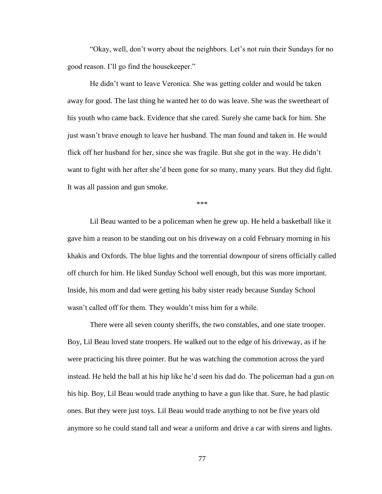"Okay, well, don't worry about the neighbors. Let's not ruin their Sundays for no good reason. I'll go find the housekeeper."

He didn't want to leave Veronica. She was getting colder and would be taken away for good. The last thing he wanted her to do was leave. She was the sweetheart of his youth who came back. Evidence that she cared. Surely she came back for him. She just wasn't brave enough to leave her husband. The man found and taken in. He would flick off her husband for her, since she was fragile. But she got in the way. He didn't want to fight with her after she'd been gone for so many, many years. But they did fight. It was all passion and gun smoke.

\*\*\*

Lil Beau wanted to be a policeman when he grew up. He held a basketball like it gave him a reason to be standing out on his driveway on a cold February morning in his khakis and Oxfords. The blue lights and the torrential downpour of sirens officially called off church for him. He liked Sunday School well enough, but this was more important. Inside, his mom and dad were getting his baby sister ready because Sunday School wasn't called off for them. They wouldn't miss him for a while.

There were all seven county sheriffs, the two constables, and one state trooper. Boy, Lil Beau loved state troopers. He walked out to the edge of his driveway, as if he were practicing his three pointer. But he was watching the commotion across the yard instead. He held the ball at his hip like he'd seen his dad do. The policeman had a gun on his hip. Boy, Lil Beau would trade anything to have a gun like that. Sure, he had plastic ones. But they were just toys. Lil Beau would trade anything to not be five years old anymore so he could stand tall and wear a uniform and drive a car with sirens and lights.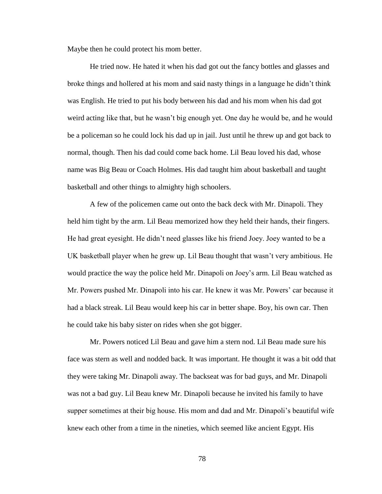Maybe then he could protect his mom better.

He tried now. He hated it when his dad got out the fancy bottles and glasses and broke things and hollered at his mom and said nasty things in a language he didn't think was English. He tried to put his body between his dad and his mom when his dad got weird acting like that, but he wasn't big enough yet. One day he would be, and he would be a policeman so he could lock his dad up in jail. Just until he threw up and got back to normal, though. Then his dad could come back home. Lil Beau loved his dad, whose name was Big Beau or Coach Holmes. His dad taught him about basketball and taught basketball and other things to almighty high schoolers.

A few of the policemen came out onto the back deck with Mr. Dinapoli. They held him tight by the arm. Lil Beau memorized how they held their hands, their fingers. He had great eyesight. He didn't need glasses like his friend Joey. Joey wanted to be a UK basketball player when he grew up. Lil Beau thought that wasn't very ambitious. He would practice the way the police held Mr. Dinapoli on Joey's arm. Lil Beau watched as Mr. Powers pushed Mr. Dinapoli into his car. He knew it was Mr. Powers' car because it had a black streak. Lil Beau would keep his car in better shape. Boy, his own car. Then he could take his baby sister on rides when she got bigger.

Mr. Powers noticed Lil Beau and gave him a stern nod. Lil Beau made sure his face was stern as well and nodded back. It was important. He thought it was a bit odd that they were taking Mr. Dinapoli away. The backseat was for bad guys, and Mr. Dinapoli was not a bad guy. Lil Beau knew Mr. Dinapoli because he invited his family to have supper sometimes at their big house. His mom and dad and Mr. Dinapoli's beautiful wife knew each other from a time in the nineties, which seemed like ancient Egypt. His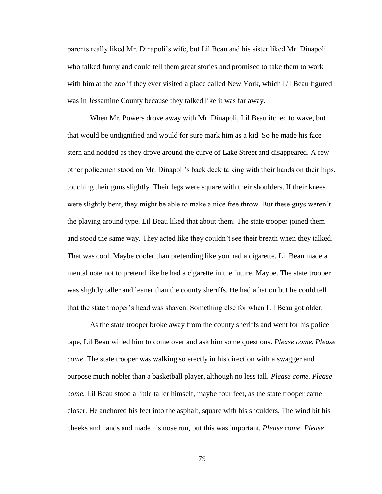parents really liked Mr. Dinapoli's wife, but Lil Beau and his sister liked Mr. Dinapoli who talked funny and could tell them great stories and promised to take them to work with him at the zoo if they ever visited a place called New York, which Lil Beau figured was in Jessamine County because they talked like it was far away.

When Mr. Powers drove away with Mr. Dinapoli, Lil Beau itched to wave, but that would be undignified and would for sure mark him as a kid. So he made his face stern and nodded as they drove around the curve of Lake Street and disappeared. A few other policemen stood on Mr. Dinapoli's back deck talking with their hands on their hips, touching their guns slightly. Their legs were square with their shoulders. If their knees were slightly bent, they might be able to make a nice free throw. But these guys weren't the playing around type. Lil Beau liked that about them. The state trooper joined them and stood the same way. They acted like they couldn't see their breath when they talked. That was cool. Maybe cooler than pretending like you had a cigarette. Lil Beau made a mental note not to pretend like he had a cigarette in the future. Maybe. The state trooper was slightly taller and leaner than the county sheriffs. He had a hat on but he could tell that the state trooper's head was shaven. Something else for when Lil Beau got older.

As the state trooper broke away from the county sheriffs and went for his police tape, Lil Beau willed him to come over and ask him some questions. *Please come. Please come.* The state trooper was walking so erectly in his direction with a swagger and purpose much nobler than a basketball player, although no less tall. *Please come. Please come.* Lil Beau stood a little taller himself, maybe four feet, as the state trooper came closer. He anchored his feet into the asphalt, square with his shoulders. The wind bit his cheeks and hands and made his nose run, but this was important. *Please come. Please*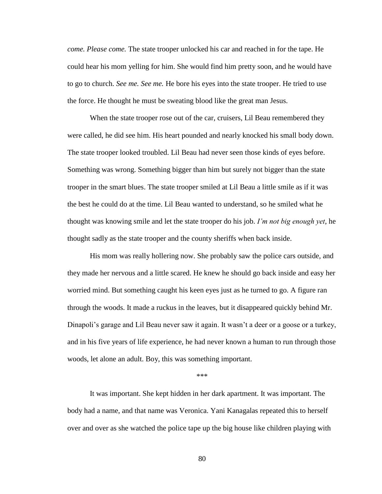*come. Please come.* The state trooper unlocked his car and reached in for the tape. He could hear his mom yelling for him. She would find him pretty soon, and he would have to go to church. *See me. See me.* He bore his eyes into the state trooper. He tried to use the force. He thought he must be sweating blood like the great man Jesus.

When the state trooper rose out of the car, cruisers, Lil Beau remembered they were called, he did see him. His heart pounded and nearly knocked his small body down. The state trooper looked troubled. Lil Beau had never seen those kinds of eyes before. Something was wrong. Something bigger than him but surely not bigger than the state trooper in the smart blues. The state trooper smiled at Lil Beau a little smile as if it was the best he could do at the time. Lil Beau wanted to understand, so he smiled what he thought was knowing smile and let the state trooper do his job. *I'm not big enough yet*, he thought sadly as the state trooper and the county sheriffs when back inside.

His mom was really hollering now. She probably saw the police cars outside, and they made her nervous and a little scared. He knew he should go back inside and easy her worried mind. But something caught his keen eyes just as he turned to go. A figure ran through the woods. It made a ruckus in the leaves, but it disappeared quickly behind Mr. Dinapoli's garage and Lil Beau never saw it again. It wasn't a deer or a goose or a turkey, and in his five years of life experience, he had never known a human to run through those woods, let alone an adult. Boy, this was something important.

\*\*\*

It was important. She kept hidden in her dark apartment. It was important. The body had a name, and that name was Veronica. Yani Kanagalas repeated this to herself over and over as she watched the police tape up the big house like children playing with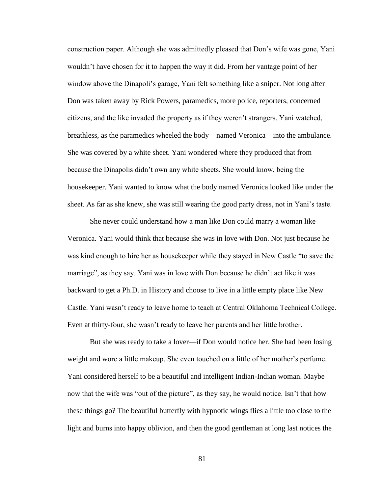construction paper. Although she was admittedly pleased that Don's wife was gone, Yani wouldn't have chosen for it to happen the way it did. From her vantage point of her window above the Dinapoli's garage, Yani felt something like a sniper. Not long after Don was taken away by Rick Powers, paramedics, more police, reporters, concerned citizens, and the like invaded the property as if they weren't strangers. Yani watched, breathless, as the paramedics wheeled the body—named Veronica—into the ambulance. She was covered by a white sheet. Yani wondered where they produced that from because the Dinapolis didn't own any white sheets. She would know, being the housekeeper. Yani wanted to know what the body named Veronica looked like under the sheet. As far as she knew, she was still wearing the good party dress, not in Yani's taste.

She never could understand how a man like Don could marry a woman like Veronica. Yani would think that because she was in love with Don. Not just because he was kind enough to hire her as housekeeper while they stayed in New Castle "to save the marriage", as they say. Yani was in love with Don because he didn't act like it was backward to get a Ph.D. in History and choose to live in a little empty place like New Castle. Yani wasn't ready to leave home to teach at Central Oklahoma Technical College. Even at thirty-four, she wasn't ready to leave her parents and her little brother.

But she was ready to take a lover—if Don would notice her. She had been losing weight and wore a little makeup. She even touched on a little of her mother's perfume. Yani considered herself to be a beautiful and intelligent Indian-Indian woman. Maybe now that the wife was "out of the picture", as they say, he would notice. Isn't that how these things go? The beautiful butterfly with hypnotic wings flies a little too close to the light and burns into happy oblivion, and then the good gentleman at long last notices the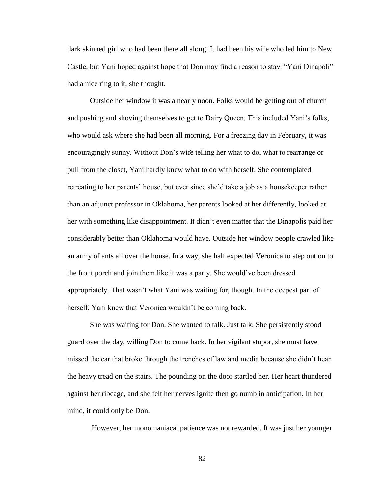dark skinned girl who had been there all along. It had been his wife who led him to New Castle, but Yani hoped against hope that Don may find a reason to stay. "Yani Dinapoli" had a nice ring to it, she thought.

Outside her window it was a nearly noon. Folks would be getting out of church and pushing and shoving themselves to get to Dairy Queen. This included Yani's folks, who would ask where she had been all morning. For a freezing day in February, it was encouragingly sunny. Without Don's wife telling her what to do, what to rearrange or pull from the closet, Yani hardly knew what to do with herself. She contemplated retreating to her parents' house, but ever since she'd take a job as a housekeeper rather than an adjunct professor in Oklahoma, her parents looked at her differently, looked at her with something like disappointment. It didn't even matter that the Dinapolis paid her considerably better than Oklahoma would have. Outside her window people crawled like an army of ants all over the house. In a way, she half expected Veronica to step out on to the front porch and join them like it was a party. She would've been dressed appropriately. That wasn't what Yani was waiting for, though. In the deepest part of herself, Yani knew that Veronica wouldn't be coming back.

She was waiting for Don. She wanted to talk. Just talk. She persistently stood guard over the day, willing Don to come back. In her vigilant stupor, she must have missed the car that broke through the trenches of law and media because she didn't hear the heavy tread on the stairs. The pounding on the door startled her. Her heart thundered against her ribcage, and she felt her nerves ignite then go numb in anticipation. In her mind, it could only be Don.

However, her monomaniacal patience was not rewarded. It was just her younger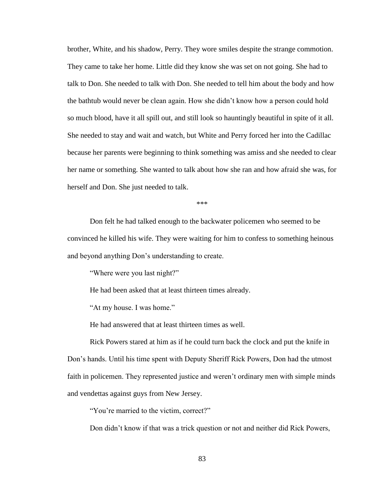brother, White, and his shadow, Perry. They wore smiles despite the strange commotion. They came to take her home. Little did they know she was set on not going. She had to talk to Don. She needed to talk with Don. She needed to tell him about the body and how the bathtub would never be clean again. How she didn't know how a person could hold so much blood, have it all spill out, and still look so hauntingly beautiful in spite of it all. She needed to stay and wait and watch, but White and Perry forced her into the Cadillac because her parents were beginning to think something was amiss and she needed to clear her name or something. She wanted to talk about how she ran and how afraid she was, for herself and Don. She just needed to talk.

\*\*\*

Don felt he had talked enough to the backwater policemen who seemed to be convinced he killed his wife. They were waiting for him to confess to something heinous and beyond anything Don's understanding to create.

"Where were you last night?"

He had been asked that at least thirteen times already.

"At my house. I was home."

He had answered that at least thirteen times as well.

Rick Powers stared at him as if he could turn back the clock and put the knife in Don's hands. Until his time spent with Deputy Sheriff Rick Powers, Don had the utmost faith in policemen. They represented justice and weren't ordinary men with simple minds and vendettas against guys from New Jersey.

"You're married to the victim, correct?"

Don didn't know if that was a trick question or not and neither did Rick Powers,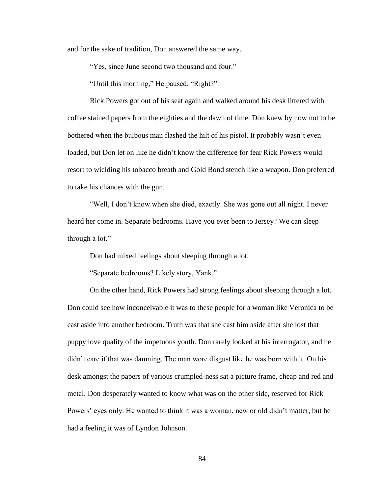and for the sake of tradition, Don answered the same way.

"Yes, since June second two thousand and four."

"Until this morning," He paused. "Right?"

Rick Powers got out of his seat again and walked around his desk littered with coffee stained papers from the eighties and the dawn of time. Don knew by now not to be bothered when the bulbous man flashed the hilt of his pistol. It probably wasn't even loaded, but Don let on like he didn't know the difference for fear Rick Powers would resort to wielding his tobacco breath and Gold Bond stench like a weapon. Don preferred to take his chances with the gun.

"Well, I don't know when she died, exactly. She was gone out all night. I never heard her come in. Separate bedrooms. Have you ever been to Jersey? We can sleep through a lot."

Don had mixed feelings about sleeping through a lot.

"Separate bedrooms? Likely story, Yank."

On the other hand, Rick Powers had strong feelings about sleeping through a lot. Don could see how inconceivable it was to these people for a woman like Veronica to be cast aside into another bedroom. Truth was that she cast him aside after she lost that puppy love quality of the impetuous youth. Don rarely looked at his interrogator, and he didn't care if that was damning. The man wore disgust like he was born with it. On his desk amongst the papers of various crumpled-ness sat a picture frame, cheap and red and metal. Don desperately wanted to know what was on the other side, reserved for Rick Powers' eyes only. He wanted to think it was a woman, new or old didn't matter, but he had a feeling it was of Lyndon Johnson.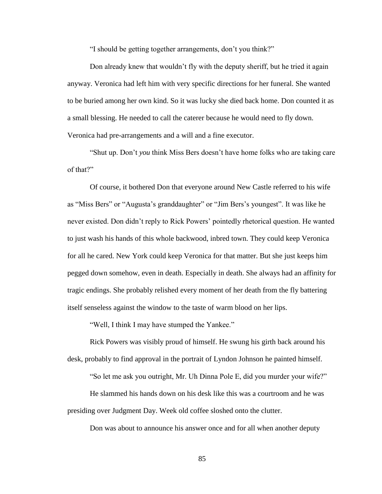"I should be getting together arrangements, don't you think?"

Don already knew that wouldn't fly with the deputy sheriff, but he tried it again anyway. Veronica had left him with very specific directions for her funeral. She wanted to be buried among her own kind. So it was lucky she died back home. Don counted it as a small blessing. He needed to call the caterer because he would need to fly down. Veronica had pre-arrangements and a will and a fine executor.

"Shut up. Don't *you* think Miss Bers doesn't have home folks who are taking care of that?"

Of course, it bothered Don that everyone around New Castle referred to his wife as "Miss Bers" or "Augusta's granddaughter" or "Jim Bers's youngest". It was like he never existed. Don didn't reply to Rick Powers' pointedly rhetorical question. He wanted to just wash his hands of this whole backwood, inbred town. They could keep Veronica for all he cared. New York could keep Veronica for that matter. But she just keeps him pegged down somehow, even in death. Especially in death. She always had an affinity for tragic endings. She probably relished every moment of her death from the fly battering itself senseless against the window to the taste of warm blood on her lips.

"Well, I think I may have stumped the Yankee."

Rick Powers was visibly proud of himself. He swung his girth back around his desk, probably to find approval in the portrait of Lyndon Johnson he painted himself.

"So let me ask you outright, Mr. Uh Dinna Pole E, did you murder your wife?"

He slammed his hands down on his desk like this was a courtroom and he was presiding over Judgment Day. Week old coffee sloshed onto the clutter.

Don was about to announce his answer once and for all when another deputy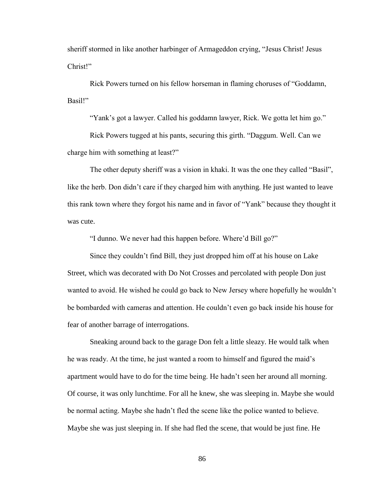sheriff stormed in like another harbinger of Armageddon crying, "Jesus Christ! Jesus Christ!"

Rick Powers turned on his fellow horseman in flaming choruses of "Goddamn, Basil!"

"Yank's got a lawyer. Called his goddamn lawyer, Rick. We gotta let him go."

Rick Powers tugged at his pants, securing this girth. "Daggum. Well. Can we charge him with something at least?"

The other deputy sheriff was a vision in khaki. It was the one they called "Basil", like the herb. Don didn't care if they charged him with anything. He just wanted to leave this rank town where they forgot his name and in favor of "Yank" because they thought it was cute.

"I dunno. We never had this happen before. Where'd Bill go?"

Since they couldn't find Bill, they just dropped him off at his house on Lake Street, which was decorated with Do Not Crosses and percolated with people Don just wanted to avoid. He wished he could go back to New Jersey where hopefully he wouldn't be bombarded with cameras and attention. He couldn't even go back inside his house for fear of another barrage of interrogations.

Sneaking around back to the garage Don felt a little sleazy. He would talk when he was ready. At the time, he just wanted a room to himself and figured the maid's apartment would have to do for the time being. He hadn't seen her around all morning. Of course, it was only lunchtime. For all he knew, she was sleeping in. Maybe she would be normal acting. Maybe she hadn't fled the scene like the police wanted to believe. Maybe she was just sleeping in. If she had fled the scene, that would be just fine. He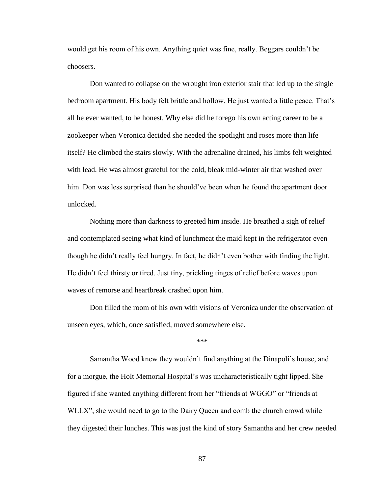would get his room of his own. Anything quiet was fine, really. Beggars couldn't be choosers.

Don wanted to collapse on the wrought iron exterior stair that led up to the single bedroom apartment. His body felt brittle and hollow. He just wanted a little peace. That's all he ever wanted, to be honest. Why else did he forego his own acting career to be a zookeeper when Veronica decided she needed the spotlight and roses more than life itself? He climbed the stairs slowly. With the adrenaline drained, his limbs felt weighted with lead. He was almost grateful for the cold, bleak mid-winter air that washed over him. Don was less surprised than he should've been when he found the apartment door unlocked.

Nothing more than darkness to greeted him inside. He breathed a sigh of relief and contemplated seeing what kind of lunchmeat the maid kept in the refrigerator even though he didn't really feel hungry. In fact, he didn't even bother with finding the light. He didn't feel thirsty or tired. Just tiny, prickling tinges of relief before waves upon waves of remorse and heartbreak crashed upon him.

Don filled the room of his own with visions of Veronica under the observation of unseen eyes, which, once satisfied, moved somewhere else.

\*\*\*

Samantha Wood knew they wouldn't find anything at the Dinapoli's house, and for a morgue, the Holt Memorial Hospital's was uncharacteristically tight lipped. She figured if she wanted anything different from her "friends at WGGO" or "friends at WLLX", she would need to go to the Dairy Queen and comb the church crowd while they digested their lunches. This was just the kind of story Samantha and her crew needed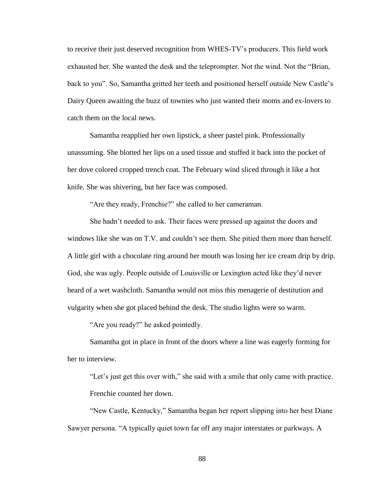to receive their just deserved recognition from WHES-TV's producers. This field work exhausted her. She wanted the desk and the teleprompter. Not the wind. Not the "Brian, back to you". So, Samantha gritted her teeth and positioned herself outside New Castle's Dairy Queen awaiting the buzz of townies who just wanted their moms and ex-lovers to catch them on the local news.

Samantha reapplied her own lipstick, a sheer pastel pink. Professionally unassuming. She blotted her lips on a used tissue and stuffed it back into the pocket of her dove colored cropped trench coat. The February wind sliced through it like a hot knife. She was shivering, but her face was composed.

"Are they ready, Frenchie?" she called to her cameraman.

She hadn't needed to ask. Their faces were pressed up against the doors and windows like she was on T.V. and couldn't see them. She pitied them more than herself. A little girl with a chocolate ring around her mouth was losing her ice cream drip by drip. God, she was ugly. People outside of Louisville or Lexington acted like they'd never heard of a wet washcloth. Samantha would not miss this menagerie of destitution and vulgarity when she got placed behind the desk. The studio lights were so warm.

"Are you ready?" he asked pointedly.

Samantha got in place in front of the doors where a line was eagerly forming for her to interview.

"Let's just get this over with," she said with a smile that only came with practice. Frenchie counted her down.

"New Castle, Kentucky," Samantha began her report slipping into her best Diane Sawyer persona. "A typically quiet town far off any major interstates or parkways. A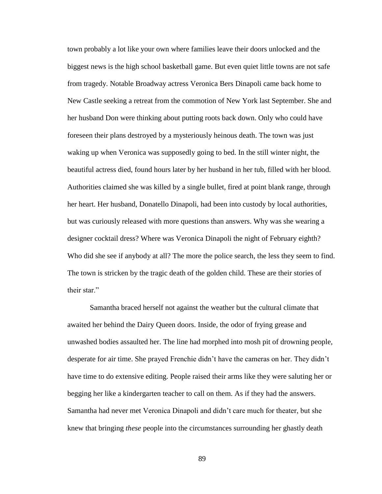town probably a lot like your own where families leave their doors unlocked and the biggest news is the high school basketball game. But even quiet little towns are not safe from tragedy. Notable Broadway actress Veronica Bers Dinapoli came back home to New Castle seeking a retreat from the commotion of New York last September. She and her husband Don were thinking about putting roots back down. Only who could have foreseen their plans destroyed by a mysteriously heinous death. The town was just waking up when Veronica was supposedly going to bed. In the still winter night, the beautiful actress died, found hours later by her husband in her tub, filled with her blood. Authorities claimed she was killed by a single bullet, fired at point blank range, through her heart. Her husband, Donatello Dinapoli, had been into custody by local authorities, but was curiously released with more questions than answers. Why was she wearing a designer cocktail dress? Where was Veronica Dinapoli the night of February eighth? Who did she see if anybody at all? The more the police search, the less they seem to find. The town is stricken by the tragic death of the golden child. These are their stories of their star."

Samantha braced herself not against the weather but the cultural climate that awaited her behind the Dairy Queen doors. Inside, the odor of frying grease and unwashed bodies assaulted her. The line had morphed into mosh pit of drowning people, desperate for air time. She prayed Frenchie didn't have the cameras on her. They didn't have time to do extensive editing. People raised their arms like they were saluting her or begging her like a kindergarten teacher to call on them. As if they had the answers. Samantha had never met Veronica Dinapoli and didn't care much for theater, but she knew that bringing *these* people into the circumstances surrounding her ghastly death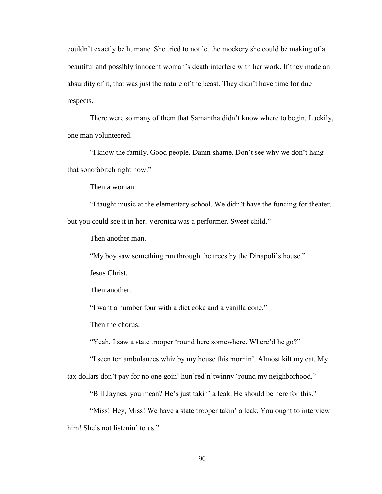couldn't exactly be humane. She tried to not let the mockery she could be making of a beautiful and possibly innocent woman's death interfere with her work. If they made an absurdity of it, that was just the nature of the beast. They didn't have time for due respects.

There were so many of them that Samantha didn't know where to begin. Luckily, one man volunteered.

"I know the family. Good people. Damn shame. Don't see why we don't hang that sonofabitch right now."

Then a woman.

"I taught music at the elementary school. We didn't have the funding for theater, but you could see it in her. Veronica was a performer. Sweet child."

Then another man.

"My boy saw something run through the trees by the Dinapoli's house."

Jesus Christ.

Then another.

"I want a number four with a diet coke and a vanilla cone."

Then the chorus:

"Yeah, I saw a state trooper 'round here somewhere. Where'd he go?"

"I seen ten ambulances whiz by my house this mornin'. Almost kilt my cat. My

tax dollars don't pay for no one goin' hun'red'n'twinny 'round my neighborhood."

"Bill Jaynes, you mean? He's just takin' a leak. He should be here for this."

"Miss! Hey, Miss! We have a state trooper takin' a leak. You ought to interview him! She's not listenin' to us."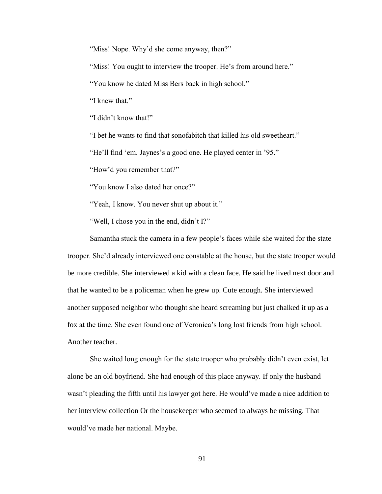"Miss! Nope. Why'd she come anyway, then?"

"Miss! You ought to interview the trooper. He's from around here."

"You know he dated Miss Bers back in high school."

"I knew that"

"I didn't know that!"

"I bet he wants to find that sonofabitch that killed his old sweetheart."

"He'll find 'em. Jaynes's a good one. He played center in '95."

"How'd you remember that?"

"You know I also dated her once?"

"Yeah, I know. You never shut up about it."

"Well, I chose you in the end, didn't I?"

Samantha stuck the camera in a few people's faces while she waited for the state trooper. She'd already interviewed one constable at the house, but the state trooper would be more credible. She interviewed a kid with a clean face. He said he lived next door and that he wanted to be a policeman when he grew up. Cute enough. She interviewed another supposed neighbor who thought she heard screaming but just chalked it up as a fox at the time. She even found one of Veronica's long lost friends from high school. Another teacher.

She waited long enough for the state trooper who probably didn't even exist, let alone be an old boyfriend. She had enough of this place anyway. If only the husband wasn't pleading the fifth until his lawyer got here. He would've made a nice addition to her interview collection Or the housekeeper who seemed to always be missing. That would've made her national. Maybe.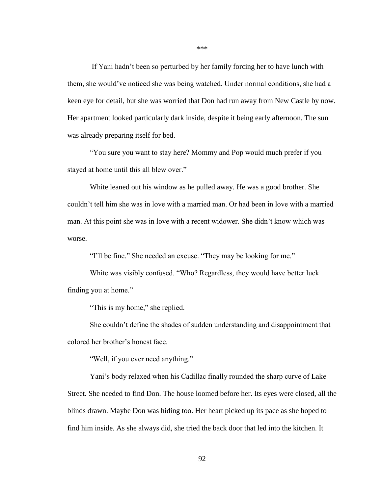If Yani hadn't been so perturbed by her family forcing her to have lunch with them, she would've noticed she was being watched. Under normal conditions, she had a keen eye for detail, but she was worried that Don had run away from New Castle by now. Her apartment looked particularly dark inside, despite it being early afternoon. The sun was already preparing itself for bed.

"You sure you want to stay here? Mommy and Pop would much prefer if you stayed at home until this all blew over."

White leaned out his window as he pulled away. He was a good brother. She couldn't tell him she was in love with a married man. Or had been in love with a married man. At this point she was in love with a recent widower. She didn't know which was worse.

"I'll be fine." She needed an excuse. "They may be looking for me."

White was visibly confused. "Who? Regardless, they would have better luck finding you at home."

"This is my home," she replied.

She couldn't define the shades of sudden understanding and disappointment that colored her brother's honest face.

"Well, if you ever need anything."

Yani's body relaxed when his Cadillac finally rounded the sharp curve of Lake Street. She needed to find Don. The house loomed before her. Its eyes were closed, all the blinds drawn. Maybe Don was hiding too. Her heart picked up its pace as she hoped to find him inside. As she always did, she tried the back door that led into the kitchen. It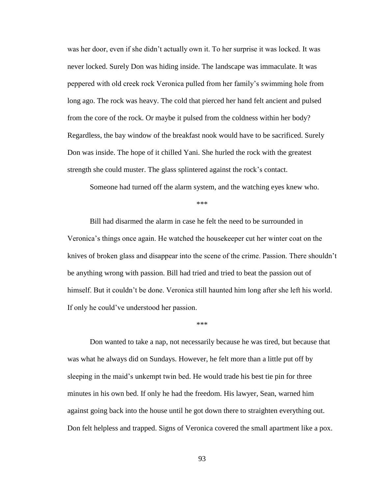was her door, even if she didn't actually own it. To her surprise it was locked. It was never locked. Surely Don was hiding inside. The landscape was immaculate. It was peppered with old creek rock Veronica pulled from her family's swimming hole from long ago. The rock was heavy. The cold that pierced her hand felt ancient and pulsed from the core of the rock. Or maybe it pulsed from the coldness within her body? Regardless, the bay window of the breakfast nook would have to be sacrificed. Surely Don was inside. The hope of it chilled Yani. She hurled the rock with the greatest strength she could muster. The glass splintered against the rock's contact.

Someone had turned off the alarm system, and the watching eyes knew who.

\*\*\*

Bill had disarmed the alarm in case he felt the need to be surrounded in Veronica's things once again. He watched the housekeeper cut her winter coat on the knives of broken glass and disappear into the scene of the crime. Passion. There shouldn't be anything wrong with passion. Bill had tried and tried to beat the passion out of himself. But it couldn't be done. Veronica still haunted him long after she left his world. If only he could've understood her passion.

\*\*\*

Don wanted to take a nap, not necessarily because he was tired, but because that was what he always did on Sundays. However, he felt more than a little put off by sleeping in the maid's unkempt twin bed. He would trade his best tie pin for three minutes in his own bed. If only he had the freedom. His lawyer, Sean, warned him against going back into the house until he got down there to straighten everything out. Don felt helpless and trapped. Signs of Veronica covered the small apartment like a pox.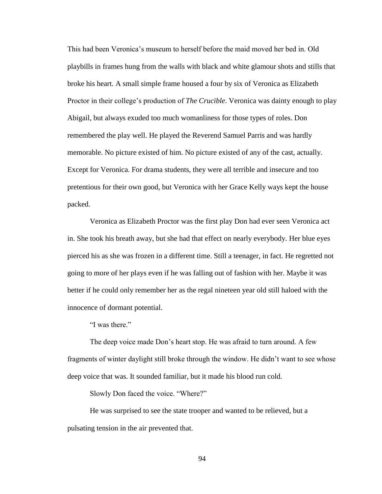This had been Veronica's museum to herself before the maid moved her bed in. Old playbills in frames hung from the walls with black and white glamour shots and stills that broke his heart. A small simple frame housed a four by six of Veronica as Elizabeth Proctor in their college's production of *The Crucible*. Veronica was dainty enough to play Abigail, but always exuded too much womanliness for those types of roles. Don remembered the play well. He played the Reverend Samuel Parris and was hardly memorable. No picture existed of him. No picture existed of any of the cast, actually. Except for Veronica. For drama students, they were all terrible and insecure and too pretentious for their own good, but Veronica with her Grace Kelly ways kept the house packed.

Veronica as Elizabeth Proctor was the first play Don had ever seen Veronica act in. She took his breath away, but she had that effect on nearly everybody. Her blue eyes pierced his as she was frozen in a different time. Still a teenager, in fact. He regretted not going to more of her plays even if he was falling out of fashion with her. Maybe it was better if he could only remember her as the regal nineteen year old still haloed with the innocence of dormant potential.

"I was there."

The deep voice made Don's heart stop. He was afraid to turn around. A few fragments of winter daylight still broke through the window. He didn't want to see whose deep voice that was. It sounded familiar, but it made his blood run cold.

Slowly Don faced the voice. "Where?"

He was surprised to see the state trooper and wanted to be relieved, but a pulsating tension in the air prevented that.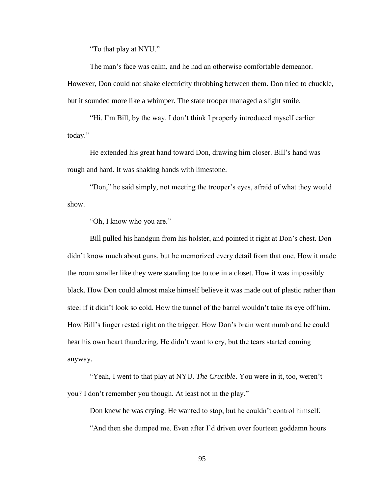"To that play at NYU."

The man's face was calm, and he had an otherwise comfortable demeanor. However, Don could not shake electricity throbbing between them. Don tried to chuckle, but it sounded more like a whimper. The state trooper managed a slight smile.

"Hi. I'm Bill, by the way. I don't think I properly introduced myself earlier today."

He extended his great hand toward Don, drawing him closer. Bill's hand was rough and hard. It was shaking hands with limestone.

"Don," he said simply, not meeting the trooper's eyes, afraid of what they would show.

"Oh, I know who you are."

Bill pulled his handgun from his holster, and pointed it right at Don's chest. Don didn't know much about guns, but he memorized every detail from that one. How it made the room smaller like they were standing toe to toe in a closet. How it was impossibly black. How Don could almost make himself believe it was made out of plastic rather than steel if it didn't look so cold. How the tunnel of the barrel wouldn't take its eye off him. How Bill's finger rested right on the trigger. How Don's brain went numb and he could hear his own heart thundering. He didn't want to cry, but the tears started coming anyway.

"Yeah, I went to that play at NYU. *The Crucible*. You were in it, too, weren't you? I don't remember you though. At least not in the play."

Don knew he was crying. He wanted to stop, but he couldn't control himself. "And then she dumped me. Even after I'd driven over fourteen goddamn hours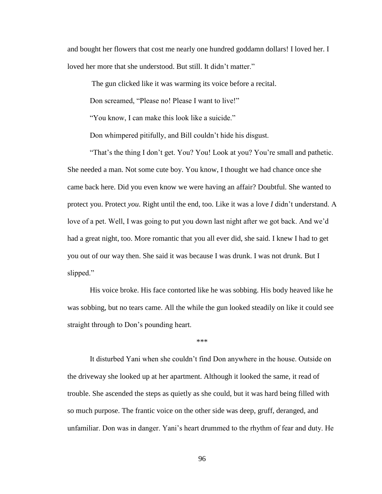and bought her flowers that cost me nearly one hundred goddamn dollars! I loved her. I loved her more that she understood. But still. It didn't matter."

The gun clicked like it was warming its voice before a recital.

Don screamed, "Please no! Please I want to live!"

"You know, I can make this look like a suicide."

Don whimpered pitifully, and Bill couldn't hide his disgust.

"That's the thing I don't get. You? You! Look at you? You're small and pathetic. She needed a man. Not some cute boy. You know, I thought we had chance once she came back here. Did you even know we were having an affair? Doubtful. She wanted to protect you. Protect *you*. Right until the end, too. Like it was a love *I* didn't understand. A love of a pet. Well, I was going to put you down last night after we got back. And we'd had a great night, too. More romantic that you all ever did, she said. I knew I had to get you out of our way then. She said it was because I was drunk. I was not drunk. But I slipped."

His voice broke. His face contorted like he was sobbing. His body heaved like he was sobbing, but no tears came. All the while the gun looked steadily on like it could see straight through to Don's pounding heart.

\*\*\*

It disturbed Yani when she couldn't find Don anywhere in the house. Outside on the driveway she looked up at her apartment. Although it looked the same, it read of trouble. She ascended the steps as quietly as she could, but it was hard being filled with so much purpose. The frantic voice on the other side was deep, gruff, deranged, and unfamiliar. Don was in danger. Yani's heart drummed to the rhythm of fear and duty. He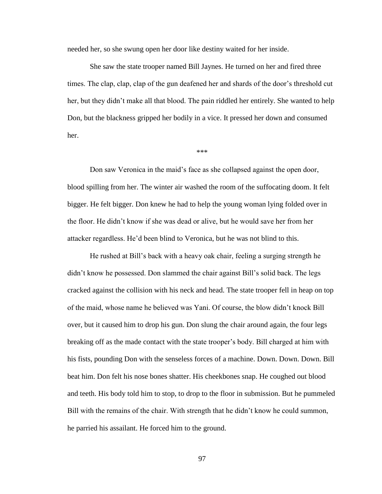needed her, so she swung open her door like destiny waited for her inside.

She saw the state trooper named Bill Jaynes. He turned on her and fired three times. The clap, clap, clap of the gun deafened her and shards of the door's threshold cut her, but they didn't make all that blood. The pain riddled her entirely. She wanted to help Don, but the blackness gripped her bodily in a vice. It pressed her down and consumed her.

\*\*\*

Don saw Veronica in the maid's face as she collapsed against the open door, blood spilling from her. The winter air washed the room of the suffocating doom. It felt bigger. He felt bigger. Don knew he had to help the young woman lying folded over in the floor. He didn't know if she was dead or alive, but he would save her from her attacker regardless. He'd been blind to Veronica, but he was not blind to this.

He rushed at Bill's back with a heavy oak chair, feeling a surging strength he didn't know he possessed. Don slammed the chair against Bill's solid back. The legs cracked against the collision with his neck and head. The state trooper fell in heap on top of the maid, whose name he believed was Yani. Of course, the blow didn't knock Bill over, but it caused him to drop his gun. Don slung the chair around again, the four legs breaking off as the made contact with the state trooper's body. Bill charged at him with his fists, pounding Don with the senseless forces of a machine. Down. Down. Down. Bill beat him. Don felt his nose bones shatter. His cheekbones snap. He coughed out blood and teeth. His body told him to stop, to drop to the floor in submission. But he pummeled Bill with the remains of the chair. With strength that he didn't know he could summon, he parried his assailant. He forced him to the ground.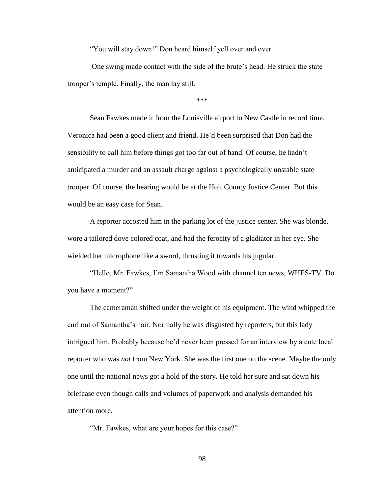"You will stay down!" Don heard himself yell over and over.

One swing made contact with the side of the brute's head. He struck the state trooper's temple. Finally, the man lay still.

\*\*\*

Sean Fawkes made it from the Louisville airport to New Castle in record time. Veronica had been a good client and friend. He'd been surprised that Don had the sensibility to call him before things got too far out of hand. Of course, he hadn't anticipated a murder and an assault charge against a psychologically unstable state trooper. Of course, the hearing would be at the Holt County Justice Center. But this would be an easy case for Sean.

A reporter accosted him in the parking lot of the justice center. She was blonde, wore a tailored dove colored coat, and had the ferocity of a gladiator in her eye. She wielded her microphone like a sword, thrusting it towards his jugular.

"Hello, Mr. Fawkes, I'm Samantha Wood with channel ten news, WHES-TV. Do you have a moment?"

The cameraman shifted under the weight of his equipment. The wind whipped the curl out of Samantha's hair. Normally he was disgusted by reporters, but this lady intrigued him. Probably because he'd never been pressed for an interview by a cute local reporter who was *not* from New York. She was the first one on the scene. Maybe the only one until the national news got a hold of the story. He told her sure and sat down his briefcase even though calls and volumes of paperwork and analysis demanded his attention more.

"Mr. Fawkes, what are your hopes for this case?"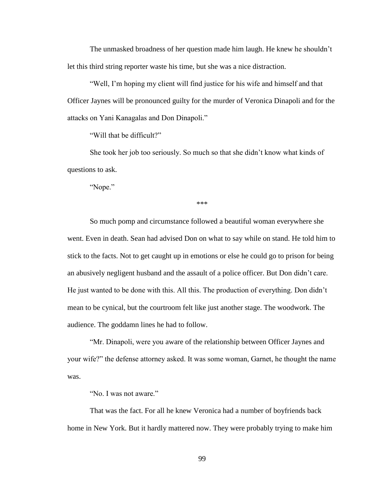The unmasked broadness of her question made him laugh. He knew he shouldn't let this third string reporter waste his time, but she was a nice distraction.

"Well, I'm hoping my client will find justice for his wife and himself and that Officer Jaynes will be pronounced guilty for the murder of Veronica Dinapoli and for the attacks on Yani Kanagalas and Don Dinapoli."

"Will that be difficult?"

She took her job too seriously. So much so that she didn't know what kinds of questions to ask.

"Nope."

\*\*\*

So much pomp and circumstance followed a beautiful woman everywhere she went. Even in death. Sean had advised Don on what to say while on stand. He told him to stick to the facts. Not to get caught up in emotions or else he could go to prison for being an abusively negligent husband and the assault of a police officer. But Don didn't care. He just wanted to be done with this. All this. The production of everything. Don didn't mean to be cynical, but the courtroom felt like just another stage. The woodwork. The audience. The goddamn lines he had to follow.

"Mr. Dinapoli, were you aware of the relationship between Officer Jaynes and your wife?" the defense attorney asked. It was some woman, Garnet, he thought the name was.

"No. I was not aware."

That was the fact. For all he knew Veronica had a number of boyfriends back home in New York. But it hardly mattered now. They were probably trying to make him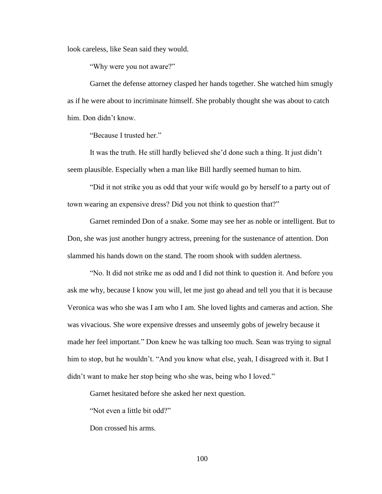look careless, like Sean said they would.

"Why were you not aware?"

Garnet the defense attorney clasped her hands together. She watched him smugly as if he were about to incriminate himself. She probably thought she was about to catch him. Don didn't know.

"Because I trusted her."

It was the truth. He still hardly believed she'd done such a thing. It just didn't seem plausible. Especially when a man like Bill hardly seemed human to him.

"Did it not strike you as odd that your wife would go by herself to a party out of town wearing an expensive dress? Did you not think to question that?"

Garnet reminded Don of a snake. Some may see her as noble or intelligent. But to Don, she was just another hungry actress, preening for the sustenance of attention. Don slammed his hands down on the stand. The room shook with sudden alertness.

"No. It did not strike me as odd and I did not think to question it. And before you ask me why, because I know you will, let me just go ahead and tell you that it is because Veronica was who she was I am who I am. She loved lights and cameras and action. She was vivacious. She wore expensive dresses and unseemly gobs of jewelry because it made her feel important." Don knew he was talking too much. Sean was trying to signal him to stop, but he wouldn't. "And you know what else, yeah, I disagreed with it. But I didn't want to make her stop being who she was, being who I loved."

Garnet hesitated before she asked her next question.

"Not even a little bit odd?"

Don crossed his arms.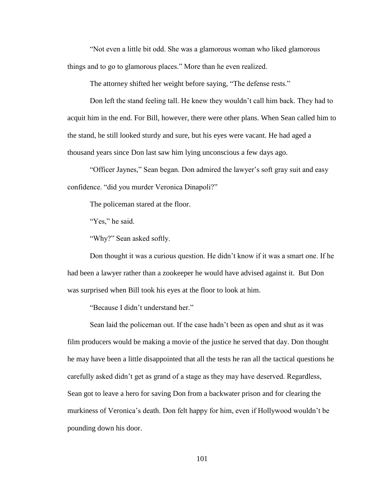"Not even a little bit odd. She was a glamorous woman who liked glamorous things and to go to glamorous places." More than he even realized.

The attorney shifted her weight before saying, "The defense rests."

Don left the stand feeling tall. He knew they wouldn't call him back. They had to acquit him in the end. For Bill, however, there were other plans. When Sean called him to the stand, he still looked sturdy and sure, but his eyes were vacant. He had aged a thousand years since Don last saw him lying unconscious a few days ago.

"Officer Jaynes," Sean began. Don admired the lawyer's soft gray suit and easy confidence. "did you murder Veronica Dinapoli?"

The policeman stared at the floor.

"Yes," he said.

"Why?" Sean asked softly.

Don thought it was a curious question. He didn't know if it was a smart one. If he had been a lawyer rather than a zookeeper he would have advised against it. But Don was surprised when Bill took his eyes at the floor to look at him.

"Because I didn't understand her."

Sean laid the policeman out. If the case hadn't been as open and shut as it was film producers would be making a movie of the justice he served that day. Don thought he may have been a little disappointed that all the tests he ran all the tactical questions he carefully asked didn't get as grand of a stage as they may have deserved. Regardless, Sean got to leave a hero for saving Don from a backwater prison and for clearing the murkiness of Veronica's death. Don felt happy for him, even if Hollywood wouldn't be pounding down his door.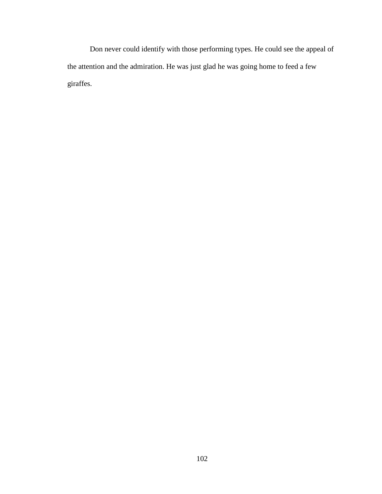Don never could identify with those performing types. He could see the appeal of the attention and the admiration. He was just glad he was going home to feed a few giraffes.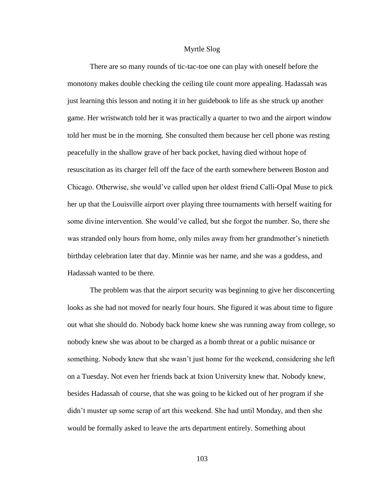## Myrtle Slog

There are so many rounds of tic-tac-toe one can play with oneself before the monotony makes double checking the ceiling tile count more appealing. Hadassah was just learning this lesson and noting it in her guidebook to life as she struck up another game. Her wristwatch told her it was practically a quarter to two and the airport window told her must be in the morning. She consulted them because her cell phone was resting peacefully in the shallow grave of her back pocket, having died without hope of resuscitation as its charger fell off the face of the earth somewhere between Boston and Chicago. Otherwise, she would've called upon her oldest friend Calli-Opal Muse to pick her up that the Louisville airport over playing three tournaments with herself waiting for some divine intervention. She would've called, but she forgot the number. So, there she was stranded only hours from home, only miles away from her grandmother's ninetieth birthday celebration later that day. Minnie was her name, and she was a goddess, and Hadassah wanted to be there.

The problem was that the airport security was beginning to give her disconcerting looks as she had not moved for nearly four hours. She figured it was about time to figure out what she should do. Nobody back home knew she was running away from college, so nobody knew she was about to be charged as a bomb threat or a public nuisance or something. Nobody knew that she wasn't just home for the weekend, considering she left on a Tuesday. Not even her friends back at Ixion University knew that. Nobody knew, besides Hadassah of course, that she was going to be kicked out of her program if she didn't muster up some scrap of art this weekend. She had until Monday, and then she would be formally asked to leave the arts department entirely. Something about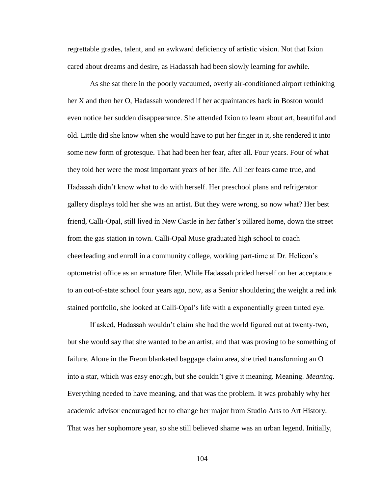regrettable grades, talent, and an awkward deficiency of artistic vision. Not that Ixion cared about dreams and desire, as Hadassah had been slowly learning for awhile.

As she sat there in the poorly vacuumed, overly air-conditioned airport rethinking her X and then her O, Hadassah wondered if her acquaintances back in Boston would even notice her sudden disappearance. She attended Ixion to learn about art, beautiful and old. Little did she know when she would have to put her finger in it, she rendered it into some new form of grotesque. That had been her fear, after all. Four years. Four of what they told her were the most important years of her life. All her fears came true, and Hadassah didn't know what to do with herself. Her preschool plans and refrigerator gallery displays told her she was an artist. But they were wrong, so now what? Her best friend, Calli-Opal, still lived in New Castle in her father's pillared home, down the street from the gas station in town. Calli-Opal Muse graduated high school to coach cheerleading and enroll in a community college, working part-time at Dr. Helicon's optometrist office as an armature filer. While Hadassah prided herself on her acceptance to an out-of-state school four years ago, now, as a Senior shouldering the weight a red ink stained portfolio, she looked at Calli-Opal's life with a exponentially green tinted eye.

If asked, Hadassah wouldn't claim she had the world figured out at twenty-two, but she would say that she wanted to be an artist, and that was proving to be something of failure. Alone in the Freon blanketed baggage claim area, she tried transforming an O into a star, which was easy enough, but she couldn't give it meaning. Meaning. *Meaning*. Everything needed to have meaning, and that was the problem. It was probably why her academic advisor encouraged her to change her major from Studio Arts to Art History. That was her sophomore year, so she still believed shame was an urban legend. Initially,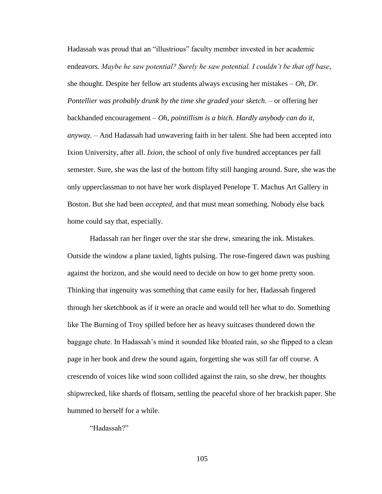Hadassah was proud that an "illustrious" faculty member invested in her academic endeavors. *Maybe he saw potential? Surely he saw potential. I couldn't be that off base,* she thought. Despite her fellow art students always excusing her mistakes – *Oh, Dr. Pontellier was probably drunk by the time she graded your sketch.* – or offering her backhanded encouragement – *Oh, pointillism is a bitch. Hardly anybody can do it, anyway.* – And Hadassah had unwavering faith in her talent. She had been accepted into Ixion University, after all. *Ixion*, the school of only five hundred acceptances per fall semester. Sure, she was the last of the bottom fifty still hanging around. Sure, she was the only upperclassman to not have her work displayed Penelope T. Machus Art Gallery in Boston. But she had been *accepted*, and that must mean something. Nobody else back home could say that, especially.

Hadassah ran her finger over the star she drew, smearing the ink. Mistakes. Outside the window a plane taxied, lights pulsing. The rose-fingered dawn was pushing against the horizon, and she would need to decide on how to get home pretty soon. Thinking that ingenuity was something that came easily for her, Hadassah fingered through her sketchbook as if it were an oracle and would tell her what to do. Something like The Burning of Troy spilled before her as heavy suitcases thundered down the baggage chute. In Hadassah's mind it sounded like bloated rain, so she flipped to a clean page in her book and drew the sound again, forgetting she was still far off course. A crescendo of voices like wind soon collided against the rain, so she drew, her thoughts shipwrecked, like shards of flotsam, settling the peaceful shore of her brackish paper. She hummed to herself for a while.

"Hadassah?"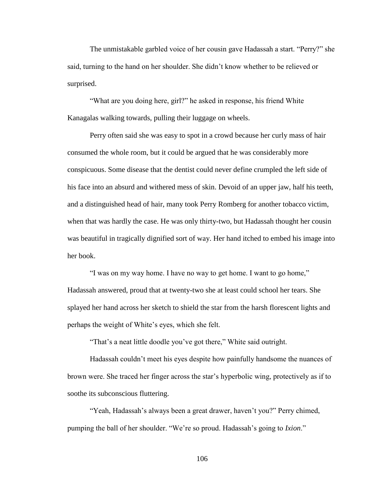The unmistakable garbled voice of her cousin gave Hadassah a start. "Perry?" she said, turning to the hand on her shoulder. She didn't know whether to be relieved or surprised.

"What are you doing here, girl?" he asked in response, his friend White Kanagalas walking towards, pulling their luggage on wheels.

Perry often said she was easy to spot in a crowd because her curly mass of hair consumed the whole room, but it could be argued that he was considerably more conspicuous. Some disease that the dentist could never define crumpled the left side of his face into an absurd and withered mess of skin. Devoid of an upper jaw, half his teeth, and a distinguished head of hair, many took Perry Romberg for another tobacco victim, when that was hardly the case. He was only thirty-two, but Hadassah thought her cousin was beautiful in tragically dignified sort of way. Her hand itched to embed his image into her book.

"I was on my way home. I have no way to get home. I want to go home," Hadassah answered, proud that at twenty-two she at least could school her tears. She splayed her hand across her sketch to shield the star from the harsh florescent lights and perhaps the weight of White's eyes, which she felt.

"That's a neat little doodle you've got there," White said outright.

Hadassah couldn't meet his eyes despite how painfully handsome the nuances of brown were. She traced her finger across the star's hyperbolic wing, protectively as if to soothe its subconscious fluttering.

"Yeah, Hadassah's always been a great drawer, haven't you?" Perry chimed, pumping the ball of her shoulder. "We're so proud. Hadassah's going to *Ixion*."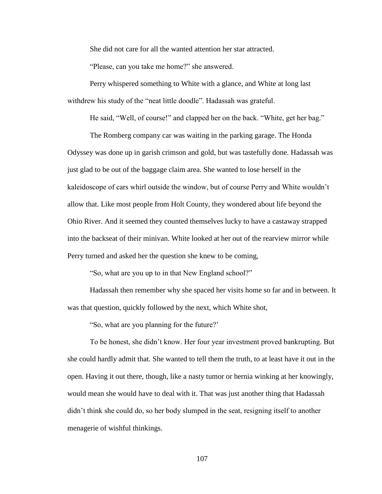She did not care for all the wanted attention her star attracted.

"Please, can you take me home?" she answered.

Perry whispered something to White with a glance, and White at long last withdrew his study of the "neat little doodle". Hadassah was grateful.

He said, "Well, of course!" and clapped her on the back. "White, get her bag."

The Romberg company car was waiting in the parking garage. The Honda Odyssey was done up in garish crimson and gold, but was tastefully done. Hadassah was just glad to be out of the baggage claim area. She wanted to lose herself in the kaleidoscope of cars whirl outside the window, but of course Perry and White wouldn't allow that. Like most people from Holt County, they wondered about life beyond the Ohio River. And it seemed they counted themselves lucky to have a castaway strapped into the backseat of their minivan. White looked at her out of the rearview mirror while Perry turned and asked her the question she knew to be coming,

"So, what are you up to in that New England school?"

Hadassah then remember why she spaced her visits home so far and in between. It was that question, quickly followed by the next, which White shot,

"So, what are you planning for the future?'

To be honest, she didn't know. Her four year investment proved bankrupting. But she could hardly admit that. She wanted to tell them the truth, to at least have it out in the open. Having it out there, though, like a nasty tumor or hernia winking at her knowingly, would mean she would have to deal with it. That was just another thing that Hadassah didn't think she could do, so her body slumped in the seat, resigning itself to another menagerie of wishful thinkings.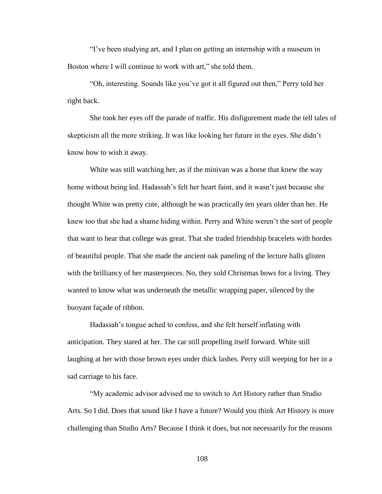"I've been studying art, and I plan on getting an internship with a museum in Boston where I will continue to work with art," she told them.

"Oh, interesting. Sounds like you've got it all figured out then," Perry told her right back.

She took her eyes off the parade of traffic. His disfigurement made the tell tales of skepticism all the more striking. It was like looking her future in the eyes. She didn't know how to wish it away.

White was still watching her, as if the minivan was a horse that knew the way home without being led. Hadassah's felt her heart faint, and it wasn't just because she thought White was pretty cute, although he was practically ten years older than her. He knew too that she had a shame hiding within. Perry and White weren't the sort of people that want to hear that college was great. That she traded friendship bracelets with hordes of beautiful people. That she made the ancient oak paneling of the lecture halls glisten with the brilliancy of her masterpieces. No, they sold Christmas bows for a living. They wanted to know what was underneath the metallic wrapping paper, silenced by the buoyant façade of ribbon.

Hadassah's tongue ached to confess, and she felt herself inflating with anticipation. They stared at her. The car still propelling itself forward. White still laughing at her with those brown eyes under thick lashes. Perry still weeping for her in a sad carriage to his face.

"My academic advisor advised me to switch to Art History rather than Studio Arts. So I did. Does that sound like I have a future? Would you think Art History is more challenging than Studio Arts? Because I think it does, but not necessarily for the reasons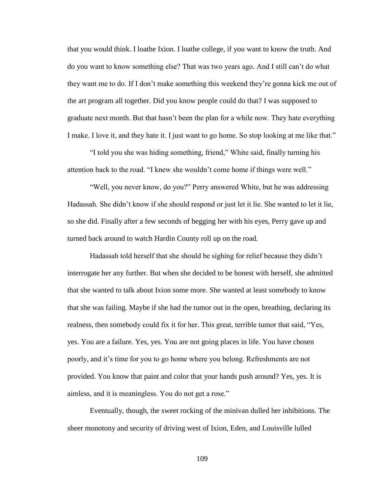that you would think. I loathe Ixion. I loathe college, if you want to know the truth. And do you want to know something else? That was two years ago. And I still can't do what they want me to do. If I don't make something this weekend they're gonna kick me out of the art program all together. Did you know people could do that? I was supposed to graduate next month. But that hasn't been the plan for a while now. They hate everything I make. I love it, and they hate it. I just want to go home. So stop looking at me like that."

"I told you she was hiding something, friend," White said, finally turning his attention back to the road. "I knew she wouldn't come home if things were well."

"Well, you never know, do you?" Perry answered White, but he was addressing Hadassah. She didn't know if she should respond or just let it lie. She wanted to let it lie, so she did. Finally after a few seconds of begging her with his eyes, Perry gave up and turned back around to watch Hardin County roll up on the road.

Hadassah told herself that she should be sighing for relief because they didn't interrogate her any further. But when she decided to be honest with herself, she admitted that she wanted to talk about Ixion some more. She wanted at least somebody to know that she was failing. Maybe if she had the tumor out in the open, breathing, declaring its realness, then somebody could fix it for her. This great, terrible tumor that said, "Yes, yes. You are a failure. Yes, yes. You are not going places in life. You have chosen poorly, and it's time for you to go home where you belong. Refreshments are not provided. You know that paint and color that your hands push around? Yes, yes. It is aimless, and it is meaningless. You do not get a rose."

Eventually, though, the sweet rocking of the minivan dulled her inhibitions. The sheer monotony and security of driving west of Ixion, Eden, and Louisville lulled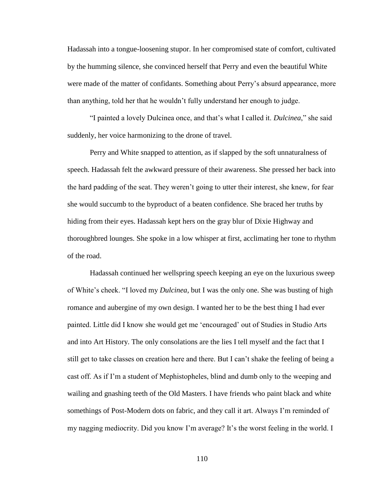Hadassah into a tongue-loosening stupor. In her compromised state of comfort, cultivated by the humming silence, she convinced herself that Perry and even the beautiful White were made of the matter of confidants. Something about Perry's absurd appearance, more than anything, told her that he wouldn't fully understand her enough to judge.

"I painted a lovely Dulcinea once, and that's what I called it. *Dulcinea*," she said suddenly, her voice harmonizing to the drone of travel.

Perry and White snapped to attention, as if slapped by the soft unnaturalness of speech. Hadassah felt the awkward pressure of their awareness. She pressed her back into the hard padding of the seat. They weren't going to utter their interest, she knew, for fear she would succumb to the byproduct of a beaten confidence. She braced her truths by hiding from their eyes. Hadassah kept hers on the gray blur of Dixie Highway and thoroughbred lounges. She spoke in a low whisper at first, acclimating her tone to rhythm of the road.

Hadassah continued her wellspring speech keeping an eye on the luxurious sweep of White's cheek. "I loved my *Dulcinea*, but I was the only one. She was busting of high romance and aubergine of my own design. I wanted her to be the best thing I had ever painted. Little did I know she would get me 'encouraged' out of Studies in Studio Arts and into Art History. The only consolations are the lies I tell myself and the fact that I still get to take classes on creation here and there. But I can't shake the feeling of being a cast off. As if I'm a student of Mephistopheles, blind and dumb only to the weeping and wailing and gnashing teeth of the Old Masters. I have friends who paint black and white somethings of Post-Modern dots on fabric, and they call it art. Always I'm reminded of my nagging mediocrity. Did you know I'm average? It's the worst feeling in the world. I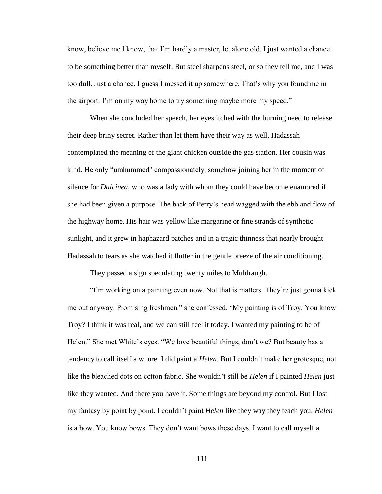know, believe me I know, that I'm hardly a master, let alone old. I just wanted a chance to be something better than myself. But steel sharpens steel, or so they tell me, and I was too dull. Just a chance. I guess I messed it up somewhere. That's why you found me in the airport. I'm on my way home to try something maybe more my speed."

When she concluded her speech, her eyes itched with the burning need to release their deep briny secret. Rather than let them have their way as well, Hadassah contemplated the meaning of the giant chicken outside the gas station. Her cousin was kind. He only "umhummed" compassionately, somehow joining her in the moment of silence for *Dulcinea*, who was a lady with whom they could have become enamored if she had been given a purpose. The back of Perry's head wagged with the ebb and flow of the highway home. His hair was yellow like margarine or fine strands of synthetic sunlight, and it grew in haphazard patches and in a tragic thinness that nearly brought Hadassah to tears as she watched it flutter in the gentle breeze of the air conditioning.

They passed a sign speculating twenty miles to Muldraugh.

"I'm working on a painting even now. Not that is matters. They're just gonna kick me out anyway. Promising freshmen." she confessed. "My painting is of Troy. You know Troy? I think it was real, and we can still feel it today. I wanted my painting to be of Helen." She met White's eyes. "We love beautiful things, don't we? But beauty has a tendency to call itself a whore. I did paint a *Helen*. But I couldn't make her grotesque, not like the bleached dots on cotton fabric. She wouldn't still be *Helen* if I painted *Helen* just like they wanted. And there you have it. Some things are beyond my control. But I lost my fantasy by point by point. I couldn't paint *Helen* like they way they teach you. *Helen* is a bow. You know bows. They don't want bows these days. I want to call myself a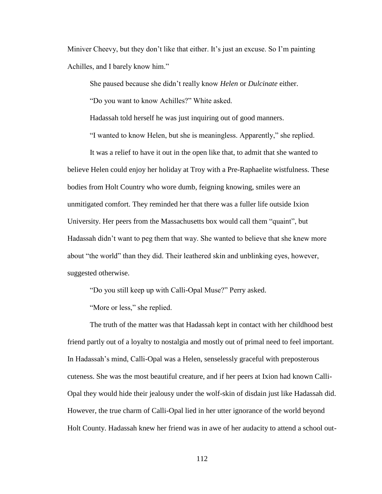Miniver Cheevy, but they don't like that either. It's just an excuse. So I'm painting Achilles, and I barely know him."

She paused because she didn't really know *Helen* or *Dulcinate* either.

"Do you want to know Achilles?" White asked.

Hadassah told herself he was just inquiring out of good manners.

"I wanted to know Helen, but she is meaningless. Apparently," she replied.

It was a relief to have it out in the open like that, to admit that she wanted to believe Helen could enjoy her holiday at Troy with a Pre-Raphaelite wistfulness. These bodies from Holt Country who wore dumb, feigning knowing, smiles were an unmitigated comfort. They reminded her that there was a fuller life outside Ixion University. Her peers from the Massachusetts box would call them "quaint", but Hadassah didn't want to peg them that way. She wanted to believe that she knew more about "the world" than they did. Their leathered skin and unblinking eyes, however, suggested otherwise.

"Do you still keep up with Calli-Opal Muse?" Perry asked.

"More or less," she replied.

The truth of the matter was that Hadassah kept in contact with her childhood best friend partly out of a loyalty to nostalgia and mostly out of primal need to feel important. In Hadassah's mind, Calli-Opal was a Helen, senselessly graceful with preposterous cuteness. She was the most beautiful creature, and if her peers at Ixion had known Calli-Opal they would hide their jealousy under the wolf-skin of disdain just like Hadassah did. However, the true charm of Calli-Opal lied in her utter ignorance of the world beyond Holt County. Hadassah knew her friend was in awe of her audacity to attend a school out-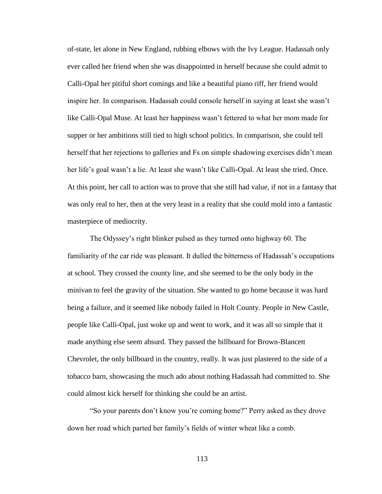of-state, let alone in New England, rubbing elbows with the Ivy League. Hadassah only ever called her friend when she was disappointed in herself because she could admit to Calli-Opal her pitiful short comings and like a beautiful piano riff, her friend would inspire her. In comparison. Hadassah could console herself in saying at least she wasn't like Calli-Opal Muse. At least her happiness wasn't fettered to what her mom made for supper or her ambitions still tied to high school politics. In comparison, she could tell herself that her rejections to galleries and Fs on simple shadowing exercises didn't mean her life's goal wasn't a lie. At least she wasn't like Calli-Opal. At least she tried. Once. At this point, her call to action was to prove that she still had value, if not in a fantasy that was only real to her, then at the very least in a reality that she could mold into a fantastic masterpiece of mediocrity.

The Odyssey's right blinker pulsed as they turned onto highway 60. The familiarity of the car ride was pleasant. It dulled the bitterness of Hadassah's occupations at school. They crossed the county line, and she seemed to be the only body in the minivan to feel the gravity of the situation. She wanted to go home because it was hard being a failure, and it seemed like nobody failed in Holt County. People in New Castle, people like Calli-Opal, just woke up and went to work, and it was all so simple that it made anything else seem absurd. They passed the billboard for Brown-Blancett Chevrolet, the only billboard in the country, really. It was just plastered to the side of a tobacco barn, showcasing the much ado about nothing Hadassah had committed to. She could almost kick herself for thinking she could be an artist.

"So your parents don't know you're coming home?" Perry asked as they drove down her road which parted her family's fields of winter wheat like a comb.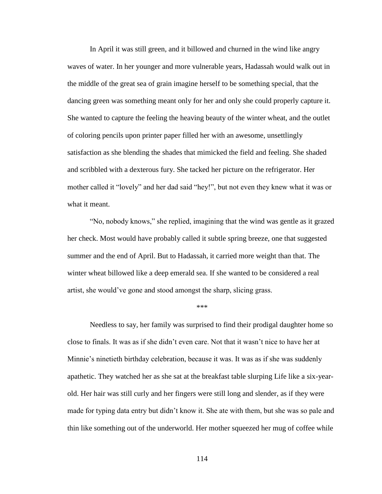In April it was still green, and it billowed and churned in the wind like angry waves of water. In her younger and more vulnerable years, Hadassah would walk out in the middle of the great sea of grain imagine herself to be something special, that the dancing green was something meant only for her and only she could properly capture it. She wanted to capture the feeling the heaving beauty of the winter wheat, and the outlet of coloring pencils upon printer paper filled her with an awesome, unsettlingly satisfaction as she blending the shades that mimicked the field and feeling. She shaded and scribbled with a dexterous fury. She tacked her picture on the refrigerator. Her mother called it "lovely" and her dad said "hey!", but not even they knew what it was or what it meant.

"No, nobody knows," she replied, imagining that the wind was gentle as it grazed her check. Most would have probably called it subtle spring breeze, one that suggested summer and the end of April. But to Hadassah, it carried more weight than that. The winter wheat billowed like a deep emerald sea. If she wanted to be considered a real artist, she would've gone and stood amongst the sharp, slicing grass.

\*\*\*

Needless to say, her family was surprised to find their prodigal daughter home so close to finals. It was as if she didn't even care. Not that it wasn't nice to have her at Minnie's ninetieth birthday celebration, because it was. It was as if she was suddenly apathetic. They watched her as she sat at the breakfast table slurping Life like a six-yearold. Her hair was still curly and her fingers were still long and slender, as if they were made for typing data entry but didn't know it. She ate with them, but she was so pale and thin like something out of the underworld. Her mother squeezed her mug of coffee while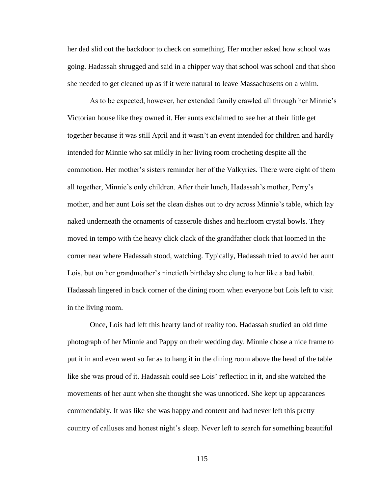her dad slid out the backdoor to check on something. Her mother asked how school was going. Hadassah shrugged and said in a chipper way that school was school and that shoo she needed to get cleaned up as if it were natural to leave Massachusetts on a whim.

As to be expected, however, her extended family crawled all through her Minnie's Victorian house like they owned it. Her aunts exclaimed to see her at their little get together because it was still April and it wasn't an event intended for children and hardly intended for Minnie who sat mildly in her living room crocheting despite all the commotion. Her mother's sisters reminder her of the Valkyries. There were eight of them all together, Minnie's only children. After their lunch, Hadassah's mother, Perry's mother, and her aunt Lois set the clean dishes out to dry across Minnie's table, which lay naked underneath the ornaments of casserole dishes and heirloom crystal bowls. They moved in tempo with the heavy click clack of the grandfather clock that loomed in the corner near where Hadassah stood, watching. Typically, Hadassah tried to avoid her aunt Lois, but on her grandmother's ninetieth birthday she clung to her like a bad habit. Hadassah lingered in back corner of the dining room when everyone but Lois left to visit in the living room.

Once, Lois had left this hearty land of reality too. Hadassah studied an old time photograph of her Minnie and Pappy on their wedding day. Minnie chose a nice frame to put it in and even went so far as to hang it in the dining room above the head of the table like she was proud of it. Hadassah could see Lois' reflection in it, and she watched the movements of her aunt when she thought she was unnoticed. She kept up appearances commendably. It was like she was happy and content and had never left this pretty country of calluses and honest night's sleep. Never left to search for something beautiful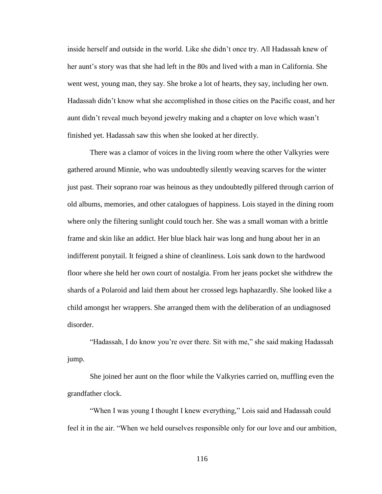inside herself and outside in the world. Like she didn't once try. All Hadassah knew of her aunt's story was that she had left in the 80s and lived with a man in California. She went west, young man, they say. She broke a lot of hearts, they say, including her own. Hadassah didn't know what she accomplished in those cities on the Pacific coast, and her aunt didn't reveal much beyond jewelry making and a chapter on love which wasn't finished yet. Hadassah saw this when she looked at her directly.

There was a clamor of voices in the living room where the other Valkyries were gathered around Minnie, who was undoubtedly silently weaving scarves for the winter just past. Their soprano roar was heinous as they undoubtedly pilfered through carrion of old albums, memories, and other catalogues of happiness. Lois stayed in the dining room where only the filtering sunlight could touch her. She was a small woman with a brittle frame and skin like an addict. Her blue black hair was long and hung about her in an indifferent ponytail. It feigned a shine of cleanliness. Lois sank down to the hardwood floor where she held her own court of nostalgia. From her jeans pocket she withdrew the shards of a Polaroid and laid them about her crossed legs haphazardly. She looked like a child amongst her wrappers. She arranged them with the deliberation of an undiagnosed disorder.

"Hadassah, I do know you're over there. Sit with me," she said making Hadassah jump.

She joined her aunt on the floor while the Valkyries carried on, muffling even the grandfather clock.

"When I was young I thought I knew everything," Lois said and Hadassah could feel it in the air. "When we held ourselves responsible only for our love and our ambition,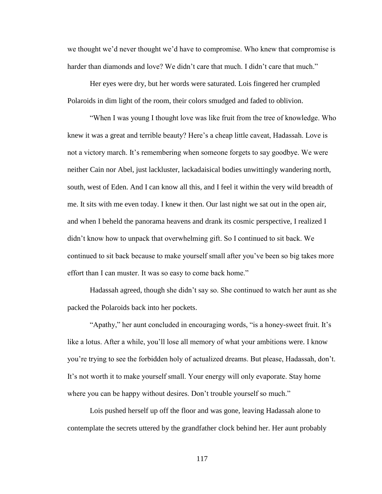we thought we'd never thought we'd have to compromise. Who knew that compromise is harder than diamonds and love? We didn't care that much. I didn't care that much."

Her eyes were dry, but her words were saturated. Lois fingered her crumpled Polaroids in dim light of the room, their colors smudged and faded to oblivion.

"When I was young I thought love was like fruit from the tree of knowledge. Who knew it was a great and terrible beauty? Here's a cheap little caveat, Hadassah. Love is not a victory march. It's remembering when someone forgets to say goodbye. We were neither Cain nor Abel, just lackluster, lackadaisical bodies unwittingly wandering north, south, west of Eden. And I can know all this, and I feel it within the very wild breadth of me. It sits with me even today. I knew it then. Our last night we sat out in the open air, and when I beheld the panorama heavens and drank its cosmic perspective, I realized I didn't know how to unpack that overwhelming gift. So I continued to sit back. We continued to sit back because to make yourself small after you've been so big takes more effort than I can muster. It was so easy to come back home."

Hadassah agreed, though she didn't say so. She continued to watch her aunt as she packed the Polaroids back into her pockets.

"Apathy," her aunt concluded in encouraging words, "is a honey-sweet fruit. It's like a lotus. After a while, you'll lose all memory of what your ambitions were. I know you're trying to see the forbidden holy of actualized dreams. But please, Hadassah, don't. It's not worth it to make yourself small. Your energy will only evaporate. Stay home where you can be happy without desires. Don't trouble yourself so much."

Lois pushed herself up off the floor and was gone, leaving Hadassah alone to contemplate the secrets uttered by the grandfather clock behind her. Her aunt probably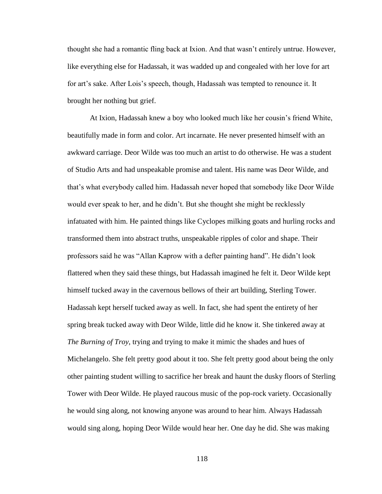thought she had a romantic fling back at Ixion. And that wasn't entirely untrue. However, like everything else for Hadassah, it was wadded up and congealed with her love for art for art's sake. After Lois's speech, though, Hadassah was tempted to renounce it. It brought her nothing but grief.

At Ixion, Hadassah knew a boy who looked much like her cousin's friend White, beautifully made in form and color. Art incarnate. He never presented himself with an awkward carriage. Deor Wilde was too much an artist to do otherwise. He was a student of Studio Arts and had unspeakable promise and talent. His name was Deor Wilde, and that's what everybody called him. Hadassah never hoped that somebody like Deor Wilde would ever speak to her, and he didn't. But she thought she might be recklessly infatuated with him. He painted things like Cyclopes milking goats and hurling rocks and transformed them into abstract truths, unspeakable ripples of color and shape. Their professors said he was "Allan Kaprow with a defter painting hand". He didn't look flattered when they said these things, but Hadassah imagined he felt it. Deor Wilde kept himself tucked away in the cavernous bellows of their art building, Sterling Tower. Hadassah kept herself tucked away as well. In fact, she had spent the entirety of her spring break tucked away with Deor Wilde, little did he know it. She tinkered away at *The Burning of Troy*, trying and trying to make it mimic the shades and hues of Michelangelo. She felt pretty good about it too. She felt pretty good about being the only other painting student willing to sacrifice her break and haunt the dusky floors of Sterling Tower with Deor Wilde. He played raucous music of the pop-rock variety. Occasionally he would sing along, not knowing anyone was around to hear him. Always Hadassah would sing along, hoping Deor Wilde would hear her. One day he did. She was making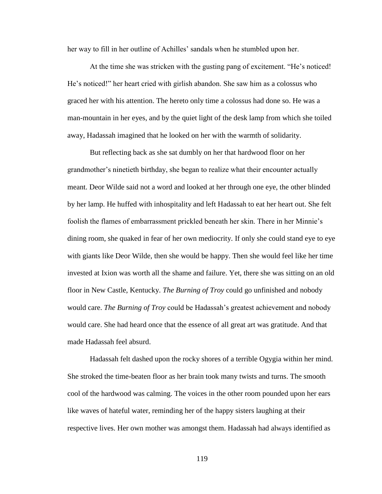her way to fill in her outline of Achilles' sandals when he stumbled upon her.

At the time she was stricken with the gusting pang of excitement. "He's noticed! He's noticed!" her heart cried with girlish abandon. She saw him as a colossus who graced her with his attention. The hereto only time a colossus had done so. He was a man-mountain in her eyes, and by the quiet light of the desk lamp from which she toiled away, Hadassah imagined that he looked on her with the warmth of solidarity.

But reflecting back as she sat dumbly on her that hardwood floor on her grandmother's ninetieth birthday, she began to realize what their encounter actually meant. Deor Wilde said not a word and looked at her through one eye, the other blinded by her lamp. He huffed with inhospitality and left Hadassah to eat her heart out. She felt foolish the flames of embarrassment prickled beneath her skin. There in her Minnie's dining room, she quaked in fear of her own mediocrity. If only she could stand eye to eye with giants like Deor Wilde, then she would be happy. Then she would feel like her time invested at Ixion was worth all the shame and failure. Yet, there she was sitting on an old floor in New Castle, Kentucky. *The Burning of Troy* could go unfinished and nobody would care. *The Burning of Troy* could be Hadassah's greatest achievement and nobody would care. She had heard once that the essence of all great art was gratitude. And that made Hadassah feel absurd.

Hadassah felt dashed upon the rocky shores of a terrible Ogygia within her mind. She stroked the time-beaten floor as her brain took many twists and turns. The smooth cool of the hardwood was calming. The voices in the other room pounded upon her ears like waves of hateful water, reminding her of the happy sisters laughing at their respective lives. Her own mother was amongst them. Hadassah had always identified as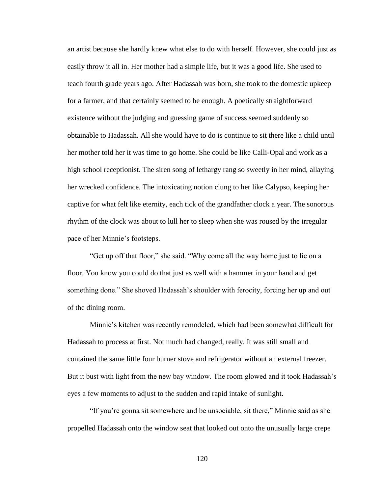an artist because she hardly knew what else to do with herself. However, she could just as easily throw it all in. Her mother had a simple life, but it was a good life. She used to teach fourth grade years ago. After Hadassah was born, she took to the domestic upkeep for a farmer, and that certainly seemed to be enough. A poetically straightforward existence without the judging and guessing game of success seemed suddenly so obtainable to Hadassah. All she would have to do is continue to sit there like a child until her mother told her it was time to go home. She could be like Calli-Opal and work as a high school receptionist. The siren song of lethargy rang so sweetly in her mind, allaying her wrecked confidence. The intoxicating notion clung to her like Calypso, keeping her captive for what felt like eternity, each tick of the grandfather clock a year. The sonorous rhythm of the clock was about to lull her to sleep when she was roused by the irregular pace of her Minnie's footsteps.

"Get up off that floor," she said. "Why come all the way home just to lie on a floor. You know you could do that just as well with a hammer in your hand and get something done." She shoved Hadassah's shoulder with ferocity, forcing her up and out of the dining room.

Minnie's kitchen was recently remodeled, which had been somewhat difficult for Hadassah to process at first. Not much had changed, really. It was still small and contained the same little four burner stove and refrigerator without an external freezer. But it bust with light from the new bay window. The room glowed and it took Hadassah's eyes a few moments to adjust to the sudden and rapid intake of sunlight.

"If you're gonna sit somewhere and be unsociable, sit there," Minnie said as she propelled Hadassah onto the window seat that looked out onto the unusually large crepe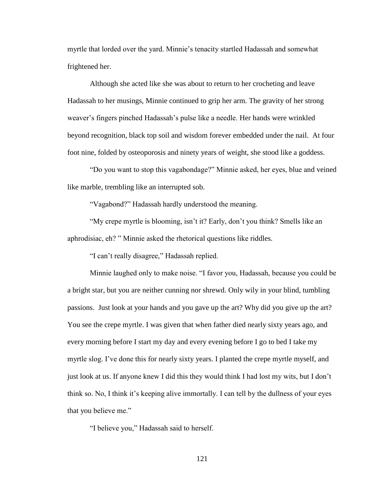myrtle that lorded over the yard. Minnie's tenacity startled Hadassah and somewhat frightened her.

Although she acted like she was about to return to her crocheting and leave Hadassah to her musings, Minnie continued to grip her arm. The gravity of her strong weaver's fingers pinched Hadassah's pulse like a needle. Her hands were wrinkled beyond recognition, black top soil and wisdom forever embedded under the nail. At four foot nine, folded by osteoporosis and ninety years of weight, she stood like a goddess.

"Do you want to stop this vagabondage?" Minnie asked, her eyes, blue and veined like marble, trembling like an interrupted sob.

"Vagabond?" Hadassah hardly understood the meaning.

"My crepe myrtle is blooming, isn't it? Early, don't you think? Smells like an aphrodisiac, eh? " Minnie asked the rhetorical questions like riddles.

"I can't really disagree," Hadassah replied.

Minnie laughed only to make noise. "I favor you, Hadassah, because you could be a bright star, but you are neither cunning nor shrewd. Only wily in your blind, tumbling passions. Just look at your hands and you gave up the art? Why did you give up the art? You see the crepe myrtle. I was given that when father died nearly sixty years ago, and every morning before I start my day and every evening before I go to bed I take my myrtle slog. I've done this for nearly sixty years. I planted the crepe myrtle myself, and just look at us. If anyone knew I did this they would think I had lost my wits, but I don't think so. No, I think it's keeping alive immortally. I can tell by the dullness of your eyes that you believe me."

"I believe you," Hadassah said to herself.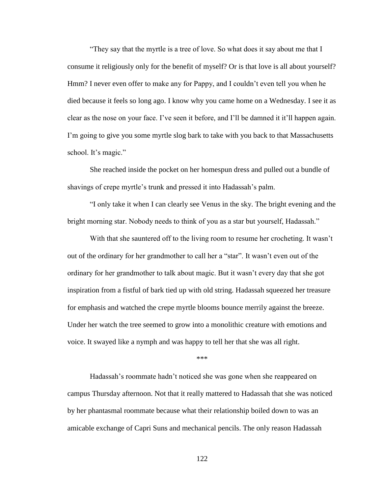"They say that the myrtle is a tree of love. So what does it say about me that I consume it religiously only for the benefit of myself? Or is that love is all about yourself? Hmm? I never even offer to make any for Pappy, and I couldn't even tell you when he died because it feels so long ago. I know why you came home on a Wednesday. I see it as clear as the nose on your face. I've seen it before, and I'll be damned it it'll happen again. I'm going to give you some myrtle slog bark to take with you back to that Massachusetts school. It's magic."

She reached inside the pocket on her homespun dress and pulled out a bundle of shavings of crepe myrtle's trunk and pressed it into Hadassah's palm.

"I only take it when I can clearly see Venus in the sky. The bright evening and the bright morning star. Nobody needs to think of you as a star but yourself, Hadassah."

With that she sauntered off to the living room to resume her crocheting. It wasn't out of the ordinary for her grandmother to call her a "star". It wasn't even out of the ordinary for her grandmother to talk about magic. But it wasn't every day that she got inspiration from a fistful of bark tied up with old string. Hadassah squeezed her treasure for emphasis and watched the crepe myrtle blooms bounce merrily against the breeze. Under her watch the tree seemed to grow into a monolithic creature with emotions and voice. It swayed like a nymph and was happy to tell her that she was all right.

\*\*\*

Hadassah's roommate hadn't noticed she was gone when she reappeared on campus Thursday afternoon. Not that it really mattered to Hadassah that she was noticed by her phantasmal roommate because what their relationship boiled down to was an amicable exchange of Capri Suns and mechanical pencils. The only reason Hadassah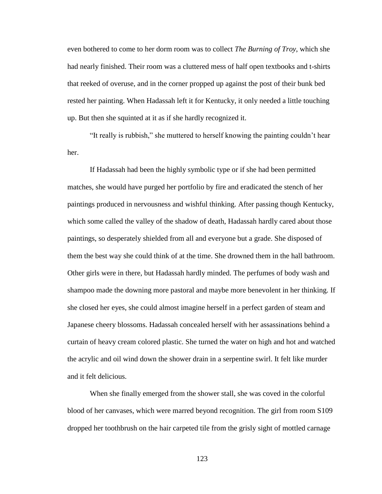even bothered to come to her dorm room was to collect *The Burning of Troy*, which she had nearly finished. Their room was a cluttered mess of half open textbooks and t-shirts that reeked of overuse, and in the corner propped up against the post of their bunk bed rested her painting. When Hadassah left it for Kentucky, it only needed a little touching up. But then she squinted at it as if she hardly recognized it.

"It really is rubbish," she muttered to herself knowing the painting couldn't hear her.

If Hadassah had been the highly symbolic type or if she had been permitted matches, she would have purged her portfolio by fire and eradicated the stench of her paintings produced in nervousness and wishful thinking. After passing though Kentucky, which some called the valley of the shadow of death, Hadassah hardly cared about those paintings, so desperately shielded from all and everyone but a grade. She disposed of them the best way she could think of at the time. She drowned them in the hall bathroom. Other girls were in there, but Hadassah hardly minded. The perfumes of body wash and shampoo made the downing more pastoral and maybe more benevolent in her thinking. If she closed her eyes, she could almost imagine herself in a perfect garden of steam and Japanese cheery blossoms. Hadassah concealed herself with her assassinations behind a curtain of heavy cream colored plastic. She turned the water on high and hot and watched the acrylic and oil wind down the shower drain in a serpentine swirl. It felt like murder and it felt delicious.

When she finally emerged from the shower stall, she was coved in the colorful blood of her canvases, which were marred beyond recognition. The girl from room S109 dropped her toothbrush on the hair carpeted tile from the grisly sight of mottled carnage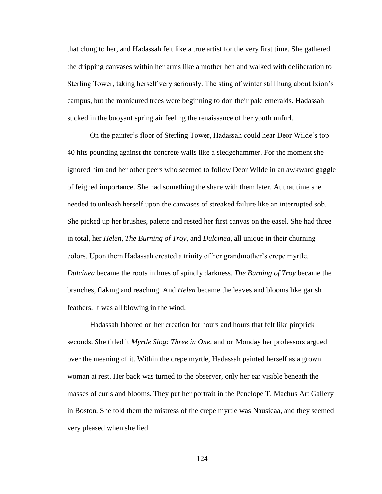that clung to her, and Hadassah felt like a true artist for the very first time. She gathered the dripping canvases within her arms like a mother hen and walked with deliberation to Sterling Tower, taking herself very seriously. The sting of winter still hung about Ixion's campus, but the manicured trees were beginning to don their pale emeralds. Hadassah sucked in the buoyant spring air feeling the renaissance of her youth unfurl.

On the painter's floor of Sterling Tower, Hadassah could hear Deor Wilde's top 40 hits pounding against the concrete walls like a sledgehammer. For the moment she ignored him and her other peers who seemed to follow Deor Wilde in an awkward gaggle of feigned importance. She had something the share with them later. At that time she needed to unleash herself upon the canvases of streaked failure like an interrupted sob. She picked up her brushes, palette and rested her first canvas on the easel. She had three in total, her *Helen*, *The Burning of Troy*, and *Dulcinea*, all unique in their churning colors. Upon them Hadassah created a trinity of her grandmother's crepe myrtle. *Dulcinea* became the roots in hues of spindly darkness. *The Burning of Troy* became the branches, flaking and reaching. And *Helen* became the leaves and blooms like garish feathers. It was all blowing in the wind.

Hadassah labored on her creation for hours and hours that felt like pinprick seconds. She titled it *Myrtle Slog: Three in One,* and on Monday her professors argued over the meaning of it. Within the crepe myrtle, Hadassah painted herself as a grown woman at rest. Her back was turned to the observer, only her ear visible beneath the masses of curls and blooms. They put her portrait in the Penelope T. Machus Art Gallery in Boston. She told them the mistress of the crepe myrtle was Nausicaa, and they seemed very pleased when she lied.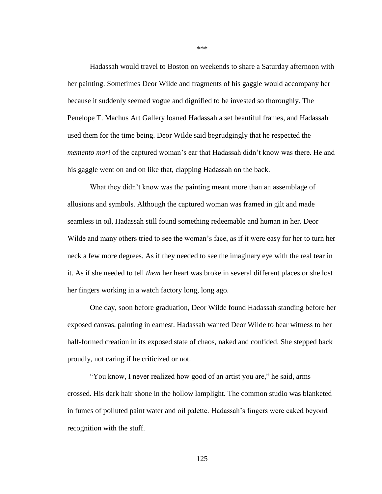Hadassah would travel to Boston on weekends to share a Saturday afternoon with her painting. Sometimes Deor Wilde and fragments of his gaggle would accompany her because it suddenly seemed vogue and dignified to be invested so thoroughly. The Penelope T. Machus Art Gallery loaned Hadassah a set beautiful frames, and Hadassah used them for the time being. Deor Wilde said begrudgingly that he respected the *memento mori* of the captured woman's ear that Hadassah didn't know was there. He and his gaggle went on and on like that, clapping Hadassah on the back.

What they didn't know was the painting meant more than an assemblage of allusions and symbols. Although the captured woman was framed in gilt and made seamless in oil, Hadassah still found something redeemable and human in her. Deor Wilde and many others tried to see the woman's face, as if it were easy for her to turn her neck a few more degrees. As if they needed to see the imaginary eye with the real tear in it. As if she needed to tell *them* her heart was broke in several different places or she lost her fingers working in a watch factory long, long ago.

One day, soon before graduation, Deor Wilde found Hadassah standing before her exposed canvas, painting in earnest. Hadassah wanted Deor Wilde to bear witness to her half-formed creation in its exposed state of chaos, naked and confided. She stepped back proudly, not caring if he criticized or not.

"You know, I never realized how good of an artist you are," he said, arms crossed. His dark hair shone in the hollow lamplight. The common studio was blanketed in fumes of polluted paint water and oil palette. Hadassah's fingers were caked beyond recognition with the stuff.

\*\*\*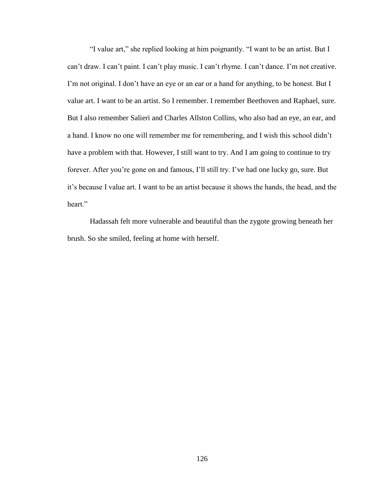"I value art," she replied looking at him poignantly. "I want to be an artist. But I can't draw. I can't paint. I can't play music. I can't rhyme. I can't dance. I'm not creative. I'm not original. I don't have an eye or an ear or a hand for anything, to be honest. But I value art. I want to be an artist. So I remember. I remember Beethoven and Raphael, sure. But I also remember Salieri and Charles Allston Collins, who also had an eye, an ear, and a hand. I know no one will remember me for remembering, and I wish this school didn't have a problem with that. However, I still want to try. And I am going to continue to try forever. After you're gone on and famous, I'll still try. I've had one lucky go, sure. But it's because I value art. I want to be an artist because it shows the hands, the head, and the heart."

Hadassah felt more vulnerable and beautiful than the zygote growing beneath her brush. So she smiled, feeling at home with herself.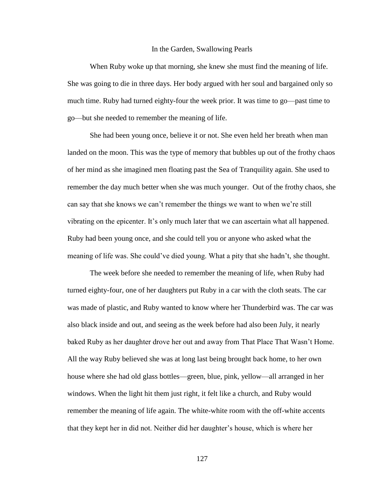## In the Garden, Swallowing Pearls

When Ruby woke up that morning, she knew she must find the meaning of life. She was going to die in three days. Her body argued with her soul and bargained only so much time. Ruby had turned eighty-four the week prior. It was time to go—past time to go—but she needed to remember the meaning of life.

She had been young once, believe it or not. She even held her breath when man landed on the moon. This was the type of memory that bubbles up out of the frothy chaos of her mind as she imagined men floating past the Sea of Tranquility again. She used to remember the day much better when she was much younger. Out of the frothy chaos, she can say that she knows we can't remember the things we want to when we're still vibrating on the epicenter. It's only much later that we can ascertain what all happened. Ruby had been young once, and she could tell you or anyone who asked what the meaning of life was. She could've died young. What a pity that she hadn't, she thought.

The week before she needed to remember the meaning of life, when Ruby had turned eighty-four, one of her daughters put Ruby in a car with the cloth seats. The car was made of plastic, and Ruby wanted to know where her Thunderbird was. The car was also black inside and out, and seeing as the week before had also been July, it nearly baked Ruby as her daughter drove her out and away from That Place That Wasn't Home. All the way Ruby believed she was at long last being brought back home, to her own house where she had old glass bottles—green, blue, pink, yellow—all arranged in her windows. When the light hit them just right, it felt like a church, and Ruby would remember the meaning of life again. The white-white room with the off-white accents that they kept her in did not. Neither did her daughter's house, which is where her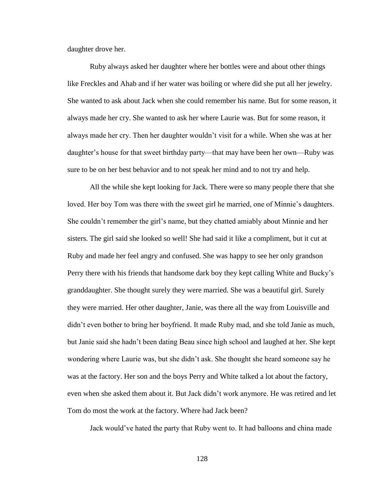daughter drove her.

Ruby always asked her daughter where her bottles were and about other things like Freckles and Ahab and if her water was boiling or where did she put all her jewelry. She wanted to ask about Jack when she could remember his name. But for some reason, it always made her cry. She wanted to ask her where Laurie was. But for some reason, it always made her cry. Then her daughter wouldn't visit for a while. When she was at her daughter's house for that sweet birthday party—that may have been her own—Ruby was sure to be on her best behavior and to not speak her mind and to not try and help.

All the while she kept looking for Jack. There were so many people there that she loved. Her boy Tom was there with the sweet girl he married, one of Minnie's daughters. She couldn't remember the girl's name, but they chatted amiably about Minnie and her sisters. The girl said she looked so well! She had said it like a compliment, but it cut at Ruby and made her feel angry and confused. She was happy to see her only grandson Perry there with his friends that handsome dark boy they kept calling White and Bucky's granddaughter. She thought surely they were married. She was a beautiful girl. Surely they were married. Her other daughter, Janie, was there all the way from Louisville and didn't even bother to bring her boyfriend. It made Ruby mad, and she told Janie as much, but Janie said she hadn't been dating Beau since high school and laughed at her. She kept wondering where Laurie was, but she didn't ask. She thought she heard someone say he was at the factory. Her son and the boys Perry and White talked a lot about the factory, even when she asked them about it. But Jack didn't work anymore. He was retired and let Tom do most the work at the factory. Where had Jack been?

Jack would've hated the party that Ruby went to. It had balloons and china made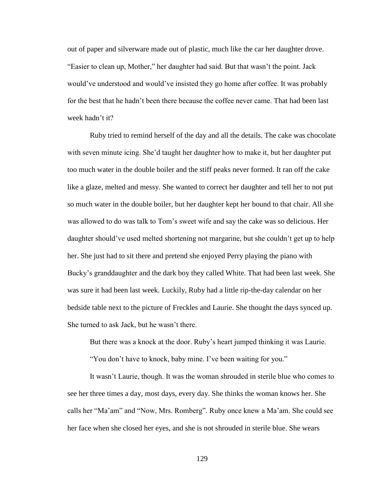out of paper and silverware made out of plastic, much like the car her daughter drove. "Easier to clean up, Mother," her daughter had said. But that wasn't the point. Jack would've understood and would've insisted they go home after coffee. It was probably for the best that he hadn't been there because the coffee never came. That had been last week hadn't it?

Ruby tried to remind herself of the day and all the details. The cake was chocolate with seven minute icing. She'd taught her daughter how to make it, but her daughter put too much water in the double boiler and the stiff peaks never formed. It ran off the cake like a glaze, melted and messy. She wanted to correct her daughter and tell her to not put so much water in the double boiler, but her daughter kept her bound to that chair. All she was allowed to do was talk to Tom's sweet wife and say the cake was so delicious. Her daughter should've used melted shortening not margarine, but she couldn't get up to help her. She just had to sit there and pretend she enjoyed Perry playing the piano with Bucky's granddaughter and the dark boy they called White. That had been last week. She was sure it had been last week. Luckily, Ruby had a little rip-the-day calendar on her bedside table next to the picture of Freckles and Laurie. She thought the days synced up. She turned to ask Jack, but he wasn't there.

But there was a knock at the door. Ruby's heart jumped thinking it was Laurie.

"You don't have to knock, baby mine. I've been waiting for you."

It wasn't Laurie, though. It was the woman shrouded in sterile blue who comes to see her three times a day, most days, every day. She thinks the woman knows her. She calls her "Ma'am" and "Now, Mrs. Romberg". Ruby once knew a Ma'am. She could see her face when she closed her eyes, and she is not shrouded in sterile blue. She wears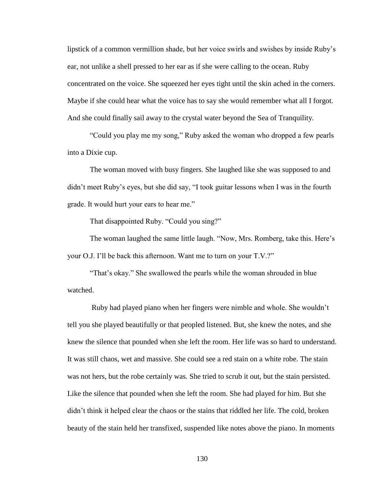lipstick of a common vermillion shade, but her voice swirls and swishes by inside Ruby's ear, not unlike a shell pressed to her ear as if she were calling to the ocean. Ruby concentrated on the voice. She squeezed her eyes tight until the skin ached in the corners. Maybe if she could hear what the voice has to say she would remember what all I forgot. And she could finally sail away to the crystal water beyond the Sea of Tranquility.

"Could you play me my song," Ruby asked the woman who dropped a few pearls into a Dixie cup.

The woman moved with busy fingers. She laughed like she was supposed to and didn't meet Ruby's eyes, but she did say, "I took guitar lessons when I was in the fourth grade. It would hurt your ears to hear me."

That disappointed Ruby. "Could you sing?"

The woman laughed the same little laugh. "Now, Mrs. Romberg, take this. Here's your O.J. I'll be back this afternoon. Want me to turn on your T.V.?"

"That's okay." She swallowed the pearls while the woman shrouded in blue watched.

Ruby had played piano when her fingers were nimble and whole. She wouldn't tell you she played beautifully or that peopled listened. But, she knew the notes, and she knew the silence that pounded when she left the room. Her life was so hard to understand. It was still chaos, wet and massive. She could see a red stain on a white robe. The stain was not hers, but the robe certainly was. She tried to scrub it out, but the stain persisted. Like the silence that pounded when she left the room. She had played for him. But she didn't think it helped clear the chaos or the stains that riddled her life. The cold, broken beauty of the stain held her transfixed, suspended like notes above the piano. In moments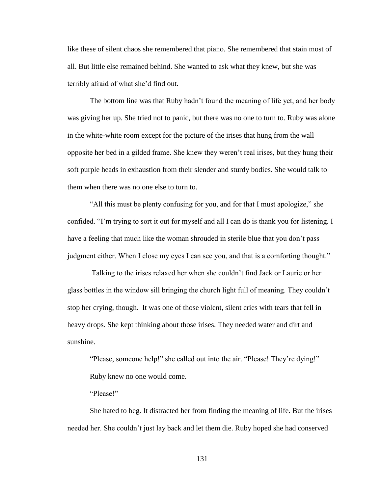like these of silent chaos she remembered that piano. She remembered that stain most of all. But little else remained behind. She wanted to ask what they knew, but she was terribly afraid of what she'd find out.

The bottom line was that Ruby hadn't found the meaning of life yet, and her body was giving her up. She tried not to panic, but there was no one to turn to. Ruby was alone in the white-white room except for the picture of the irises that hung from the wall opposite her bed in a gilded frame. She knew they weren't real irises, but they hung their soft purple heads in exhaustion from their slender and sturdy bodies. She would talk to them when there was no one else to turn to.

"All this must be plenty confusing for you, and for that I must apologize," she confided. "I'm trying to sort it out for myself and all I can do is thank you for listening. I have a feeling that much like the woman shrouded in sterile blue that you don't pass judgment either. When I close my eyes I can see you, and that is a comforting thought."

Talking to the irises relaxed her when she couldn't find Jack or Laurie or her glass bottles in the window sill bringing the church light full of meaning. They couldn't stop her crying, though. It was one of those violent, silent cries with tears that fell in heavy drops. She kept thinking about those irises. They needed water and dirt and sunshine.

"Please, someone help!" she called out into the air. "Please! They're dying!" Ruby knew no one would come.

"Please!"

She hated to beg. It distracted her from finding the meaning of life. But the irises needed her. She couldn't just lay back and let them die. Ruby hoped she had conserved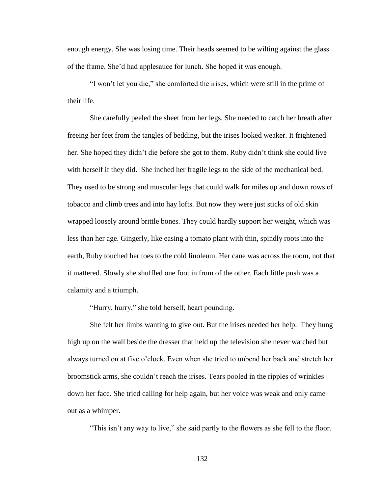enough energy. She was losing time. Their heads seemed to be wilting against the glass of the frame. She'd had applesauce for lunch. She hoped it was enough.

"I won't let you die," she comforted the irises, which were still in the prime of their life.

She carefully peeled the sheet from her legs. She needed to catch her breath after freeing her feet from the tangles of bedding, but the irises looked weaker. It frightened her. She hoped they didn't die before she got to them. Ruby didn't think she could live with herself if they did. She inched her fragile legs to the side of the mechanical bed. They used to be strong and muscular legs that could walk for miles up and down rows of tobacco and climb trees and into hay lofts. But now they were just sticks of old skin wrapped loosely around brittle bones. They could hardly support her weight, which was less than her age. Gingerly, like easing a tomato plant with thin, spindly roots into the earth, Ruby touched her toes to the cold linoleum. Her cane was across the room, not that it mattered. Slowly she shuffled one foot in from of the other. Each little push was a calamity and a triumph.

"Hurry, hurry," she told herself, heart pounding.

She felt her limbs wanting to give out. But the irises needed her help. They hung high up on the wall beside the dresser that held up the television she never watched but always turned on at five o'clock. Even when she tried to unbend her back and stretch her broomstick arms, she couldn't reach the irises. Tears pooled in the ripples of wrinkles down her face. She tried calling for help again, but her voice was weak and only came out as a whimper.

"This isn't any way to live," she said partly to the flowers as she fell to the floor.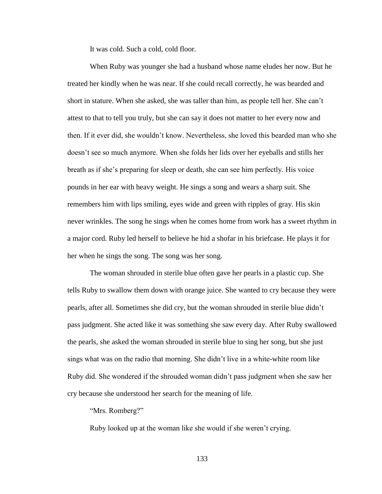It was cold. Such a cold, cold floor.

When Ruby was younger she had a husband whose name eludes her now. But he treated her kindly when he was near. If she could recall correctly, he was bearded and short in stature. When she asked, she was taller than him, as people tell her. She can't attest to that to tell you truly, but she can say it does not matter to her every now and then. If it ever did, she wouldn't know. Nevertheless, she loved this bearded man who she doesn't see so much anymore. When she folds her lids over her eyeballs and stills her breath as if she's preparing for sleep or death, she can see him perfectly. His voice pounds in her ear with heavy weight. He sings a song and wears a sharp suit. She remembers him with lips smiling, eyes wide and green with ripples of gray. His skin never wrinkles. The song he sings when he comes home from work has a sweet rhythm in a major cord. Ruby led herself to believe he hid a shofar in his briefcase. He plays it for her when he sings the song. The song was her song.

The woman shrouded in sterile blue often gave her pearls in a plastic cup. She tells Ruby to swallow them down with orange juice. She wanted to cry because they were pearls, after all. Sometimes she did cry, but the woman shrouded in sterile blue didn't pass judgment. She acted like it was something she saw every day. After Ruby swallowed the pearls, she asked the woman shrouded in sterile blue to sing her song, but she just sings what was on the radio that morning. She didn't live in a white-white room like Ruby did. She wondered if the shrouded woman didn't pass judgment when she saw her cry because she understood her search for the meaning of life.

"Mrs. Romberg?"

Ruby looked up at the woman like she would if she weren't crying.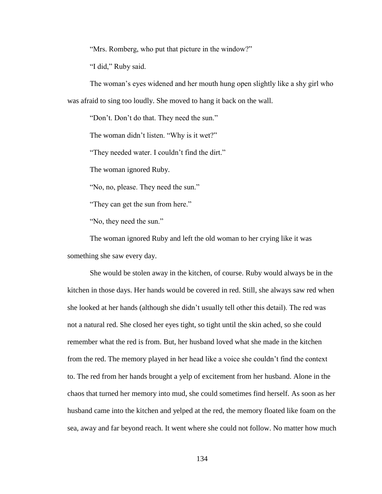"Mrs. Romberg, who put that picture in the window?"

"I did," Ruby said.

The woman's eyes widened and her mouth hung open slightly like a shy girl who was afraid to sing too loudly. She moved to hang it back on the wall.

"Don't. Don't do that. They need the sun."

The woman didn't listen. "Why is it wet?"

"They needed water. I couldn't find the dirt."

The woman ignored Ruby.

"No, no, please. They need the sun."

"They can get the sun from here."

"No, they need the sun."

The woman ignored Ruby and left the old woman to her crying like it was something she saw every day.

She would be stolen away in the kitchen, of course. Ruby would always be in the kitchen in those days. Her hands would be covered in red. Still, she always saw red when she looked at her hands (although she didn't usually tell other this detail). The red was not a natural red. She closed her eyes tight, so tight until the skin ached, so she could remember what the red is from. But, her husband loved what she made in the kitchen from the red. The memory played in her head like a voice she couldn't find the context to. The red from her hands brought a yelp of excitement from her husband. Alone in the chaos that turned her memory into mud, she could sometimes find herself. As soon as her husband came into the kitchen and yelped at the red, the memory floated like foam on the sea, away and far beyond reach. It went where she could not follow. No matter how much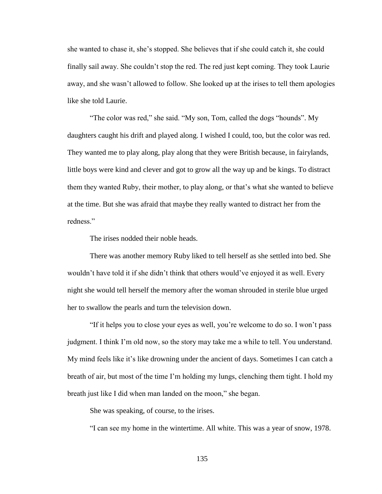she wanted to chase it, she's stopped. She believes that if she could catch it, she could finally sail away. She couldn't stop the red. The red just kept coming. They took Laurie away, and she wasn't allowed to follow. She looked up at the irises to tell them apologies like she told Laurie.

"The color was red," she said. "My son, Tom, called the dogs "hounds". My daughters caught his drift and played along. I wished I could, too, but the color was red. They wanted me to play along, play along that they were British because, in fairylands, little boys were kind and clever and got to grow all the way up and be kings. To distract them they wanted Ruby, their mother, to play along, or that's what she wanted to believe at the time. But she was afraid that maybe they really wanted to distract her from the redness."

The irises nodded their noble heads.

There was another memory Ruby liked to tell herself as she settled into bed. She wouldn't have told it if she didn't think that others would've enjoyed it as well. Every night she would tell herself the memory after the woman shrouded in sterile blue urged her to swallow the pearls and turn the television down.

"If it helps you to close your eyes as well, you're welcome to do so. I won't pass judgment. I think I'm old now, so the story may take me a while to tell. You understand. My mind feels like it's like drowning under the ancient of days. Sometimes I can catch a breath of air, but most of the time I'm holding my lungs, clenching them tight. I hold my breath just like I did when man landed on the moon," she began.

She was speaking, of course, to the irises.

"I can see my home in the wintertime. All white. This was a year of snow, 1978.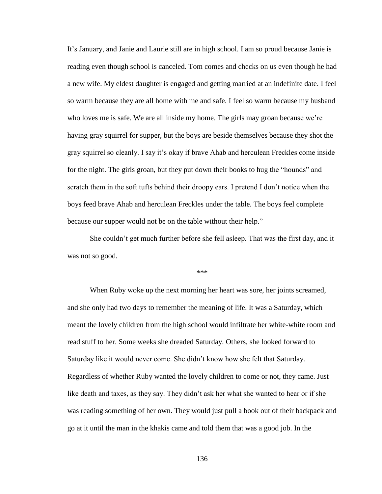It's January, and Janie and Laurie still are in high school. I am so proud because Janie is reading even though school is canceled. Tom comes and checks on us even though he had a new wife. My eldest daughter is engaged and getting married at an indefinite date. I feel so warm because they are all home with me and safe. I feel so warm because my husband who loves me is safe. We are all inside my home. The girls may groan because we're having gray squirrel for supper, but the boys are beside themselves because they shot the gray squirrel so cleanly. I say it's okay if brave Ahab and herculean Freckles come inside for the night. The girls groan, but they put down their books to hug the "hounds" and scratch them in the soft tufts behind their droopy ears. I pretend I don't notice when the boys feed brave Ahab and herculean Freckles under the table. The boys feel complete because our supper would not be on the table without their help."

She couldn't get much further before she fell asleep. That was the first day, and it was not so good.

\*\*\*

When Ruby woke up the next morning her heart was sore, her joints screamed, and she only had two days to remember the meaning of life. It was a Saturday, which meant the lovely children from the high school would infiltrate her white-white room and read stuff to her. Some weeks she dreaded Saturday. Others, she looked forward to Saturday like it would never come. She didn't know how she felt that Saturday. Regardless of whether Ruby wanted the lovely children to come or not, they came. Just like death and taxes, as they say. They didn't ask her what she wanted to hear or if she was reading something of her own. They would just pull a book out of their backpack and go at it until the man in the khakis came and told them that was a good job. In the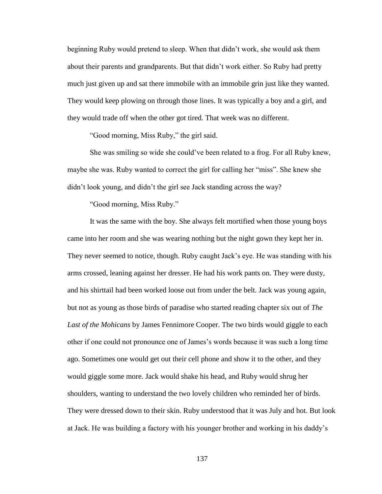beginning Ruby would pretend to sleep. When that didn't work, she would ask them about their parents and grandparents. But that didn't work either. So Ruby had pretty much just given up and sat there immobile with an immobile grin just like they wanted. They would keep plowing on through those lines. It was typically a boy and a girl, and they would trade off when the other got tired. That week was no different.

"Good morning, Miss Ruby," the girl said.

She was smiling so wide she could've been related to a frog. For all Ruby knew, maybe she was. Ruby wanted to correct the girl for calling her "miss". She knew she didn't look young, and didn't the girl see Jack standing across the way?

"Good morning, Miss Ruby."

It was the same with the boy. She always felt mortified when those young boys came into her room and she was wearing nothing but the night gown they kept her in. They never seemed to notice, though. Ruby caught Jack's eye. He was standing with his arms crossed, leaning against her dresser. He had his work pants on. They were dusty, and his shirttail had been worked loose out from under the belt. Jack was young again, but not as young as those birds of paradise who started reading chapter six out of *The Last of the Mohicans* by James Fennimore Cooper. The two birds would giggle to each other if one could not pronounce one of James's words because it was such a long time ago. Sometimes one would get out their cell phone and show it to the other, and they would giggle some more. Jack would shake his head, and Ruby would shrug her shoulders, wanting to understand the two lovely children who reminded her of birds. They were dressed down to their skin. Ruby understood that it was July and hot. But look at Jack. He was building a factory with his younger brother and working in his daddy's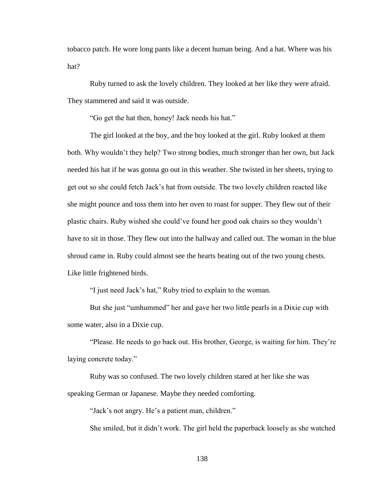tobacco patch. He wore long pants like a decent human being. And a hat. Where was his hat?

Ruby turned to ask the lovely children. They looked at her like they were afraid. They stammered and said it was outside.

"Go get the hat then, honey! Jack needs his hat."

The girl looked at the boy, and the boy looked at the girl. Ruby looked at them both. Why wouldn't they help? Two strong bodies, much stronger than her own, but Jack needed his hat if he was gonna go out in this weather. She twisted in her sheets, trying to get out so she could fetch Jack's hat from outside. The two lovely children reacted like she might pounce and toss them into her oven to roast for supper. They flew out of their plastic chairs. Ruby wished she could've found her good oak chairs so they wouldn't have to sit in those. They flew out into the hallway and called out. The woman in the blue shroud came in. Ruby could almost see the hearts beating out of the two young chests. Like little frightened birds.

"I just need Jack's hat," Ruby tried to explain to the woman.

But she just "umhummed" her and gave her two little pearls in a Dixie cup with some water, also in a Dixie cup.

"Please. He needs to go back out. His brother, George, is waiting for him. They're laying concrete today."

Ruby was so confused. The two lovely children stared at her like she was speaking German or Japanese. Maybe they needed comforting.

"Jack's not angry. He's a patient man, children."

She smiled, but it didn't work. The girl held the paperback loosely as she watched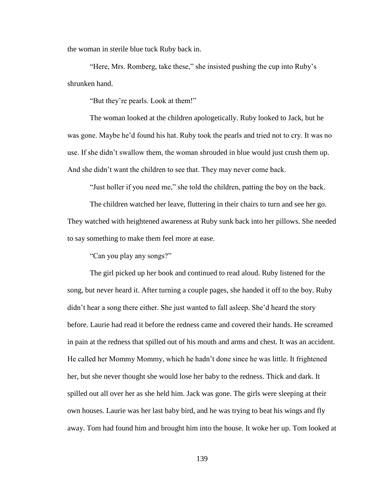the woman in sterile blue tuck Ruby back in.

"Here, Mrs. Romberg, take these," she insisted pushing the cup into Ruby's shrunken hand.

"But they're pearls. Look at them!"

The woman looked at the children apologetically. Ruby looked to Jack, but he was gone. Maybe he'd found his hat. Ruby took the pearls and tried not to cry. It was no use. If she didn't swallow them, the woman shrouded in blue would just crush them up. And she didn't want the children to see that. They may never come back.

"Just holler if you need me," she told the children, patting the boy on the back.

The children watched her leave, fluttering in their chairs to turn and see her go. They watched with heightened awareness at Ruby sunk back into her pillows. She needed to say something to make them feel more at ease.

"Can you play any songs?"

The girl picked up her book and continued to read aloud. Ruby listened for the song, but never heard it. After turning a couple pages, she handed it off to the boy. Ruby didn't hear a song there either. She just wanted to fall asleep. She'd heard the story before. Laurie had read it before the redness came and covered their hands. He screamed in pain at the redness that spilled out of his mouth and arms and chest. It was an accident. He called her Mommy Mommy, which he hadn't done since he was little. It frightened her, but she never thought she would lose her baby to the redness. Thick and dark. It spilled out all over her as she held him. Jack was gone. The girls were sleeping at their own houses. Laurie was her last baby bird, and he was trying to beat his wings and fly away. Tom had found him and brought him into the house. It woke her up. Tom looked at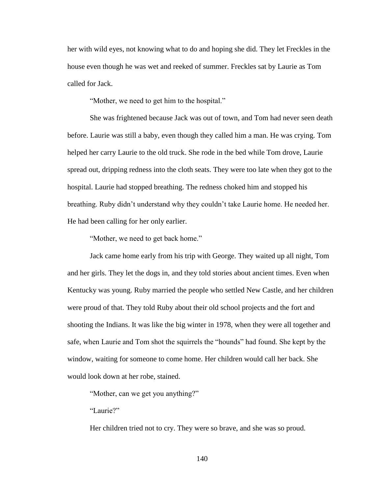her with wild eyes, not knowing what to do and hoping she did. They let Freckles in the house even though he was wet and reeked of summer. Freckles sat by Laurie as Tom called for Jack.

"Mother, we need to get him to the hospital."

She was frightened because Jack was out of town, and Tom had never seen death before. Laurie was still a baby, even though they called him a man. He was crying. Tom helped her carry Laurie to the old truck. She rode in the bed while Tom drove, Laurie spread out, dripping redness into the cloth seats. They were too late when they got to the hospital. Laurie had stopped breathing. The redness choked him and stopped his breathing. Ruby didn't understand why they couldn't take Laurie home. He needed her. He had been calling for her only earlier.

"Mother, we need to get back home."

Jack came home early from his trip with George. They waited up all night, Tom and her girls. They let the dogs in, and they told stories about ancient times. Even when Kentucky was young. Ruby married the people who settled New Castle, and her children were proud of that. They told Ruby about their old school projects and the fort and shooting the Indians. It was like the big winter in 1978, when they were all together and safe, when Laurie and Tom shot the squirrels the "hounds" had found. She kept by the window, waiting for someone to come home. Her children would call her back. She would look down at her robe, stained.

"Mother, can we get you anything?"

"Laurie?"

Her children tried not to cry. They were so brave, and she was so proud.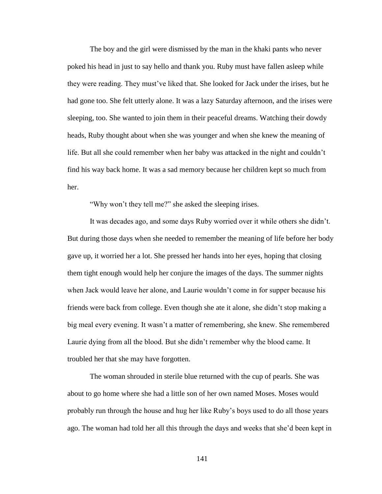The boy and the girl were dismissed by the man in the khaki pants who never poked his head in just to say hello and thank you. Ruby must have fallen asleep while they were reading. They must've liked that. She looked for Jack under the irises, but he had gone too. She felt utterly alone. It was a lazy Saturday afternoon, and the irises were sleeping, too. She wanted to join them in their peaceful dreams. Watching their dowdy heads, Ruby thought about when she was younger and when she knew the meaning of life. But all she could remember when her baby was attacked in the night and couldn't find his way back home. It was a sad memory because her children kept so much from her.

"Why won't they tell me?" she asked the sleeping irises.

It was decades ago, and some days Ruby worried over it while others she didn't. But during those days when she needed to remember the meaning of life before her body gave up, it worried her a lot. She pressed her hands into her eyes, hoping that closing them tight enough would help her conjure the images of the days. The summer nights when Jack would leave her alone, and Laurie wouldn't come in for supper because his friends were back from college. Even though she ate it alone, she didn't stop making a big meal every evening. It wasn't a matter of remembering, she knew. She remembered Laurie dying from all the blood. But she didn't remember why the blood came. It troubled her that she may have forgotten.

The woman shrouded in sterile blue returned with the cup of pearls. She was about to go home where she had a little son of her own named Moses. Moses would probably run through the house and hug her like Ruby's boys used to do all those years ago. The woman had told her all this through the days and weeks that she'd been kept in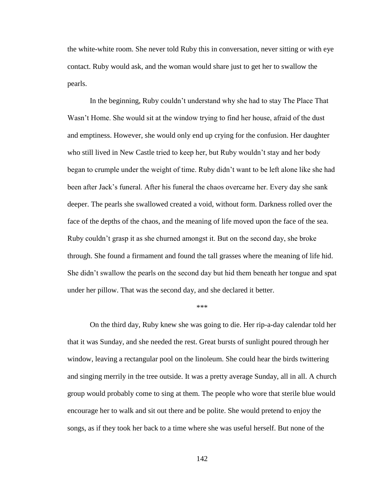the white-white room. She never told Ruby this in conversation, never sitting or with eye contact. Ruby would ask, and the woman would share just to get her to swallow the pearls.

In the beginning, Ruby couldn't understand why she had to stay The Place That Wasn't Home. She would sit at the window trying to find her house, afraid of the dust and emptiness. However, she would only end up crying for the confusion. Her daughter who still lived in New Castle tried to keep her, but Ruby wouldn't stay and her body began to crumple under the weight of time. Ruby didn't want to be left alone like she had been after Jack's funeral. After his funeral the chaos overcame her. Every day she sank deeper. The pearls she swallowed created a void, without form. Darkness rolled over the face of the depths of the chaos, and the meaning of life moved upon the face of the sea. Ruby couldn't grasp it as she churned amongst it. But on the second day, she broke through. She found a firmament and found the tall grasses where the meaning of life hid. She didn't swallow the pearls on the second day but hid them beneath her tongue and spat under her pillow. That was the second day, and she declared it better.

## \*\*\*

On the third day, Ruby knew she was going to die. Her rip-a-day calendar told her that it was Sunday, and she needed the rest. Great bursts of sunlight poured through her window, leaving a rectangular pool on the linoleum. She could hear the birds twittering and singing merrily in the tree outside. It was a pretty average Sunday, all in all. A church group would probably come to sing at them. The people who wore that sterile blue would encourage her to walk and sit out there and be polite. She would pretend to enjoy the songs, as if they took her back to a time where she was useful herself. But none of the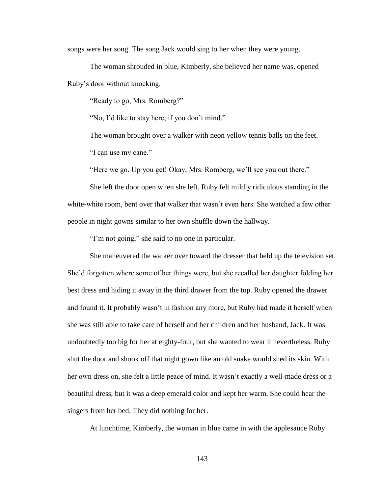songs were her song. The song Jack would sing to her when they were young.

The woman shrouded in blue, Kimberly, she believed her name was, opened Ruby's door without knocking.

"Ready to go, Mrs. Romberg?"

"No, I'd like to stay here, if you don't mind."

The woman brought over a walker with neon yellow tennis balls on the feet. "I can use my cane."

"Here we go. Up you get! Okay, Mrs. Romberg, we'll see you out there."

She left the door open when she left. Ruby felt mildly ridiculous standing in the white-white room, bent over that walker that wasn't even hers. She watched a few other people in night gowns similar to her own shuffle down the hallway.

"I'm not going," she said to no one in particular.

She maneuvered the walker over toward the dresser that held up the television set. She'd forgotten where some of her things were, but she recalled her daughter folding her best dress and hiding it away in the third drawer from the top. Ruby opened the drawer and found it. It probably wasn't in fashion any more, but Ruby had made it herself when she was still able to take care of herself and her children and her husband, Jack. It was undoubtedly too big for her at eighty-four, but she wanted to wear it nevertheless. Ruby shut the door and shook off that night gown like an old snake would shed its skin. With her own dress on, she felt a little peace of mind. It wasn't exactly a well-made dress or a beautiful dress, but it was a deep emerald color and kept her warm. She could hear the singers from her bed. They did nothing for her.

At lunchtime, Kimberly, the woman in blue came in with the applesauce Ruby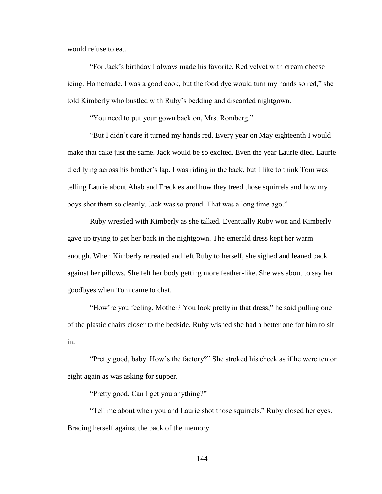would refuse to eat.

"For Jack's birthday I always made his favorite. Red velvet with cream cheese icing. Homemade. I was a good cook, but the food dye would turn my hands so red," she told Kimberly who bustled with Ruby's bedding and discarded nightgown.

"You need to put your gown back on, Mrs. Romberg."

"But I didn't care it turned my hands red. Every year on May eighteenth I would make that cake just the same. Jack would be so excited. Even the year Laurie died. Laurie died lying across his brother's lap. I was riding in the back, but I like to think Tom was telling Laurie about Ahab and Freckles and how they treed those squirrels and how my boys shot them so cleanly. Jack was so proud. That was a long time ago."

Ruby wrestled with Kimberly as she talked. Eventually Ruby won and Kimberly gave up trying to get her back in the nightgown. The emerald dress kept her warm enough. When Kimberly retreated and left Ruby to herself, she sighed and leaned back against her pillows. She felt her body getting more feather-like. She was about to say her goodbyes when Tom came to chat.

"How're you feeling, Mother? You look pretty in that dress," he said pulling one of the plastic chairs closer to the bedside. Ruby wished she had a better one for him to sit in.

"Pretty good, baby. How's the factory?" She stroked his cheek as if he were ten or eight again as was asking for supper.

"Pretty good. Can I get you anything?"

"Tell me about when you and Laurie shot those squirrels." Ruby closed her eyes. Bracing herself against the back of the memory.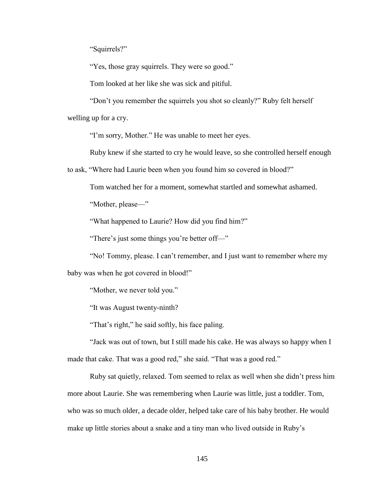"Squirrels?"

"Yes, those gray squirrels. They were so good."

Tom looked at her like she was sick and pitiful.

"Don't you remember the squirrels you shot so cleanly?" Ruby felt herself welling up for a cry.

"I'm sorry, Mother." He was unable to meet her eyes.

Ruby knew if she started to cry he would leave, so she controlled herself enough

to ask, "Where had Laurie been when you found him so covered in blood?"

Tom watched her for a moment, somewhat startled and somewhat ashamed.

"Mother, please—"

"What happened to Laurie? How did you find him?"

"There's just some things you're better off—"

"No! Tommy, please. I can't remember, and I just want to remember where my

baby was when he got covered in blood!"

"Mother, we never told you."

"It was August twenty-ninth?

"That's right," he said softly, his face paling.

"Jack was out of town, but I still made his cake. He was always so happy when I made that cake. That was a good red," she said. "That was a good red."

Ruby sat quietly, relaxed. Tom seemed to relax as well when she didn't press him more about Laurie. She was remembering when Laurie was little, just a toddler. Tom, who was so much older, a decade older, helped take care of his baby brother. He would make up little stories about a snake and a tiny man who lived outside in Ruby's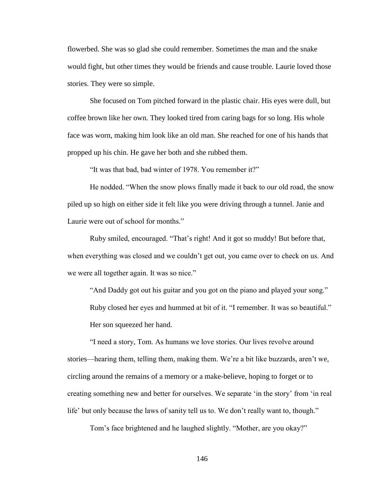flowerbed. She was so glad she could remember. Sometimes the man and the snake would fight, but other times they would be friends and cause trouble. Laurie loved those stories. They were so simple.

She focused on Tom pitched forward in the plastic chair. His eyes were dull, but coffee brown like her own. They looked tired from caring bags for so long. His whole face was worn, making him look like an old man. She reached for one of his hands that propped up his chin. He gave her both and she rubbed them.

"It was that bad, bad winter of 1978. You remember it?"

He nodded. "When the snow plows finally made it back to our old road, the snow piled up so high on either side it felt like you were driving through a tunnel. Janie and Laurie were out of school for months."

Ruby smiled, encouraged. "That's right! And it got so muddy! But before that, when everything was closed and we couldn't get out, you came over to check on us. And we were all together again. It was so nice."

"And Daddy got out his guitar and you got on the piano and played your song." Ruby closed her eyes and hummed at bit of it. "I remember. It was so beautiful." Her son squeezed her hand.

"I need a story, Tom. As humans we love stories. Our lives revolve around stories—hearing them, telling them, making them. We're a bit like buzzards, aren't we, circling around the remains of a memory or a make-believe, hoping to forget or to creating something new and better for ourselves. We separate 'in the story' from 'in real life' but only because the laws of sanity tell us to. We don't really want to, though."

Tom's face brightened and he laughed slightly. "Mother, are you okay?"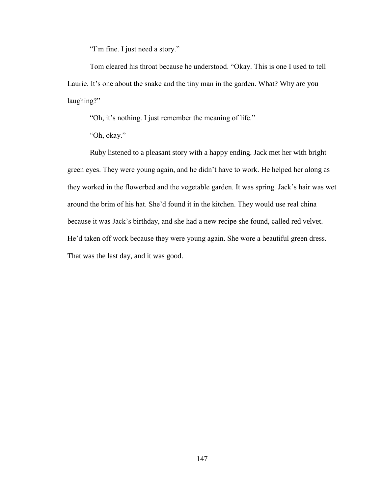"I'm fine. I just need a story."

Tom cleared his throat because he understood. "Okay. This is one I used to tell Laurie. It's one about the snake and the tiny man in the garden. What? Why are you laughing?"

"Oh, it's nothing. I just remember the meaning of life."

"Oh, okay."

Ruby listened to a pleasant story with a happy ending. Jack met her with bright green eyes. They were young again, and he didn't have to work. He helped her along as they worked in the flowerbed and the vegetable garden. It was spring. Jack's hair was wet around the brim of his hat. She'd found it in the kitchen. They would use real china because it was Jack's birthday, and she had a new recipe she found, called red velvet. He'd taken off work because they were young again. She wore a beautiful green dress. That was the last day, and it was good.